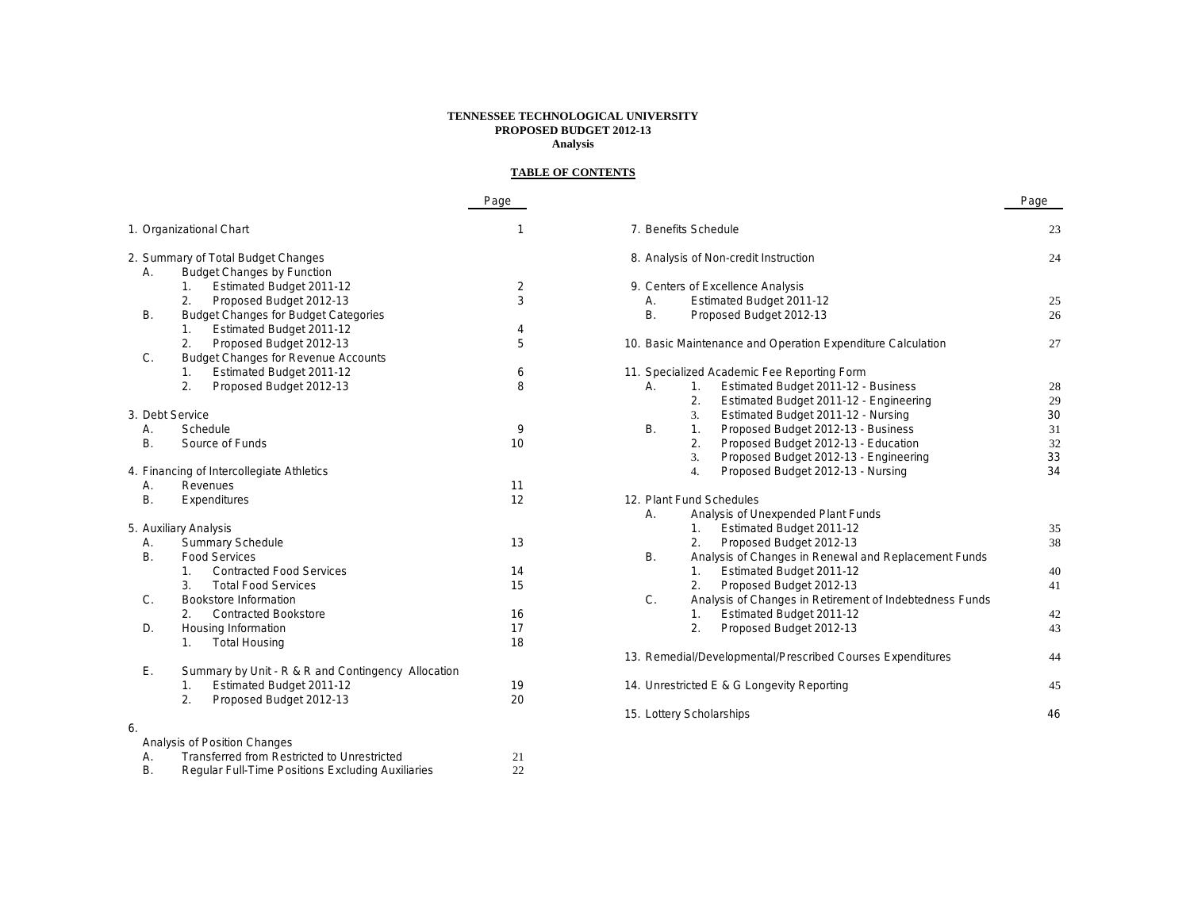#### **TENNESSEE TECHNOLOGICAL UNIVERSITY PROPOSED BUDGET 2012-13 Analysis**

## **TABLE OF CONTENTS**

|           |                                                    | Page |                          |                                                             | Page |
|-----------|----------------------------------------------------|------|--------------------------|-------------------------------------------------------------|------|
|           | 1. Organizational Chart                            | 1    | 7. Benefits Schedule     |                                                             | 23   |
|           | 2. Summary of Total Budget Changes                 |      |                          | 8. Analysis of Non-credit Instruction                       | 24   |
| Α.        | <b>Budget Changes by Function</b>                  |      |                          |                                                             |      |
|           | Estimated Budget 2011-12<br>1.                     | 2    |                          | 9. Centers of Excellence Analysis                           |      |
|           | 2.<br>Proposed Budget 2012-13                      | 3    | А.                       | Estimated Budget 2011-12                                    | 25   |
| В.        | <b>Budget Changes for Budget Categories</b>        |      | Β.                       | Proposed Budget 2012-13                                     | 26   |
|           | Estimated Budget 2011-12<br>1.                     | 4    |                          |                                                             |      |
|           | Proposed Budget 2012-13<br>2.                      | 5    |                          | 10. Basic Maintenance and Operation Expenditure Calculation | 27   |
| C.        | <b>Budget Changes for Revenue Accounts</b>         |      |                          |                                                             |      |
|           | Estimated Budget 2011-12<br>1.                     | 6    |                          | 11. Specialized Academic Fee Reporting Form                 |      |
|           | Proposed Budget 2012-13<br>2.                      | 8    | А.                       | Estimated Budget 2011-12 - Business<br>1.                   | 28   |
|           |                                                    |      |                          | 2.<br>Estimated Budget 2011-12 - Engineering                | 29   |
|           | 3. Debt Service                                    |      |                          | Estimated Budget 2011-12 - Nursing<br>3.                    | 30   |
| А.        | Schedule                                           | 9    | <b>B.</b>                | Proposed Budget 2012-13 - Business<br>1.                    | 31   |
| <b>B.</b> | Source of Funds                                    | 10   |                          | 2.<br>Proposed Budget 2012-13 - Education                   | 32   |
|           |                                                    |      |                          | Proposed Budget 2012-13 - Engineering<br>3.                 | 33   |
|           | 4. Financing of Intercollegiate Athletics          |      |                          | Proposed Budget 2012-13 - Nursing<br>4.                     | 34   |
| А.        | Revenues                                           | 11   |                          |                                                             |      |
| <b>B.</b> | Expenditures                                       | 12   |                          | 12. Plant Fund Schedules                                    |      |
|           |                                                    |      | А.                       | Analysis of Unexpended Plant Funds                          |      |
|           | 5. Auxiliary Analysis                              |      |                          | Estimated Budget 2011-12<br>1.                              | 35   |
| А.        | <b>Summary Schedule</b>                            | 13   |                          | 2.<br>Proposed Budget 2012-13                               | 38   |
| Β.        | <b>Food Services</b>                               |      | <b>B.</b>                | Analysis of Changes in Renewal and Replacement Funds        |      |
|           | <b>Contracted Food Services</b><br>1.              | 14   |                          | Estimated Budget 2011-12<br>1.                              | 40   |
|           | 3.<br><b>Total Food Services</b>                   | 15   |                          | Proposed Budget 2012-13<br>2.                               | 41   |
| C.        | Bookstore Information                              |      | $C$ .                    | Analysis of Changes in Retirement of Indebtedness Funds     |      |
|           | 2.<br><b>Contracted Bookstore</b>                  | 16   |                          | Estimated Budget 2011-12<br>1.                              | 42   |
| D.        | Housing Information                                | 17   |                          | 2.<br>Proposed Budget 2012-13                               | 43   |
|           | <b>Total Housing</b><br>1.                         | 18   |                          |                                                             |      |
|           |                                                    |      |                          | 13. Remedial/Developmental/Prescribed Courses Expenditures  | 44   |
| Ε.        | Summary by Unit - R & R and Contingency Allocation |      |                          |                                                             |      |
|           | Estimated Budget 2011-12<br>1.                     | 19   |                          | 14. Unrestricted E & G Longevity Reporting                  | 45   |
|           | Proposed Budget 2012-13<br>2.                      | 20   |                          |                                                             |      |
|           |                                                    |      | 15. Lottery Scholarships |                                                             | 46   |
| 6.        |                                                    |      |                          |                                                             |      |
|           | Analysis of Position Changes                       |      |                          |                                                             |      |
| А.        | <b>Transferred from Restricted to Unrestricted</b> | 21   |                          |                                                             |      |
| В.        | Regular Full-Time Positions Excluding Auxiliaries  | 22   |                          |                                                             |      |
|           |                                                    |      |                          |                                                             |      |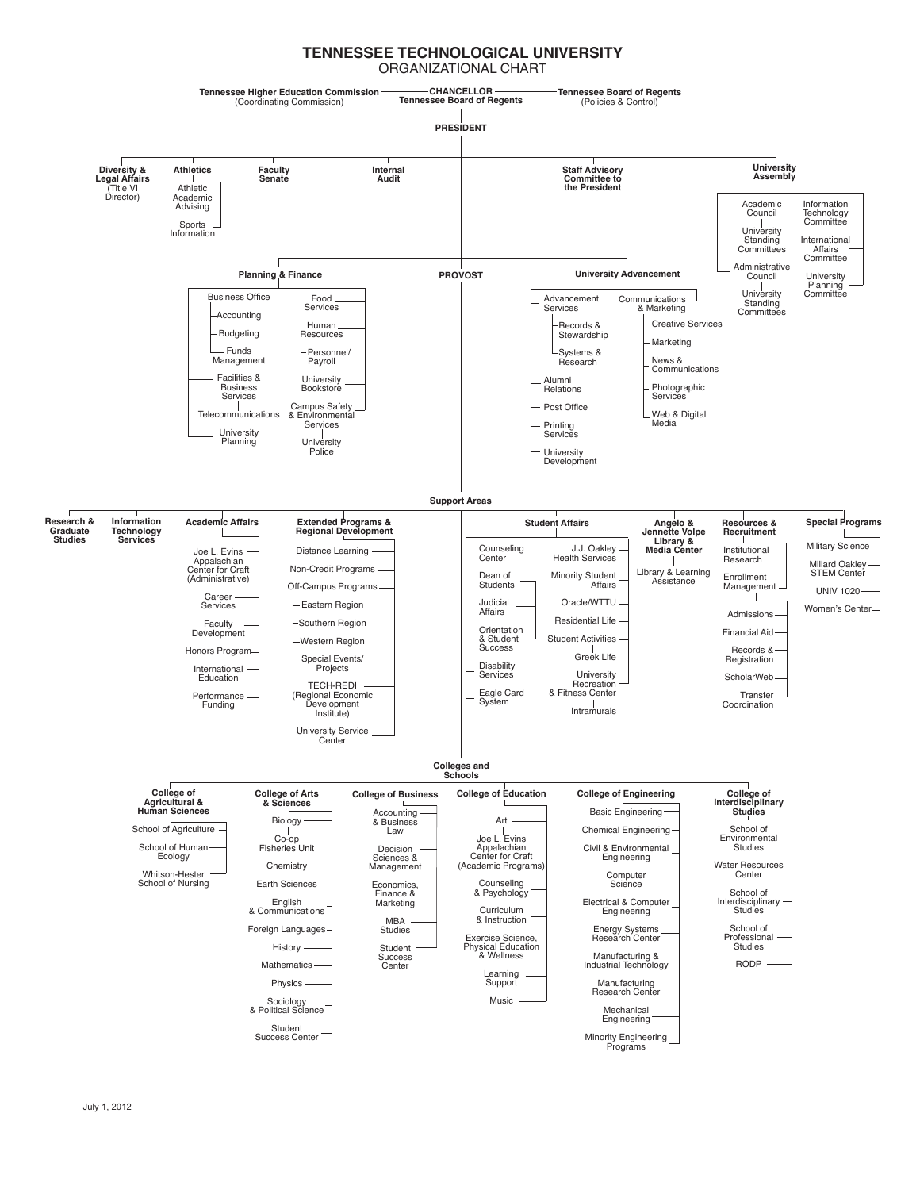#### **TENNESSEE TECHNOLOGICAL UNIVERSITY** ORGANIZATIONAL CHART

**CHANCELLOR Tennessee Higher Education Commission Tennessee Board of Regents Tennessee Board of Regents** (Coordinating Commission) (Policies & Control) **PRESIDENT University Staff Advisory Athletics Faculty Diversity & Legal Affairs** (Title VI **Internal Audit Assembly Senate** ــــــا<br>Athletic **Committee to the President** Director) Academic Advising Information Academic Council Technology Committee University Sports Information International Standing Committees Affairs Committee Administrative **Planning & Finance PROVOST University Advancement** Council University University Planning Committee Business Office Food Advancement Communications Standing Committees Services Services & Marketing Accounting Creative Services Human Records & Budgeting Resources **Stewardship** Marketing Funds Personnel/ Systems & Research Management News & Payroll Communications Facilities & University Bookstore Alumni<br>Relations Photographic Business Services Service Campus Safety Post Office Web & Digital **Telecommunications** & Environmental Services Media Printing **University Services** Planning **University Police** University Development **Support Areas Information Jennette Volpe Research & Student Affairs Academic Affairs Extended Programs & Special Programs Regional Development Angelo & Resources & Recruitment Graduate Studies Technology Services Library & Media Center** Military Science J.J. Oakley Counseling Joe L. Evins Distance Learning Institutional Center Health Services Research Millard Oakley Appalachian Center for Craft (Administrative) Non-Credit Programs Library & Learning STEM Center Dean of Minority Student Enrollment **Assistance** Off-Campus Programs **Students** Affairs **Management** UNIV 1020 Career  $\mathbf{I}$ Eastern Region Judicial Oracle/WTTU Services Women's Center Affairs Admissions Residential Life Southern Region Faculty Orientation Financial Aid Development Student Activities & Student Western Region Records & Honors Program **Success** Greek Life Special Events/ Registration **Disability** International Projects **University** Services ScholarWeb **Education** TECH-REDI Recreation & Fitness Center (Regional Economic Eagle Card System **Transfer** Performance Funding Intramurals Coordination Development Institute) University Service Center **Colleges and Schools College of Arts College of Education College of Engineering College of College of Business College of Agricultural & & Sciences Interdisciplinary Studies** Basic Engineering **Human Sciences** Accounting & Business Law Biology Art School of Agriculture School of Chemical Engineering Joe L. Evins Co-op Fisheries Unit Environmental Civil & Environmental School of Human Decision Studies Appalachian Center for Craft (Academic Programs) Ecology Engineering Sciences & Water Resources Chemistry Management Whitson-Hester Computer Center School of Nursing Earth Sciences Economics, Science Counseling & Psychology School of Finance & English Electrical & Computer **Interdisciplinary** Marketing & Communications Curriculum Engineering **Studies** & Instruction MBA Foreign Languages Energy Systems School of Studies Exercise Science, Research Center Professional History Student **Studies** Physical Education & Wellness Success Manufacturing & Industrial Technology Mathematics RODP **Center** Learning Support Physics Manufacturing Research Center Music Sociology & Political Science Mechanical Engineering Student Minority Engineering Success Center Programs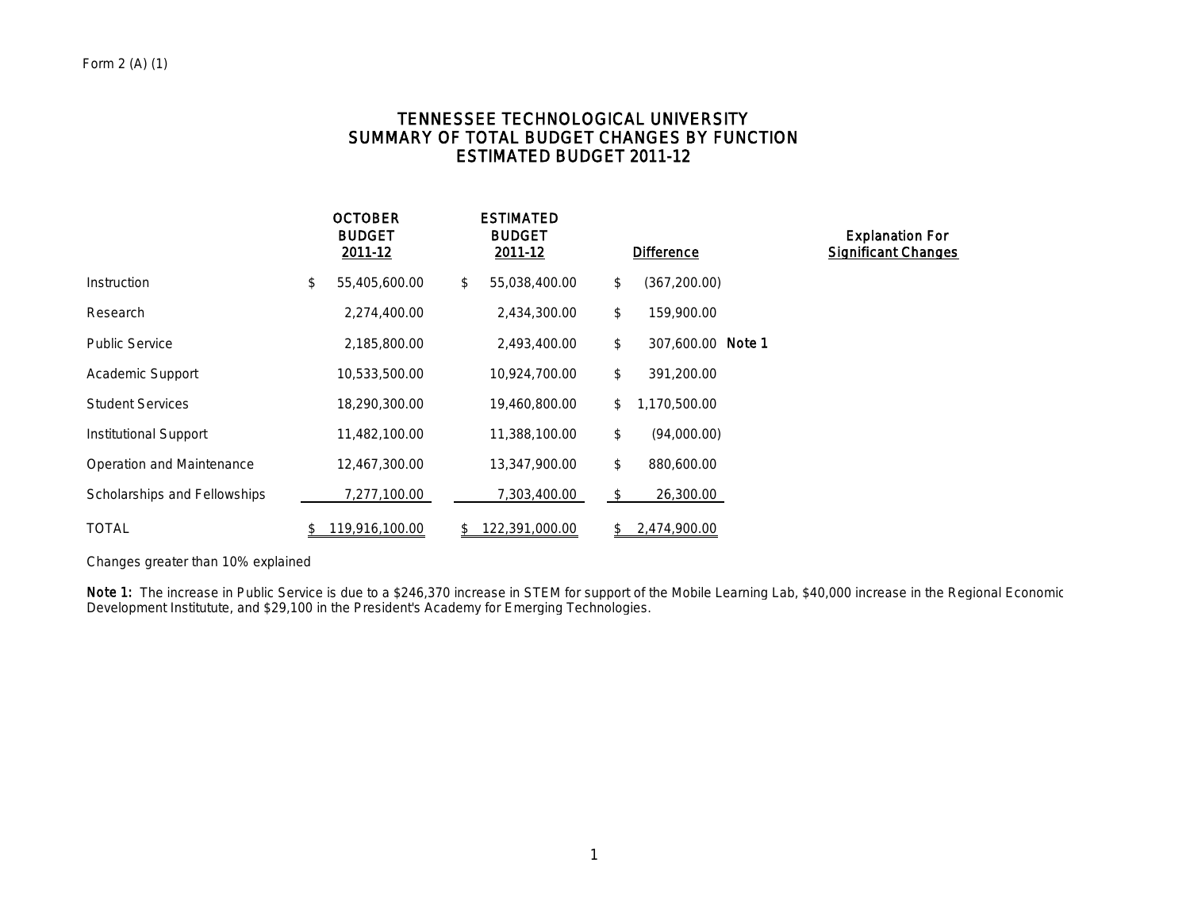# TENNESSEE TECHNOLOGICAL UNIVERSITY SUMMARY OF TOTAL BUDGET CHANGES BY FUNCTION ESTIMATED BUDGET 2011-12

|                              | <b>OCTOBER</b><br><b>BUDGET</b><br>2011-12 | <b>ESTIMATED</b><br><b>BUDGET</b><br>2011-12 | <b>Difference</b>       | <b>Explanation For</b><br><b>Significant Changes</b> |
|------------------------------|--------------------------------------------|----------------------------------------------|-------------------------|------------------------------------------------------|
| Instruction                  | \$<br>55,405,600.00                        | \$<br>55,038,400.00                          | \$<br>(367, 200.00)     |                                                      |
| Research                     | 2,274,400.00                               | 2,434,300.00                                 | \$<br>159,900.00        |                                                      |
| <b>Public Service</b>        | 2,185,800.00                               | 2,493,400.00                                 | \$<br>307.600.00 Note 1 |                                                      |
| Academic Support             | 10,533,500.00                              | 10,924,700.00                                | \$<br>391,200.00        |                                                      |
| <b>Student Services</b>      | 18,290,300.00                              | 19,460,800.00                                | \$<br>1,170,500.00      |                                                      |
| Institutional Support        | 11,482,100.00                              | 11,388,100.00                                | \$<br>(94,000.00)       |                                                      |
| Operation and Maintenance    | 12,467,300.00                              | 13,347,900.00                                | \$<br>880,600.00        |                                                      |
| Scholarships and Fellowships | 7,277,100.00                               | 7,303,400.00                                 | \$<br>26,300.00         |                                                      |
| <b>TOTAL</b>                 | \$<br>119,916,100.00                       | \$<br>122,391,000.00                         | \$<br>2,474,900.00      |                                                      |

Changes greater than 10% explained

Note 1: The increase in Public Service is due to a \$246,370 increase in STEM for support of the Mobile Learning Lab, \$40,000 increase in the Regional Economic Development Institutute, and \$29,100 in the President's Academy for Emerging Technologies.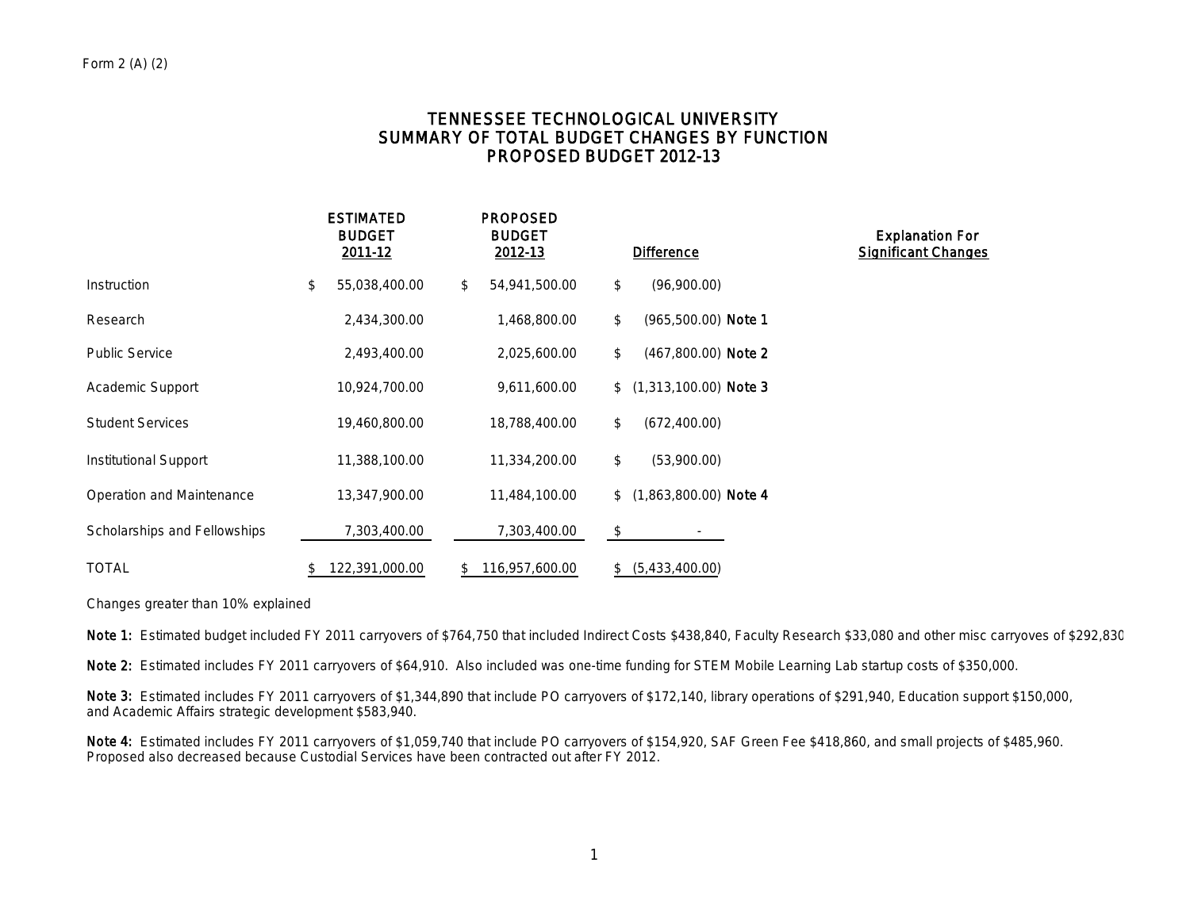# TENNESSEE TECHNOLOGICAL UNIVERSITY SUMMARY OF TOTAL BUDGET CHANGES BY FUNCTION PROPOSED BUDGET 2012-13

|                              | <b>ESTIMATED</b><br><b>BUDGET</b><br>2011-12 | <b>PROPOSED</b><br><b>BUDGET</b><br>2012-13 | <b>Difference</b>             | <b>Explanation For</b><br><b>Significant Changes</b> |
|------------------------------|----------------------------------------------|---------------------------------------------|-------------------------------|------------------------------------------------------|
| Instruction                  | \$<br>55,038,400.00                          | 54,941,500.00<br>\$                         | \$<br>(96,900.00)             |                                                      |
| Research                     | 2,434,300.00                                 | 1,468,800.00                                | \$<br>$(965,500.00)$ Note 1   |                                                      |
| <b>Public Service</b>        | 2,493,400.00                                 | 2,025,600.00                                | $(467,800.00)$ Note 2<br>\$   |                                                      |
| Academic Support             | 10,924,700.00                                | 9,611,600.00                                | $$$ (1,313,100.00) Note 3     |                                                      |
| <b>Student Services</b>      | 19,460,800.00                                | 18,788,400.00                               | \$<br>(672, 400.00)           |                                                      |
| <b>Institutional Support</b> | 11,388,100.00                                | 11,334,200.00                               | \$<br>(53,900.00)             |                                                      |
| Operation and Maintenance    | 13,347,900.00                                | 11,484,100.00                               | $(1,863,800.00)$ Note 4<br>\$ |                                                      |
| Scholarships and Fellowships | 7,303,400.00                                 | 7,303,400.00                                | \$                            |                                                      |
| <b>TOTAL</b>                 | 122,391,000.00<br>\$                         | 116,957,600.00<br>\$                        | (5,433,400.00)<br>\$          |                                                      |

Changes greater than 10% explained

Note 1: Estimated budget included FY 2011 carryovers of \$764,750 that included Indirect Costs \$438,840, Faculty Research \$33,080 and other misc carryoves of \$292,830

Note 2: Estimated includes FY 2011 carryovers of \$64,910. Also included was one-time funding for STEM Mobile Learning Lab startup costs of \$350,000.

Note 3: Estimated includes FY 2011 carryovers of \$1,344,890 that include PO carryovers of \$172,140, library operations of \$291,940, Education support \$150,000, and Academic Affairs strategic development \$583,940.

Note 4: Estimated includes FY 2011 carryovers of \$1,059,740 that include PO carryovers of \$154,920, SAF Green Fee \$418,860, and small projects of \$485,960. Proposed also decreased because Custodial Services have been contracted out after FY 2012.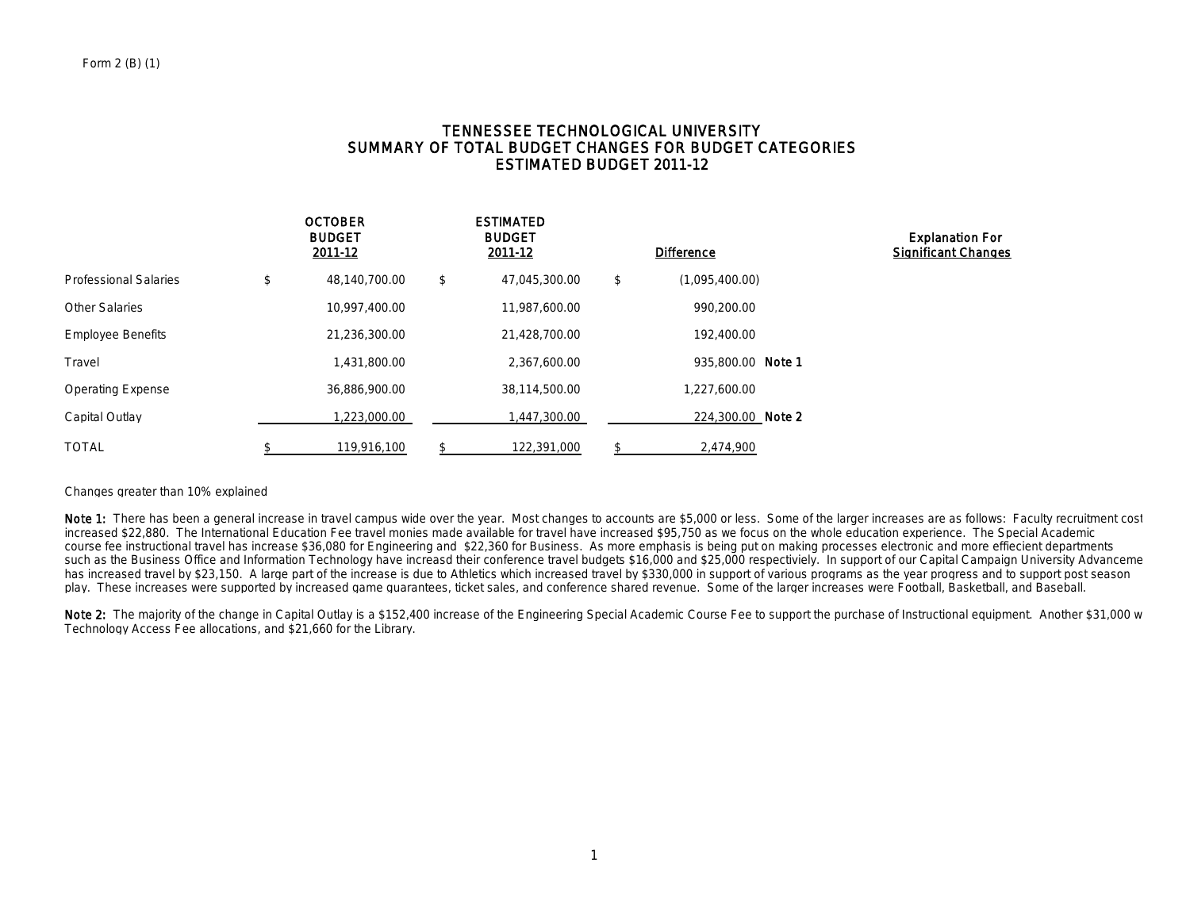## TENNESSEE TECHNOLOGICAL UNIVERSITY SUMMARY OF TOTAL BUDGET CHANGES FOR BUDGET CATEGORIES ESTIMATED BUDGET 2011-12

|                              | <b>OCTOBER</b><br><b>BUDGET</b><br>2011-12 | <b>ESTIMATED</b><br><b>BUDGET</b><br>2011-12 | <b>Difference</b>    | <b>Explanation For</b><br><b>Significant Changes</b> |
|------------------------------|--------------------------------------------|----------------------------------------------|----------------------|------------------------------------------------------|
| <b>Professional Salaries</b> | \$<br>48,140,700.00                        | \$<br>47,045,300.00                          | \$<br>(1,095,400.00) |                                                      |
| <b>Other Salaries</b>        | 10,997,400.00                              | 11,987,600.00                                | 990,200.00           |                                                      |
| <b>Employee Benefits</b>     | 21,236,300.00                              | 21,428,700.00                                | 192,400.00           |                                                      |
| Travel                       | 1,431,800.00                               | 2,367,600.00                                 | 935,800.00 Note 1    |                                                      |
| <b>Operating Expense</b>     | 36,886,900.00                              | 38,114,500.00                                | 1,227,600.00         |                                                      |
| Capital Outlay               | 1,223,000.00                               | ,447,300.00                                  | 224,300.00 Note 2    |                                                      |
| <b>TOTAL</b>                 | 119,916,100                                | 122,391,000                                  | 2.474.900            |                                                      |

#### Changes greater than 10% explained

Note 1: There has been a general increase in travel campus wide over the year. Most changes to accounts are \$5,000 or less. Some of the larger increases are as follows: Faculty recruitment cost increased \$22,880. The International Education Fee travel monies made available for travel have increased \$95,750 as we focus on the whole education experience. The Special Academic course fee instructional travel has increase \$36,080 for Engineering and \$22,360 for Business. As more emphasis is being put on making processes electronic and more effiecient departments such as the Business Office and Information Technology have increasd their conference travel budgets \$16,000 and \$25,000 respectiviely. In support of our Capital Campaign University Advanceme has increased travel by \$23,150. A large part of the increase is due to Athletics which increased travel by \$330,000 in support of various programs as the year progress and to support post season play. These increases were supported by increased game guarantees, ticket sales, and conference shared revenue. Some of the larger increases were Football, Basketball, and Baseball.

Note 2: The majority of the change in Capital Outlay is a \$152,400 increase of the Engineering Special Academic Course Fee to support the purchase of Instructional equipment. Another \$31,000 w Technology Access Fee allocations, and \$21,660 for the Library.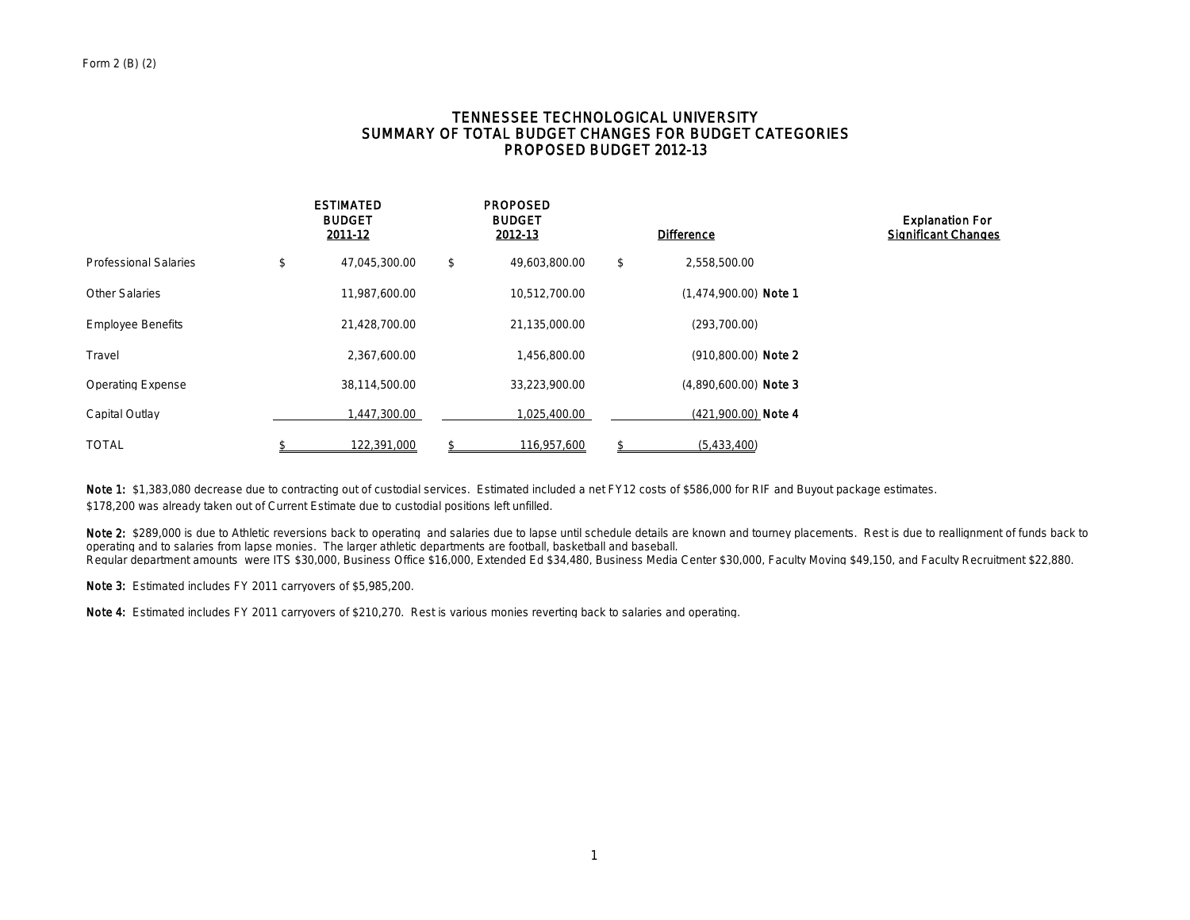## TENNESSEE TECHNOLOGICAL UNIVERSITY SUMMARY OF TOTAL BUDGET CHANGES FOR BUDGET CATEGORIES PROPOSED BUDGET 2012-13

|                              | <b>ESTIMATED</b><br><b>BUDGET</b><br>2011-12 | <b>PROPOSED</b><br><b>BUDGET</b><br>2012-13 | <b>Difference</b>       | <b>Explanation For</b><br><b>Significant Changes</b> |
|------------------------------|----------------------------------------------|---------------------------------------------|-------------------------|------------------------------------------------------|
| <b>Professional Salaries</b> | \$<br>47,045,300.00                          | \$<br>49,603,800.00                         | \$<br>2,558,500.00      |                                                      |
| <b>Other Salaries</b>        | 11,987,600.00                                | 10.512.700.00                               | $(1.474.900.00)$ Note 1 |                                                      |
| <b>Employee Benefits</b>     | 21,428,700.00                                | 21,135,000.00                               | (293,700.00)            |                                                      |
| Travel                       | 2,367,600.00                                 | 1,456,800.00                                | (910,800.00) Note 2     |                                                      |
| <b>Operating Expense</b>     | 38,114,500.00                                | 33,223,900.00                               | $(4,890,600.00)$ Note 3 |                                                      |
| Capital Outlay               | 1,447,300.00                                 | 1,025,400.00                                | $(421,900.00)$ Note 4   |                                                      |
| <b>TOTAL</b>                 | 122,391,000                                  | 116,957,600                                 | (5,433,400)             |                                                      |

Note 1: \$1,383,080 decrease due to contracting out of custodial services. Estimated included a net FY12 costs of \$586,000 for RIF and Buyout package estimates. \$178,200 was already taken out of Current Estimate due to custodial positions left unfilled.

Note 2: \$289,000 is due to Athletic reversions back to operating and salaries due to lapse until schedule details are known and tourney placements. Rest is due to reallignment of funds back to operating and to salaries from lapse monies. The larger athletic departments are football, basketball and baseball. Regular department amounts were ITS \$30,000, Business Office \$16,000, Extended Ed \$34,480, Business Media Center \$30,000, Faculty Moving \$49,150, and Faculty Recruitment \$22,880.

Note 3: Estimated includes FY 2011 carryovers of \$5,985,200.

Note 4: Estimated includes FY 2011 carryovers of \$210,270. Rest is various monies reverting back to salaries and operating.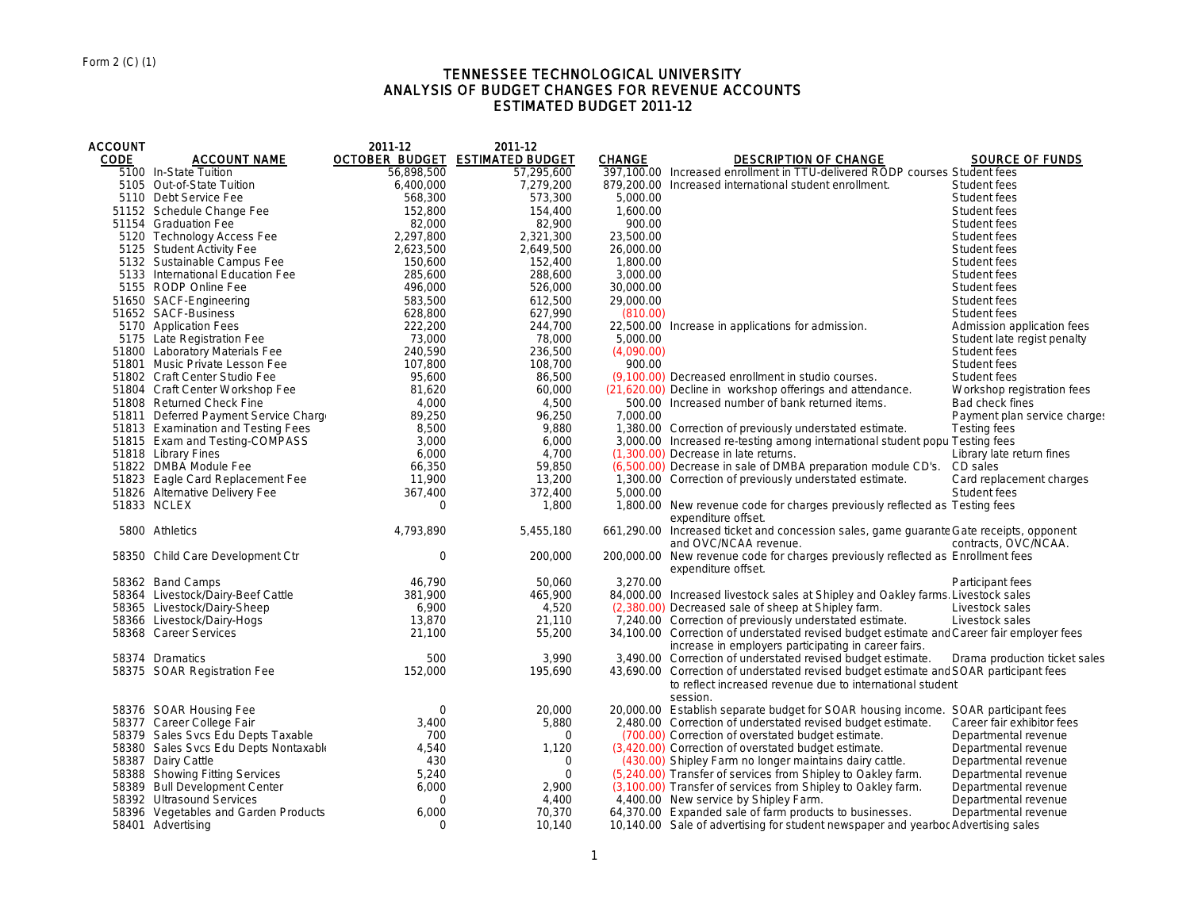#### TENNESSEE TECHNOLOGICAL UNIVERSITY ANALYSIS OF BUDGET CHANGES FOR REVENUE ACCOUNTS ESTIMATED BUDGET 2011-12

| <b>ACCOUNT</b> |                                       | 2011-12     | 2011-12                                |               |                                                                                                                                                                |                               |
|----------------|---------------------------------------|-------------|----------------------------------------|---------------|----------------------------------------------------------------------------------------------------------------------------------------------------------------|-------------------------------|
| <b>CODE</b>    | <b>ACCOUNT NAME</b>                   |             | <b>OCTOBER BUDGET ESTIMATED BUDGET</b> | <b>CHANGE</b> | <b>DESCRIPTION OF CHANGE</b>                                                                                                                                   | <b>SOURCE OF FUNDS</b>        |
|                | 5100 In-State Tuition                 | 56,898,500  | 57,295,600                             |               | 397,100.00 Increased enrollment in TTU-delivered RODP courses Student fees                                                                                     |                               |
|                | 5105 Out-of-State Tuition             | 6,400,000   | 7,279,200                              |               | 879,200.00 Increased international student enrollment.                                                                                                         | Student fees                  |
|                | 5110 Debt Service Fee                 | 568,300     | 573,300                                | 5,000.00      |                                                                                                                                                                | Student fees                  |
|                | 51152 Schedule Change Fee             | 152,800     | 154,400                                | 1,600.00      |                                                                                                                                                                | Student fees                  |
|                | 51154 Graduation Fee                  | 82,000      | 82,900                                 | 900.00        |                                                                                                                                                                | Student fees                  |
|                | 5120 Technology Access Fee            | 2,297,800   | 2,321,300                              | 23,500.00     |                                                                                                                                                                | Student fees                  |
|                | 5125 Student Activity Fee             | 2,623,500   | 2,649,500                              | 26,000.00     |                                                                                                                                                                | Student fees                  |
|                | 5132 Sustainable Campus Fee           | 150,600     | 152,400                                | 1,800.00      |                                                                                                                                                                | Student fees                  |
|                | 5133 International Education Fee      | 285,600     | 288,600                                | 3,000.00      |                                                                                                                                                                | Student fees                  |
|                | 5155 RODP Online Fee                  | 496,000     | 526,000                                | 30,000.00     |                                                                                                                                                                | Student fees                  |
|                | 51650 SACF-Engineering                | 583,500     | 612,500                                | 29,000.00     |                                                                                                                                                                | Student fees                  |
|                | 51652 SACF-Business                   | 628,800     | 627,990                                | (810.00)      |                                                                                                                                                                | Student fees                  |
|                | 5170 Application Fees                 | 222,200     | 244,700                                |               | 22,500.00 Increase in applications for admission.                                                                                                              | Admission application fees    |
|                | 5175 Late Registration Fee            | 73,000      | 78,000                                 | 5,000.00      |                                                                                                                                                                | Student late regist penalty   |
|                | 51800 Laboratory Materials Fee        | 240.590     | 236,500                                | (4,090.00)    |                                                                                                                                                                | Student fees                  |
|                | 51801 Music Private Lesson Fee        | 107,800     | 108,700                                | 900.00        |                                                                                                                                                                | Student fees                  |
|                | 51802 Craft Center Studio Fee         | 95,600      | 86,500                                 |               | (9,100.00) Decreased enrollment in studio courses.                                                                                                             | Student fees                  |
|                | 51804 Craft Center Workshop Fee       | 81,620      | 60,000                                 |               | (21,620.00) Decline in workshop offerings and attendance.                                                                                                      | Workshop registration fees    |
|                | 51808 Returned Check Fine             | 4,000       | 4,500                                  |               | 500.00 Increased number of bank returned items.                                                                                                                | Bad check fines               |
|                | 51811 Deferred Payment Service Charge | 89,250      | 96,250                                 | 7,000.00      |                                                                                                                                                                | Payment plan service charge:  |
|                | 51813 Examination and Testing Fees    | 8,500       | 9,880                                  |               | 1,380.00 Correction of previously understated estimate.                                                                                                        | <b>Testing fees</b>           |
|                | 51815 Exam and Testing-COMPASS        | 3,000       | 6,000                                  |               | 3,000.00 Increased re-testing among international student popu Testing fees                                                                                    |                               |
|                | 51818 Library Fines                   | 6,000       | 4,700                                  |               | (1,300.00) Decrease in late returns.                                                                                                                           | Library late return fines     |
|                | 51822 DMBA Module Fee                 | 66,350      | 59,850                                 |               | (6,500.00) Decrease in sale of DMBA preparation module CD's. CD sales                                                                                          |                               |
|                | 51823 Eagle Card Replacement Fee      | 11,900      | 13,200                                 |               | 1,300.00 Correction of previously understated estimate.                                                                                                        | Card replacement charges      |
|                | 51826 Alternative Delivery Fee        | 367,400     | 372,400                                | 5,000.00      |                                                                                                                                                                | Student fees                  |
|                | 51833 NCLEX                           | $\Omega$    | 1,800                                  |               | 1,800.00 New revenue code for charges previously reflected as Testing fees<br>expenditure offset.                                                              |                               |
|                | 5800 Athletics                        | 4,793,890   | 5,455,180                              |               | 661,290.00 Increased ticket and concession sales, game quarante Gate receipts, opponent<br>and OVC/NCAA revenue.                                               | contracts, OVC/NCAA.          |
|                | 58350 Child Care Development Ctr      | $\mathbf 0$ | 200,000                                |               | 200,000.00 New revenue code for charges previously reflected as Enrollment fees<br>expenditure offset.                                                         |                               |
|                | 58362 Band Camps                      | 46,790      | 50,060                                 | 3,270.00      |                                                                                                                                                                | Participant fees              |
|                | 58364 Livestock/Dairy-Beef Cattle     | 381,900     | 465,900                                |               | 84,000.00 Increased livestock sales at Shipley and Oakley farms. Livestock sales                                                                               |                               |
|                | 58365 Livestock/Dairy-Sheep           | 6,900       | 4,520                                  |               | (2,380.00) Decreased sale of sheep at Shipley farm.                                                                                                            | Livestock sales               |
|                | 58366 Livestock/Dairy-Hogs            | 13,870      | 21,110                                 |               | 7,240.00 Correction of previously understated estimate.                                                                                                        | Livestock sales               |
|                | 58368 Career Services                 | 21,100      | 55,200                                 |               | 34,100.00 Correction of understated revised budget estimate and Career fair employer fees<br>increase in employers participating in career fairs.              |                               |
|                | 58374 Dramatics                       | 500         | 3,990                                  |               | 3,490.00 Correction of understated revised budget estimate.                                                                                                    | Drama production ticket sales |
|                | 58375 SOAR Registration Fee           | 152,000     | 195,690                                |               | 43,690.00 Correction of understated revised budget estimate and SOAR participant fees<br>to reflect increased revenue due to international student<br>session. |                               |
|                | 58376 SOAR Housing Fee                | 0           | 20,000                                 |               | 20,000.00 Establish separate budget for SOAR housing income. SOAR participant fees                                                                             |                               |
|                | 58377 Career College Fair             | 3,400       | 5,880                                  |               | 2,480.00 Correction of understated revised budget estimate.                                                                                                    | Career fair exhibitor fees    |
|                | 58379 Sales Svcs Edu Depts Taxable    | 700         | $\mathbf 0$                            |               | (700.00) Correction of overstated budget estimate.                                                                                                             | Departmental revenue          |
|                | 58380 Sales Svcs Edu Depts Nontaxable | 4,540       | 1,120                                  |               | (3,420.00) Correction of overstated budget estimate.                                                                                                           | Departmental revenue          |
|                | 58387 Dairy Cattle                    | 430         | 0                                      |               | (430.00) Shipley Farm no longer maintains dairy cattle.                                                                                                        | Departmental revenue          |
|                | 58388 Showing Fitting Services        | 5,240       | $\Omega$                               |               | (5,240.00) Transfer of services from Shipley to Oakley farm.                                                                                                   | Departmental revenue          |
|                | 58389 Bull Development Center         | 6,000       | 2,900                                  |               | (3,100.00) Transfer of services from Shipley to Oakley farm.                                                                                                   | Departmental revenue          |
|                | 58392 Ultrasound Services             | $\Omega$    | 4,400                                  |               | 4,400.00 New service by Shipley Farm.                                                                                                                          | Departmental revenue          |
|                | 58396 Vegetables and Garden Products  | 6,000       | 70,370                                 |               | 64,370.00 Expanded sale of farm products to businesses.                                                                                                        | Departmental revenue          |
|                | 58401 Advertising                     | $\Omega$    | 10,140                                 |               | 10,140.00 Sale of advertising for student newspaper and yearbor Advertising sales                                                                              |                               |
|                |                                       |             |                                        |               |                                                                                                                                                                |                               |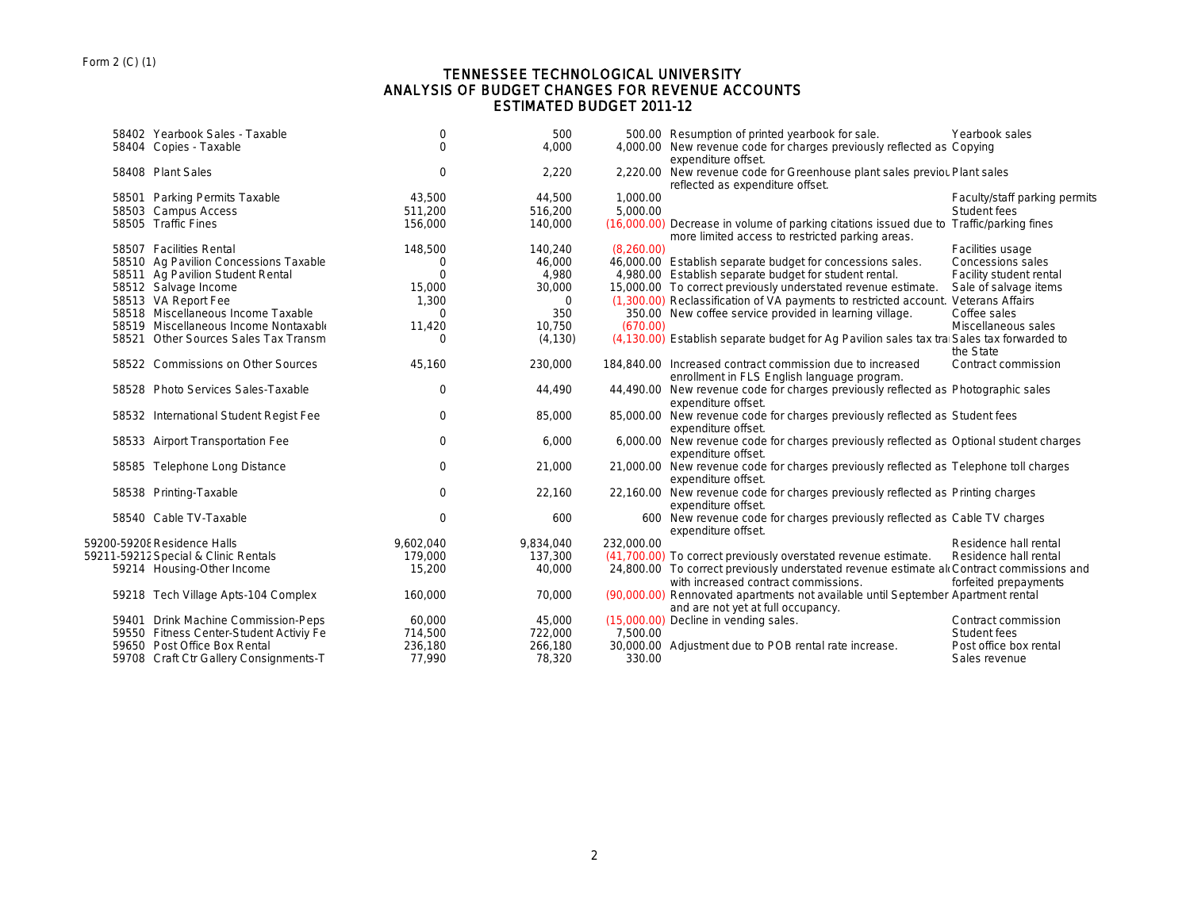## TENNESSEE TECHNOLOGICAL UNIVERSITY ANALYSIS OF BUDGET CHANGES FOR REVENUE ACCOUNTS ESTIMATED BUDGET 2011-12

|       | 58402 Yearbook Sales - Taxable          | $\mathbf 0$ | 500       |            | 500.00 Resumption of printed yearbook for sale.                                                                                             | Yearbook sales                |
|-------|-----------------------------------------|-------------|-----------|------------|---------------------------------------------------------------------------------------------------------------------------------------------|-------------------------------|
|       | 58404 Copies - Taxable                  | $\Omega$    | 4,000     |            | 4,000.00 New revenue code for charges previously reflected as Copying<br>expenditure offset.                                                |                               |
|       | 58408 Plant Sales                       | $\mathbf 0$ | 2,220     |            | 2,220.00 New revenue code for Greenhouse plant sales previou Plant sales<br>reflected as expenditure offset.                                |                               |
|       | 58501 Parking Permits Taxable           | 43,500      | 44,500    | 1,000.00   |                                                                                                                                             | Faculty/staff parking permits |
|       | 58503 Campus Access                     | 511,200     | 516,200   | 5,000.00   |                                                                                                                                             | Student fees                  |
|       | 58505 Traffic Fines                     | 156,000     | 140,000   |            | (16,000.00) Decrease in volume of parking citations issued due to Traffic/parking fines<br>more limited access to restricted parking areas. |                               |
|       | 58507 Facilities Rental                 | 148,500     | 140,240   | (8.260.00) |                                                                                                                                             | Facilities usage              |
|       | 58510 Ag Pavilion Concessions Taxable   | 0           | 46,000    |            | 46,000.00 Establish separate budget for concessions sales.                                                                                  | <b>Concessions sales</b>      |
|       | 58511 Ag Pavilion Student Rental        | $\Omega$    | 4,980     |            | 4,980.00 Establish separate budget for student rental.                                                                                      | Facility student rental       |
|       | 58512 Salvage Income                    | 15,000      | 30,000    |            | 15,000.00 To correct previously understated revenue estimate.                                                                               | Sale of salvage items         |
|       | 58513 VA Report Fee                     | 1,300       | $\Omega$  |            | (1,300.00) Reclassification of VA payments to restricted account                                                                            | <b>Veterans Affairs</b>       |
|       | 58518 Miscellaneous Income Taxable      | 0           | 350       |            | 350.00 New coffee service provided in learning village.                                                                                     | Coffee sales                  |
|       | 58519 Miscellaneous Income Nontaxable   | 11,420      | 10,750    | (670.00)   |                                                                                                                                             | Miscellaneous sales           |
| 58521 | Other Sources Sales Tax Transm          | $\Omega$    | (4, 130)  |            | (4,130.00) Establish separate budget for Ag Pavilion sales tax tra Sales tax forwarded to                                                   | the State                     |
|       | 58522 Commissions on Other Sources      | 45,160      | 230,000   |            | 184,840.00 Increased contract commission due to increased<br>enrollment in FLS English language program.                                    | Contract commission           |
|       | 58528 Photo Services Sales-Taxable      | $\mathbf 0$ | 44,490    |            | 44,490.00 New revenue code for charges previously reflected as Photographic sales<br>expenditure offset.                                    |                               |
|       | 58532 International Student Regist Fee  | 0           | 85,000    |            | 85,000.00 New revenue code for charges previously reflected as Student fees<br>expenditure offset.                                          |                               |
|       | 58533 Airport Transportation Fee        | $\mathbf 0$ | 6,000     |            | 6,000.00 New revenue code for charges previously reflected as Optional student charges<br>expenditure offset.                               |                               |
|       | 58585 Telephone Long Distance           | $\mathbf 0$ | 21,000    |            | 21,000.00 New revenue code for charges previously reflected as Telephone toll charges<br>expenditure offset.                                |                               |
|       | 58538 Printing-Taxable                  | 0           | 22,160    |            | 22,160.00 New revenue code for charges previously reflected as Printing charges<br>expenditure offset.                                      |                               |
|       | 58540 Cable TV-Taxable                  | $\mathbf 0$ | 600       |            | 600 New revenue code for charges previously reflected as Cable TV charges<br>expenditure offset.                                            |                               |
|       | 59200-59208 Residence Halls             | 9,602,040   | 9,834,040 | 232,000.00 |                                                                                                                                             | Residence hall rental         |
|       | 59211-59212 Special & Clinic Rentals    | 179,000     | 137,300   |            | (41,700.00) To correct previously overstated revenue estimate.                                                                              | Residence hall rental         |
|       | 59214 Housing-Other Income              | 15,200      | 40,000    |            | 24,800.00 To correct previously understated revenue estimate alcContract commissions and<br>with increased contract commissions.            | forfeited prepayments         |
|       | 59218 Tech Village Apts-104 Complex     | 160,000     | 70,000    |            | (90,000.00) Rennovated apartments not available until September Apartment rental<br>and are not yet at full occupancy.                      |                               |
|       | 59401 Drink Machine Commission-Pepsi    | 60,000      | 45,000    |            | (15,000.00) Decline in vending sales.                                                                                                       | Contract commission           |
|       | 59550 Fitness Center-Student Activiy Fe | 714,500     | 722,000   | 7.500.00   |                                                                                                                                             | Student fees                  |
|       | 59650 Post Office Box Rental            | 236,180     | 266,180   |            | 30,000.00 Adjustment due to POB rental rate increase.                                                                                       | Post office box rental        |
|       | 59708 Craft Ctr Gallery Consignments-T  | 77.990      | 78,320    | 330.00     |                                                                                                                                             | Sales revenue                 |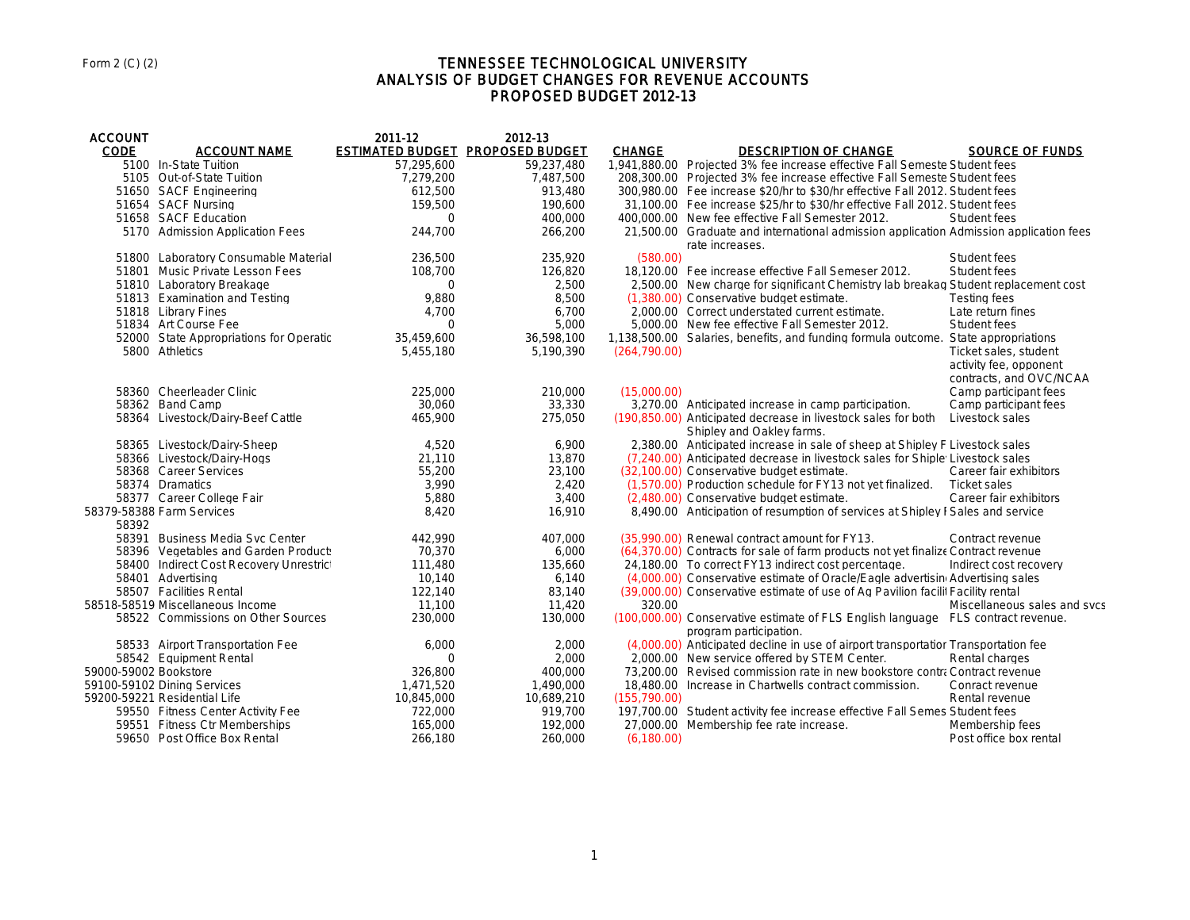## TENNESSEE TECHNOLOGICAL UNIVERSITY ANALYSIS OF BUDGET CHANGES FOR REVENUE ACCOUNTS PROPOSED BUDGET 2012-13

| <b>ACCOUNT</b>        |                                         | 2011-12                          | 2012-13    |               |                                                                                                            |                                                                            |
|-----------------------|-----------------------------------------|----------------------------------|------------|---------------|------------------------------------------------------------------------------------------------------------|----------------------------------------------------------------------------|
| <b>CODE</b>           | <b>ACCOUNT NAME</b>                     | ESTIMATED BUDGET PROPOSED BUDGET |            | <b>CHANGE</b> | <b>DESCRIPTION OF CHANGE</b>                                                                               | <b>SOURCE OF FUNDS</b>                                                     |
|                       | 5100 In-State Tuition                   | 57,295,600                       | 59,237,480 |               | 1.941.880.00 Projected 3% fee increase effective Fall Semeste Student fees                                 |                                                                            |
|                       | 5105 Out-of-State Tuition               | 7,279,200                        | 7,487,500  |               | 208,300.00 Projected 3% fee increase effective Fall Semeste Student fees                                   |                                                                            |
|                       | 51650 SACF Engineering                  | 612,500                          | 913,480    |               | 300,980.00 Fee increase \$20/hr to \$30/hr effective Fall 2012. Student fees                               |                                                                            |
|                       | 51654 SACF Nursing                      | 159,500                          | 190,600    |               | 31,100.00 Fee increase \$25/hr to \$30/hr effective Fall 2012. Student fees                                |                                                                            |
|                       | 51658 SACF Education                    | $\Omega$                         | 400,000    |               | 400,000.00 New fee effective Fall Semester 2012.                                                           | Student fees                                                               |
|                       | 5170 Admission Application Fees         | 244,700                          | 266,200    |               | 21,500.00 Graduate and international admission application Admission application fees<br>rate increases.   |                                                                            |
|                       | 51800 Laboratory Consumable Material    | 236,500                          | 235,920    | (580.00)      |                                                                                                            | Student fees                                                               |
|                       | 51801 Music Private Lesson Fees         | 108,700                          | 126,820    |               | 18,120.00 Fee increase effective Fall Semeser 2012.                                                        | Student fees                                                               |
|                       | 51810 Laboratory Breakage               | $\Omega$                         | 2,500      |               | 2,500.00 New charge for significant Chemistry lab breakag Student replacement cost                         |                                                                            |
|                       | 51813 Examination and Testing           | 9,880                            | 8,500      |               | (1,380.00) Conservative budget estimate.                                                                   | <b>Testing fees</b>                                                        |
|                       | 51818 Library Fines                     | 4.700                            | 6.700      |               | 2.000.00 Correct understated current estimate.                                                             | Late return fines                                                          |
|                       | 51834 Art Course Fee                    | $\Omega$                         | 5,000      |               | 5,000.00 New fee effective Fall Semester 2012.                                                             | Student fees                                                               |
|                       | 52000 State Appropriations for Operatic | 35,459,600                       | 36,598,100 |               | 1,138,500.00 Salaries, benefits, and funding formula outcome. State appropriations                         |                                                                            |
|                       | 5800 Athletics                          | 5.455.180                        | 5,190,390  | (264.790.00)  |                                                                                                            | Ticket sales, student<br>activity fee, opponent<br>contracts, and OVC/NCAA |
|                       | 58360 Cheerleader Clinic                | 225,000                          | 210,000    | (15.000.00)   |                                                                                                            | Camp participant fees                                                      |
|                       | 58362 Band Camp                         | 30,060                           | 33,330     |               | 3,270.00 Anticipated increase in camp participation.                                                       | Camp participant fees                                                      |
|                       | 58364 Livestock/Dairy-Beef Cattle       | 465.900                          | 275,050    |               | (190,850.00) Anticipated decrease in livestock sales for both<br>Shipley and Oakley farms.                 | Livestock sales                                                            |
|                       | 58365 Livestock/Dairy-Sheep             | 4.520                            | 6,900      |               | 2,380.00 Anticipated increase in sale of sheep at Shipley F Livestock sales                                |                                                                            |
|                       | 58366 Livestock/Dairy-Hogs              | 21,110                           | 13,870     |               | (7,240.00) Anticipated decrease in livestock sales for Shiple Livestock sales                              |                                                                            |
|                       | 58368 Career Services                   | 55,200                           | 23,100     |               | (32,100.00) Conservative budget estimate.                                                                  | Career fair exhibitors                                                     |
|                       | 58374 Dramatics                         | 3,990                            | 2,420      |               | (1,570.00) Production schedule for FY13 not yet finalized. Ticket sales                                    |                                                                            |
|                       | 58377 Career College Fair               | 5,880                            | 3,400      |               | (2,480.00) Conservative budget estimate.                                                                   | Career fair exhibitors                                                     |
| 58392                 | 58379-58388 Farm Services               | 8,420                            | 16,910     |               | 8,490.00 Anticipation of resumption of services at Shipley I Sales and service                             |                                                                            |
|                       | 58391 Business Media Svc Center         | 442,990                          | 407,000    |               | (35.990.00) Renewal contract amount for FY13.                                                              | Contract revenue                                                           |
|                       | 58396 Vegetables and Garden Product:    | 70.370                           | 6,000      |               | (64,370.00) Contracts for sale of farm products not yet finalize Contract revenue                          |                                                                            |
|                       | 58400 Indirect Cost Recovery Unrestrict | 111,480                          | 135,660    |               | 24,180.00 To correct FY13 indirect cost percentage.                                                        | Indirect cost recovery                                                     |
|                       | 58401 Advertising                       | 10,140                           | 6,140      |               | (4,000.00) Conservative estimate of Oracle/Eagle advertisin Advertising sales                              |                                                                            |
|                       | 58507 Facilities Rental                 | 122,140                          | 83,140     |               | (39,000.00) Conservative estimate of use of Aq Pavilion facilit Facility rental                            |                                                                            |
|                       | 58518-58519 Miscellaneous Income        | 11,100                           | 11,420     | 320.00        |                                                                                                            | Miscellaneous sales and sycs                                               |
|                       | 58522 Commissions on Other Sources      | 230.000                          | 130,000    |               | (100,000.00) Conservative estimate of FLS English language FLS contract revenue.<br>program participation. |                                                                            |
|                       | 58533 Airport Transportation Fee        | 6,000                            | 2,000      |               | (4,000.00) Anticipated decline in use of airport transportation Transportation fee                         |                                                                            |
|                       | 58542 Equipment Rental                  | $\Omega$                         | 2,000      |               | 2,000.00 New service offered by STEM Center.                                                               | Rental charges                                                             |
| 59000-59002 Bookstore |                                         | 326,800                          | 400,000    |               | 73,200.00 Revised commission rate in new bookstore contract revenue                                        |                                                                            |
|                       | 59100-59102 Dining Services             | 1.471.520                        | 1,490,000  |               | 18,480.00 Increase in Chartwells contract commission.                                                      | Conract revenue                                                            |
|                       | 59200-59221 Residential Life            | 10,845,000                       | 10,689,210 | (155, 790.00) |                                                                                                            | Rental revenue                                                             |
|                       | 59550 Fitness Center Activity Fee       | 722,000                          | 919,700    |               | 197,700.00 Student activity fee increase effective Fall Semes Student fees                                 |                                                                            |
|                       | 59551 Fitness Ctr Memberships           | 165,000                          | 192,000    |               | 27,000.00 Membership fee rate increase.                                                                    | Membership fees                                                            |
|                       | 59650 Post Office Box Rental            | 266.180                          | 260,000    | (6,180.00)    |                                                                                                            | Post office box rental                                                     |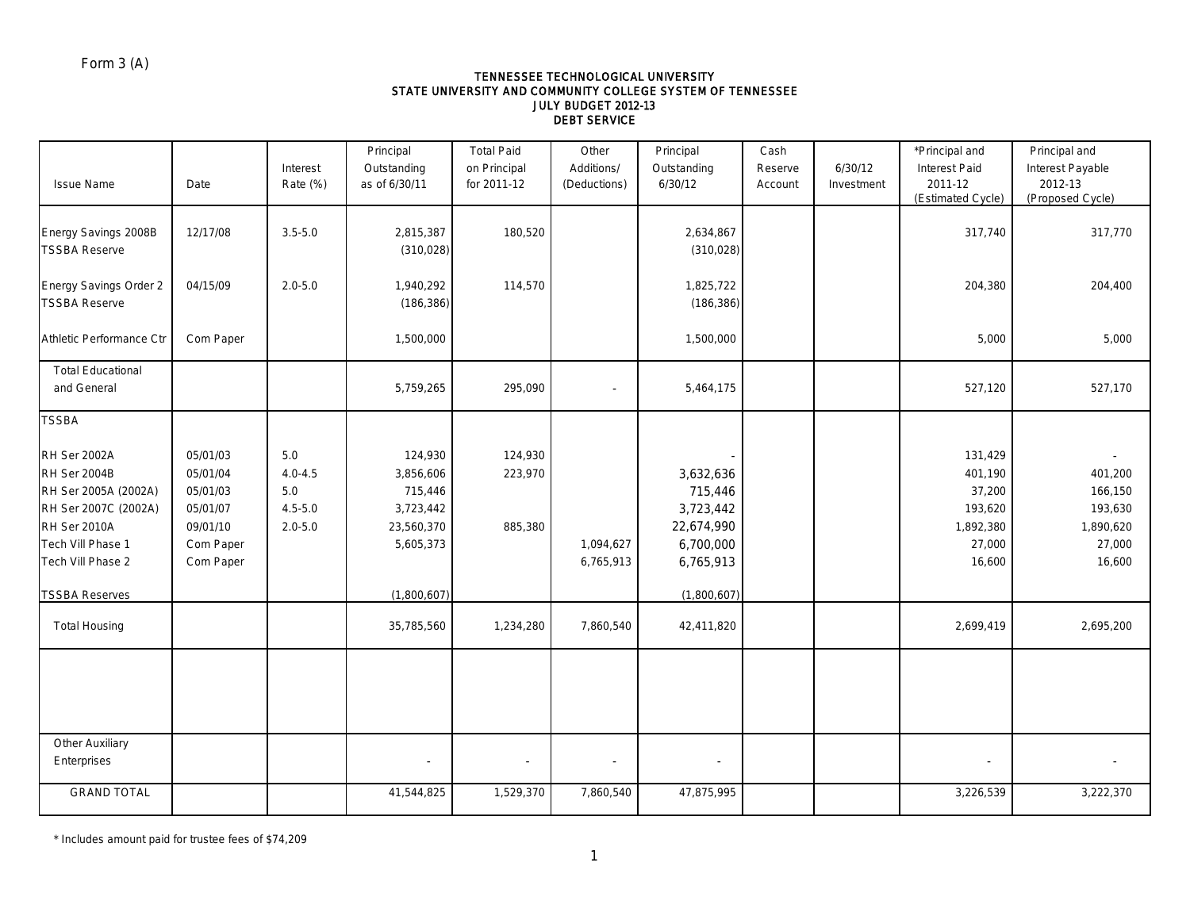#### TENNESSEE TECHNOLOGICAL UNIVERSITY STATE UNIVERSITY AND COMMUNITY COLLEGE SYSTEM OF TENNESSEE JULY BUDGET 2012-13 DEBT SERVICE

|                          |           |             | Principal                | <b>Total Paid</b> | Other                    | Principal   | Cash    |            | *Principal and    | Principal and    |
|--------------------------|-----------|-------------|--------------------------|-------------------|--------------------------|-------------|---------|------------|-------------------|------------------|
|                          |           | Interest    | Outstanding              | on Principal      | Additions/               | Outstanding | Reserve | 6/30/12    | Interest Paid     | Interest Payable |
| <b>Issue Name</b>        | Date      | Rate (%)    | as of 6/30/11            | for 2011-12       | (Deductions)             | 6/30/12     | Account | Investment | 2011-12           | 2012-13          |
|                          |           |             |                          |                   |                          |             |         |            | (Estimated Cycle) | (Proposed Cycle) |
|                          |           |             |                          |                   |                          |             |         |            |                   |                  |
| Energy Savings 2008B     | 12/17/08  | $3.5 - 5.0$ | 2,815,387                | 180,520           |                          | 2,634,867   |         |            | 317,740           | 317,770          |
| <b>TSSBA Reserve</b>     |           |             | (310, 028)               |                   |                          | (310, 028)  |         |            |                   |                  |
|                          |           |             |                          |                   |                          |             |         |            |                   |                  |
| Energy Savings Order 2   | 04/15/09  | $2.0 - 5.0$ | 1,940,292                | 114,570           |                          | 1,825,722   |         |            | 204,380           | 204,400          |
| <b>TSSBA Reserve</b>     |           |             | (186, 386)               |                   |                          | (186, 386)  |         |            |                   |                  |
|                          |           |             |                          |                   |                          |             |         |            |                   |                  |
| Athletic Performance Ctr | Com Paper |             | 1,500,000                |                   |                          | 1,500,000   |         |            | 5,000             | 5,000            |
|                          |           |             |                          |                   |                          |             |         |            |                   |                  |
| <b>Total Educational</b> |           |             |                          |                   |                          |             |         |            |                   |                  |
| and General              |           |             | 5,759,265                | 295,090           |                          | 5,464,175   |         |            | 527,120           | 527,170          |
|                          |           |             |                          |                   |                          |             |         |            |                   |                  |
| <b>TSSBA</b>             |           |             |                          |                   |                          |             |         |            |                   |                  |
|                          |           |             |                          |                   |                          |             |         |            |                   |                  |
| RH Ser 2002A             | 05/01/03  | 5.0         | 124,930                  | 124,930           |                          |             |         |            | 131,429           |                  |
| RH Ser 2004B             | 05/01/04  | $4.0 - 4.5$ | 3,856,606                | 223,970           |                          | 3,632,636   |         |            | 401,190           | 401,200          |
| RH Ser 2005A (2002A)     | 05/01/03  | 5.0         | 715,446                  |                   |                          | 715,446     |         |            | 37,200            | 166,150          |
| RH Ser 2007C (2002A)     | 05/01/07  | $4.5 - 5.0$ | 3,723,442                |                   |                          | 3,723,442   |         |            | 193,620           | 193,630          |
| RH Ser 2010A             | 09/01/10  | $2.0 - 5.0$ | 23,560,370               | 885,380           |                          | 22,674,990  |         |            | 1,892,380         | 1,890,620        |
| Tech Vill Phase 1        | Com Paper |             | 5,605,373                |                   | 1,094,627                | 6,700,000   |         |            | 27,000            | 27,000           |
| Tech Vill Phase 2        |           |             |                          |                   |                          |             |         |            |                   |                  |
|                          | Com Paper |             |                          |                   | 6,765,913                | 6,765,913   |         |            | 16,600            | 16,600           |
| <b>TSSBA Reserves</b>    |           |             | (1,800,607)              |                   |                          | (1,800,607) |         |            |                   |                  |
|                          |           |             |                          |                   |                          |             |         |            |                   |                  |
| <b>Total Housing</b>     |           |             | 35,785,560               | 1,234,280         | 7,860,540                | 42,411,820  |         |            | 2,699,419         | 2,695,200        |
|                          |           |             |                          |                   |                          |             |         |            |                   |                  |
|                          |           |             |                          |                   |                          |             |         |            |                   |                  |
|                          |           |             |                          |                   |                          |             |         |            |                   |                  |
|                          |           |             |                          |                   |                          |             |         |            |                   |                  |
|                          |           |             |                          |                   |                          |             |         |            |                   |                  |
|                          |           |             |                          |                   |                          |             |         |            |                   |                  |
| Other Auxiliary          |           |             |                          |                   |                          |             |         |            |                   |                  |
| Enterprises              |           |             | $\overline{\phantom{a}}$ |                   | $\overline{\phantom{a}}$ |             |         |            |                   |                  |
|                          |           |             |                          |                   |                          |             |         |            |                   |                  |
| <b>GRAND TOTAL</b>       |           |             | 41,544,825               | 1,529,370         | 7,860,540                | 47,875,995  |         |            | 3,226,539         | 3,222,370        |

\* Includes amount paid for trustee fees of \$74,209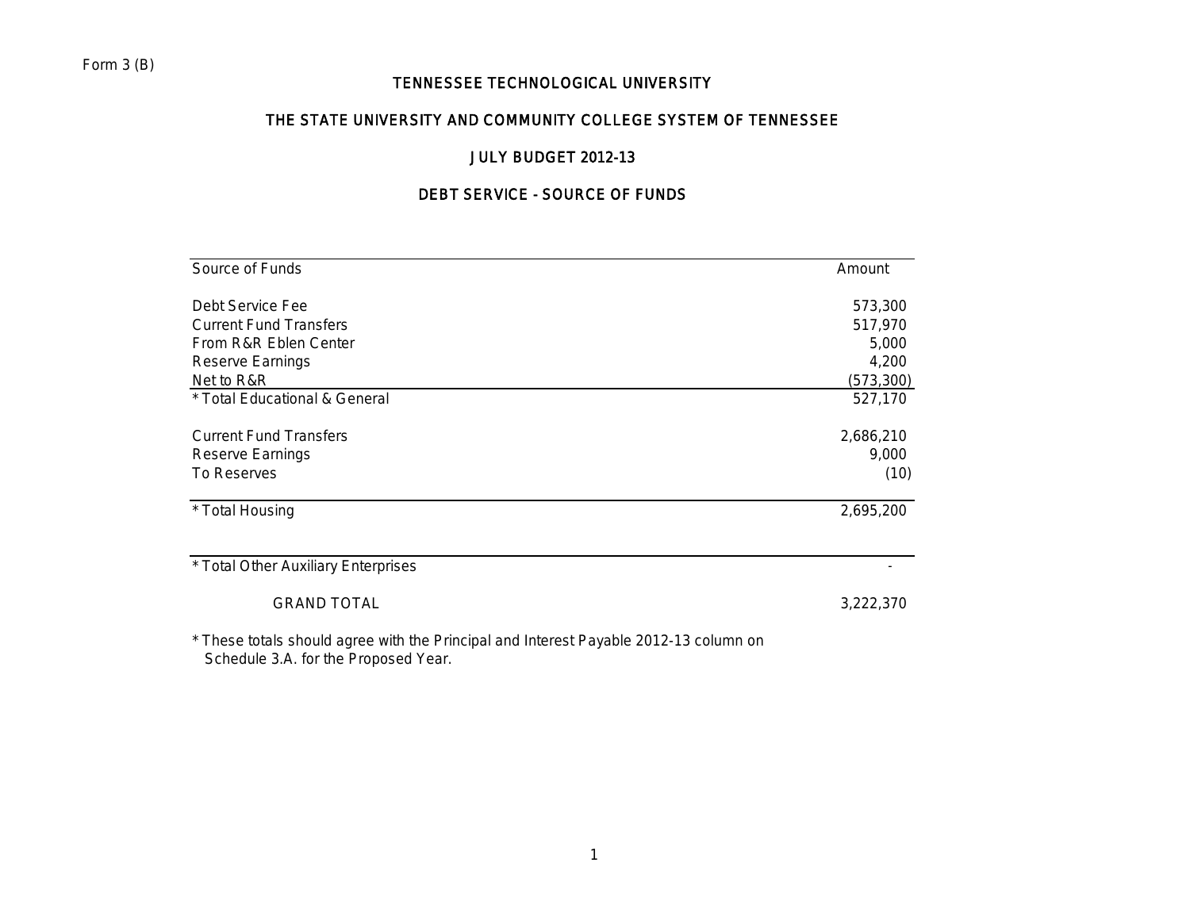# TENNESSEE TECHNOLOGICAL UNIVERSITY

# THE STATE UNIVERSITY AND COMMUNITY COLLEGE SYSTEM OF TENNESSEE

# JULY BUDGET 2012-13

# DEBT SERVICE - SOURCE OF FUNDS

| Source of Funds                                                                       | Amount     |
|---------------------------------------------------------------------------------------|------------|
| Debt Service Fee                                                                      | 573,300    |
| <b>Current Fund Transfers</b>                                                         | 517,970    |
| From R&R Eblen Center                                                                 | 5,000      |
| Reserve Earnings                                                                      | 4,200      |
| Net to R&R                                                                            | (573, 300) |
| * Total Educational & General                                                         | 527,170    |
| <b>Current Fund Transfers</b>                                                         | 2,686,210  |
| Reserve Earnings                                                                      | 9,000      |
| To Reserves                                                                           | (10)       |
| * Total Housing                                                                       | 2,695,200  |
| * Total Other Auxiliary Enterprises                                                   |            |
| <b>GRAND TOTAL</b>                                                                    | 3,222,370  |
| * These totals should saves with the Drinsinal and Interest Doughle 2012 12 solumn an |            |

These totals should agree with the Principal and Interest Payable 2012-13 column on Schedule 3.A. for the Proposed Year.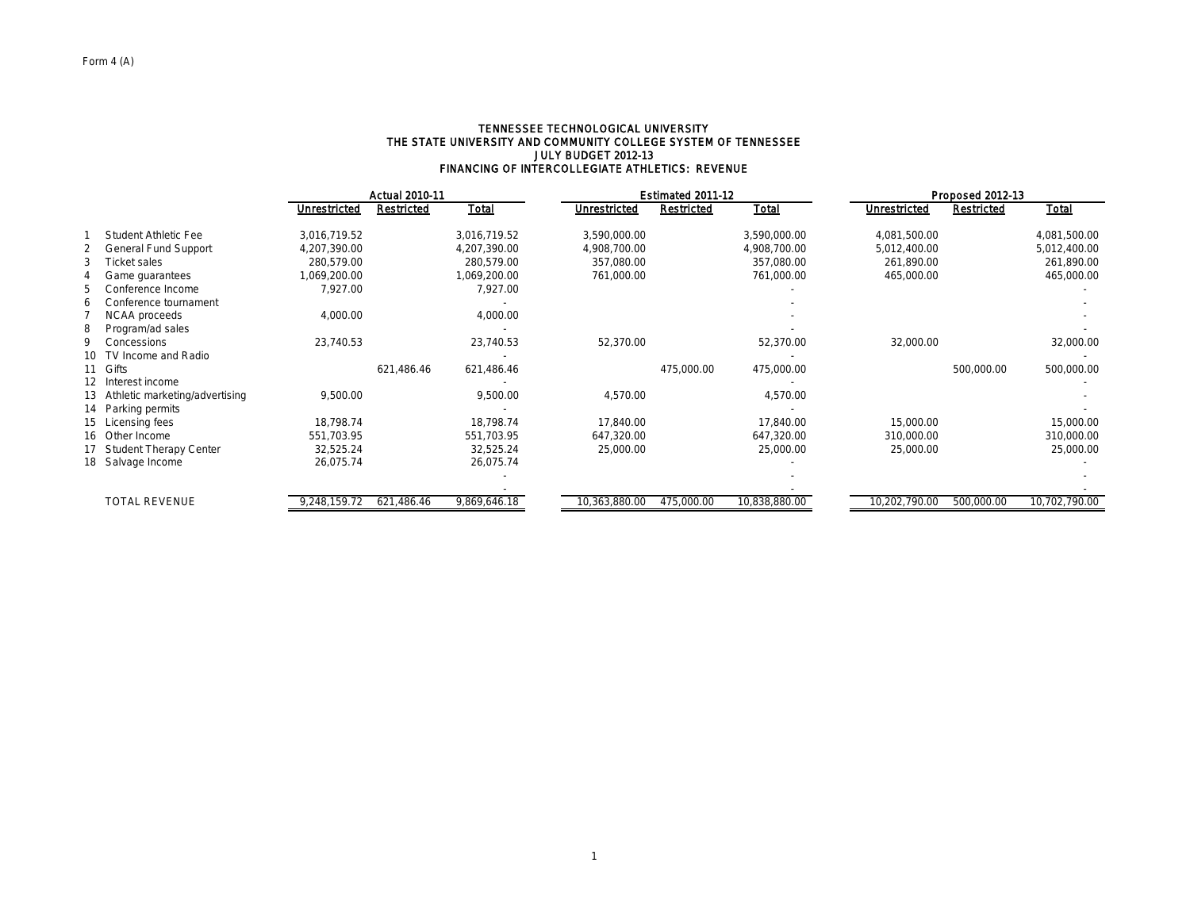#### TENNESSEE TECHNOLOGICAL UNIVERSITY THE STATE UNIVERSITY AND COMMUNITY COLLEGE SYSTEM OF TENNESSEE JULY BUDGET 2012-13 FINANCING OF INTERCOLLEGIATE ATHLETICS: REVENUE

| <b>Total</b><br>Total<br>Unrestricted<br>Restricted<br>Unrestricted<br><b>Restricted</b><br>Unrestricted<br>Student Athletic Fee<br>3,016,719.52<br>3,016,719.52<br>3,590,000.00<br>4,081,500.00<br>3,590,000.00<br><b>General Fund Support</b><br>4,207,390.00<br>4,207,390.00<br>4,908,700.00<br>4,908,700.00<br>5,012,400.00<br><b>Ticket sales</b><br>280,579.00<br>280,579.00<br>357,080.00<br>357,080.00<br>261,890.00 | Total<br><b>Restricted</b><br>4,081,500.00<br>5,012,400.00 |
|------------------------------------------------------------------------------------------------------------------------------------------------------------------------------------------------------------------------------------------------------------------------------------------------------------------------------------------------------------------------------------------------------------------------------|------------------------------------------------------------|
|                                                                                                                                                                                                                                                                                                                                                                                                                              |                                                            |
|                                                                                                                                                                                                                                                                                                                                                                                                                              |                                                            |
|                                                                                                                                                                                                                                                                                                                                                                                                                              |                                                            |
|                                                                                                                                                                                                                                                                                                                                                                                                                              | 261,890.00                                                 |
| 761,000.00<br>1,069,200.00<br>1,069,200.00<br>761,000.00<br>465,000.00<br>Game guarantees                                                                                                                                                                                                                                                                                                                                    | 465,000.00                                                 |
| 7,927.00<br>7,927.00<br>5<br>Conference Income                                                                                                                                                                                                                                                                                                                                                                               |                                                            |
| Conference tournament<br>6                                                                                                                                                                                                                                                                                                                                                                                                   |                                                            |
| 4,000.00<br>4,000.00<br>NCAA proceeds                                                                                                                                                                                                                                                                                                                                                                                        |                                                            |
| 8<br>Program/ad sales                                                                                                                                                                                                                                                                                                                                                                                                        |                                                            |
| 23,740.53<br>23,740.53<br>52,370.00<br>52,370.00<br>32,000.00<br>q<br>Concessions                                                                                                                                                                                                                                                                                                                                            | 32,000.00                                                  |
| TV Income and Radio<br>10                                                                                                                                                                                                                                                                                                                                                                                                    |                                                            |
| Gifts<br>621,486.46<br>621,486.46<br>475,000.00<br>475,000.00                                                                                                                                                                                                                                                                                                                                                                | 500,000.00<br>500,000.00                                   |
| 12 Interest income                                                                                                                                                                                                                                                                                                                                                                                                           |                                                            |
| 9,500.00<br>9,500.00<br>4,570.00<br>4,570.00<br>13 Athletic marketing/advertising                                                                                                                                                                                                                                                                                                                                            |                                                            |
| 14 Parking permits                                                                                                                                                                                                                                                                                                                                                                                                           |                                                            |
| 18,798.74<br>18,798.74<br>17,840.00<br>17,840.00<br>15,000.00<br>15 Licensing fees                                                                                                                                                                                                                                                                                                                                           | 15,000.00                                                  |
| 16 Other Income<br>647,320.00<br>551,703.95<br>551,703.95<br>647,320.00<br>310,000.00                                                                                                                                                                                                                                                                                                                                        | 310,000.00                                                 |
| 17 Student Therapy Center<br>32,525.24<br>32,525.24<br>25,000.00<br>25,000.00<br>25,000.00                                                                                                                                                                                                                                                                                                                                   | 25,000.00                                                  |
| 18 Salvage Income<br>26,075.74<br>26,075.74                                                                                                                                                                                                                                                                                                                                                                                  |                                                            |
|                                                                                                                                                                                                                                                                                                                                                                                                                              |                                                            |
|                                                                                                                                                                                                                                                                                                                                                                                                                              |                                                            |
| <b>TOTAL REVENUE</b><br>621,486.46<br>9,869,646.18<br>10,363,880.00<br>475,000.00<br>10,838,880.00<br>10,202,790.00<br>9,248,159.72                                                                                                                                                                                                                                                                                          | 500,000.00<br>10,702,790.00                                |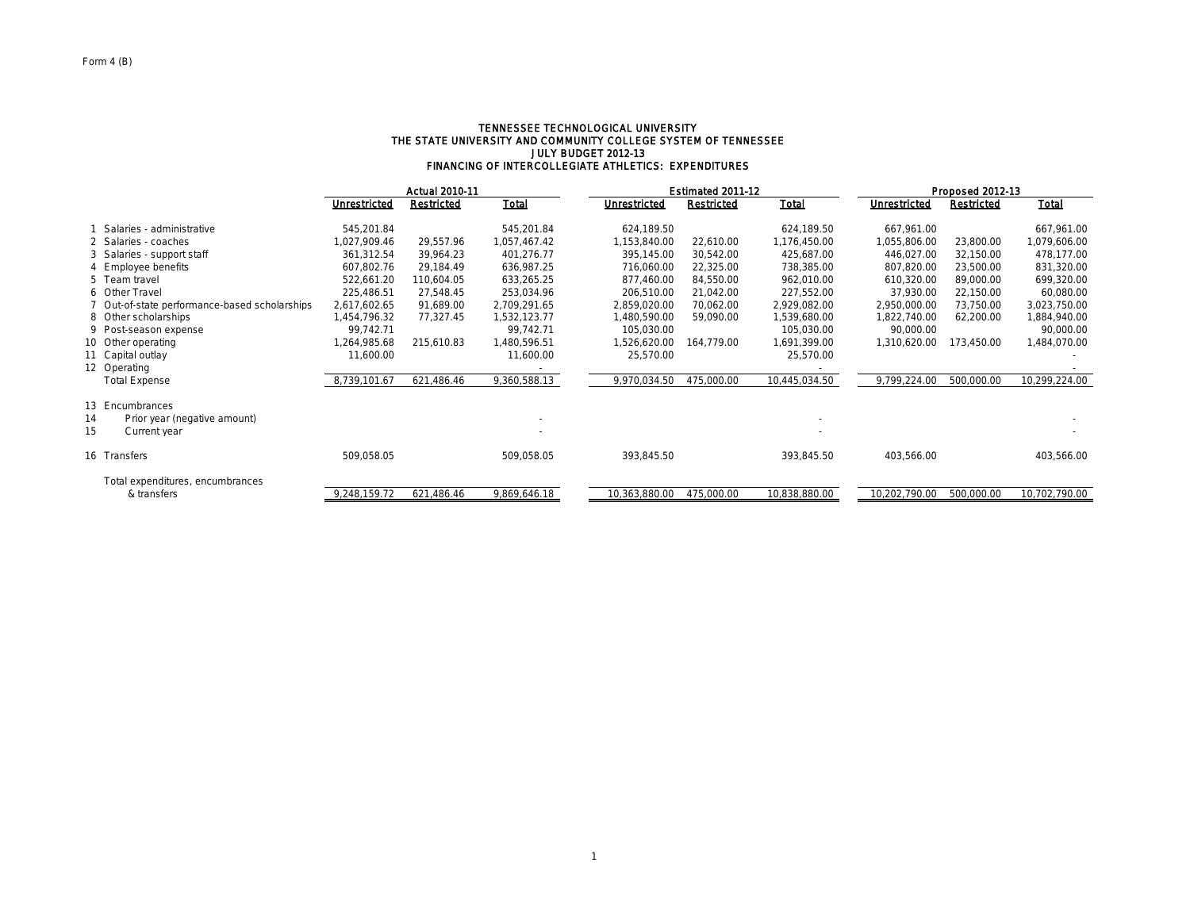#### TENNESSEE TECHNOLOGICAL UNIVERSITY THE STATE UNIVERSITY AND COMMUNITY COLLEGE SYSTEM OF TENNESSEE JULY BUDGET 2012-13 FINANCING OF INTERCOLLEGIATE ATHLETICS: EXPENDITURES

|                                               | <b>Actual 2010-11</b> |            |              |               | Estimated 2011-12 |               |               | Proposed 2012-13  |               |  |  |  |
|-----------------------------------------------|-----------------------|------------|--------------|---------------|-------------------|---------------|---------------|-------------------|---------------|--|--|--|
|                                               | Unrestricted          | Restricted | Total        | Unrestricted  | <b>Restricted</b> | Total         | Unrestricted  | <b>Restricted</b> | <b>Total</b>  |  |  |  |
| Salaries - administrative                     | 545,201.84            |            | 545,201.84   | 624,189.50    |                   | 624,189.50    | 667,961.00    |                   | 667,961.00    |  |  |  |
| 2 Salaries - coaches                          | 1,027,909.46          | 29,557.96  | 1,057,467.42 | 1,153,840.00  | 22,610.00         | 1,176,450.00  | 1,055,806.00  | 23,800.00         | 1,079,606.00  |  |  |  |
| 3 Salaries - support staff                    | 361,312.54            | 39,964.23  | 401,276.77   | 395,145.00    | 30,542.00         | 425,687.00    | 446,027.00    | 32,150.00         | 478,177.00    |  |  |  |
| 4 Employee benefits                           | 607,802.76            | 29.184.49  | 636,987.25   | 716,060.00    | 22,325.00         | 738,385.00    | 807,820.00    | 23,500.00         | 831,320.00    |  |  |  |
| 5 Team travel                                 | 522,661.20            | 110,604.05 | 633,265.25   | 877,460.00    | 84,550.00         | 962,010.00    | 610,320.00    | 89,000.00         | 699,320.00    |  |  |  |
| 6 Other Travel                                | 225,486.51            | 27,548.45  | 253,034.96   | 206,510.00    | 21,042.00         | 227,552.00    | 37,930.00     | 22,150.00         | 60,080.00     |  |  |  |
| 7 Out-of-state performance-based scholarships | 2,617,602.65          | 91,689.00  | 2,709,291.65 | 2,859,020.00  | 70,062.00         | 2,929,082.00  | 2,950,000.00  | 73,750.00         | 3,023,750.00  |  |  |  |
| 8 Other scholarships                          | 1,454,796.32          | 77,327.45  | 1,532,123.77 | 480,590.00    | 59,090.00         | 1,539,680.00  | 1,822,740.00  | 62,200.00         | 1,884,940.00  |  |  |  |
| 9 Post-season expense                         | 99,742.71             |            | 99,742.71    | 105,030.00    |                   | 105,030.00    | 90,000.00     |                   | 90,000.00     |  |  |  |
| 10 Other operating                            | 1,264,985.68          | 215,610.83 | 1,480,596.51 | 1,526,620.00  | 164,779.00        | 1,691,399.00  | 1,310,620.00  | 173,450.00        | 1,484,070.00  |  |  |  |
| 11 Capital outlay                             | 11,600.00             |            | 11,600.00    | 25,570.00     |                   | 25,570.00     |               |                   |               |  |  |  |
| 12 Operating                                  |                       |            |              |               |                   |               |               |                   |               |  |  |  |
| <b>Total Expense</b>                          | 8,739,101.67          | 621,486.46 | 9,360,588.13 | 9,970,034.50  | 475,000.00        | 10,445,034.50 | 9,799,224.00  | 500,000.00        | 10,299,224.00 |  |  |  |
| 13 Encumbrances                               |                       |            |              |               |                   |               |               |                   |               |  |  |  |
| Prior year (negative amount)<br>14            |                       |            |              |               |                   |               |               |                   |               |  |  |  |
| 15<br>Current year                            |                       |            |              |               |                   |               |               |                   |               |  |  |  |
| 16 Transfers                                  | 509,058.05            |            | 509,058.05   | 393,845.50    |                   | 393,845.50    | 403,566.00    |                   | 403,566.00    |  |  |  |
| Total expenditures, encumbrances              |                       |            |              |               |                   |               |               |                   |               |  |  |  |
| & transfers                                   | 9,248,159.72          | 621,486.46 | 9,869,646.18 | 10,363,880.00 | 475,000.00        | 10,838,880.00 | 10,202,790.00 | 500,000.00        | 10,702,790.00 |  |  |  |
|                                               |                       |            |              |               |                   |               |               |                   |               |  |  |  |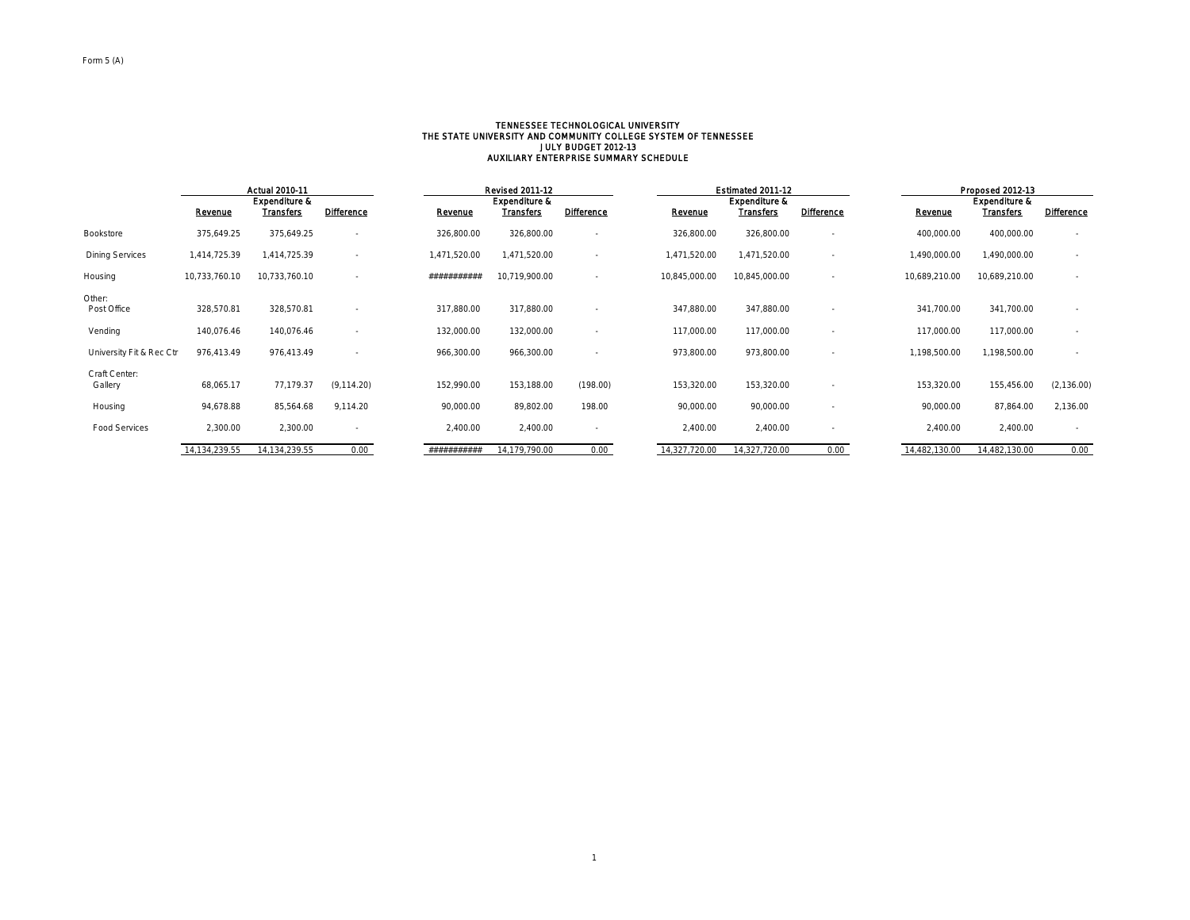# TENNESSEE TECHNOLOGICAL UNIVERSITY<br>THE STATE UNIVERSITY AND COMMUNITY COLLEGE SYSTEM OF TENNESSEE<br>AUXILIARY ENTERPRISE SUMMARY SCHEDULE<br>AUXILIARY ENTERPRISE SUMMARY SCHEDULE

|                          | <b>Actual 2010-11</b> |                                       |                          |              | <b>Revised 2011-12</b>                       |                          |               | Estimated 2011-12                            |                          |               | Proposed 2012-13                             |                   |  |
|--------------------------|-----------------------|---------------------------------------|--------------------------|--------------|----------------------------------------------|--------------------------|---------------|----------------------------------------------|--------------------------|---------------|----------------------------------------------|-------------------|--|
|                          | Revenue               | <b>Expenditure &amp;</b><br>Transfers | <b>Difference</b>        | Revenue      | <b>Expenditure &amp;</b><br><b>Transfers</b> | <b>Difference</b>        | Revenue       | <b>Expenditure &amp;</b><br><b>Transfers</b> | <b>Difference</b>        | Revenue       | <b>Expenditure &amp;</b><br><b>Transfers</b> | <b>Difference</b> |  |
|                          |                       |                                       |                          |              |                                              |                          |               |                                              |                          |               |                                              |                   |  |
| Bookstore                | 375,649.25            | 375,649.25                            | $\overline{\phantom{a}}$ | 326,800.00   | 326,800.00                                   | $\sim$                   | 326,800.00    | 326,800.00                                   |                          | 400,000.00    | 400,000.00                                   |                   |  |
| <b>Dining Services</b>   | 1,414,725.39          | 1,414,725.39                          | $\overline{\phantom{a}}$ | 1,471,520.00 | 1,471,520.00                                 | $\sim$                   | 1,471,520.00  | 1,471,520.00                                 |                          | 1,490,000.00  | 1,490,000.00                                 |                   |  |
| Housing                  | 10,733,760.10         | 10,733,760.10                         | $\overline{\phantom{a}}$ | ###########  | 10,719,900.00                                | ٠                        | 10,845,000.00 | 10,845,000.00                                |                          | 10,689,210.00 | 10,689,210.00                                |                   |  |
| Other:                   |                       |                                       |                          |              |                                              |                          |               |                                              |                          |               |                                              |                   |  |
| Post Office              | 328,570.81            | 328,570.81                            | $\overline{\phantom{a}}$ | 317,880.00   | 317,880.00                                   | $\sim$                   | 347,880.00    | 347,880.00                                   | $\overline{\phantom{a}}$ | 341,700.00    | 341,700.00                                   | $\sim$            |  |
| Vending                  | 140,076.46            | 140,076.46                            |                          | 132,000.00   | 132,000.00                                   | ٠                        | 117,000.00    | 117,000.00                                   |                          | 117,000.00    | 117,000.00                                   | $\sim$            |  |
| University Fit & Rec Ctr | 976,413.49            | 976,413.49                            |                          | 966,300.00   | 966,300.00                                   | ٠                        | 973,800.00    | 973,800.00                                   |                          | 1,198,500.00  | 1,198,500.00                                 | $\sim$            |  |
|                          |                       |                                       |                          |              |                                              |                          |               |                                              |                          |               |                                              |                   |  |
| Craft Center:<br>Gallery | 68,065.17             | 77,179.37                             | (9, 114.20)              | 152,990.00   | 153,188.00                                   | (198.00)                 | 153,320.00    | 153,320.00                                   |                          | 153,320.00    | 155,456.00                                   | (2, 136.00)       |  |
| Housing                  | 94,678.88             | 85,564.68                             | 9,114.20                 | 90,000.00    | 89,802.00                                    | 198.00                   | 90,000.00     | 90,000.00                                    |                          | 90,000.00     | 87,864.00                                    | 2,136.00          |  |
| <b>Food Services</b>     | 2,300.00              | 2,300.00                              | ۰.                       | 2,400.00     | 2,400.00                                     | $\overline{\phantom{a}}$ | 2,400.00      | 2,400.00                                     |                          | 2,400.00      | 2,400.00                                     | $\sim$            |  |
|                          | 14,134,239.55         | 14,134,239.55                         | 0.00                     | ###########  | 14,179,790.00                                | 0.00                     | 14,327,720.00 | 14,327,720.00                                | 0.00                     | 14,482,130.00 | 14,482,130.00                                | 0.00              |  |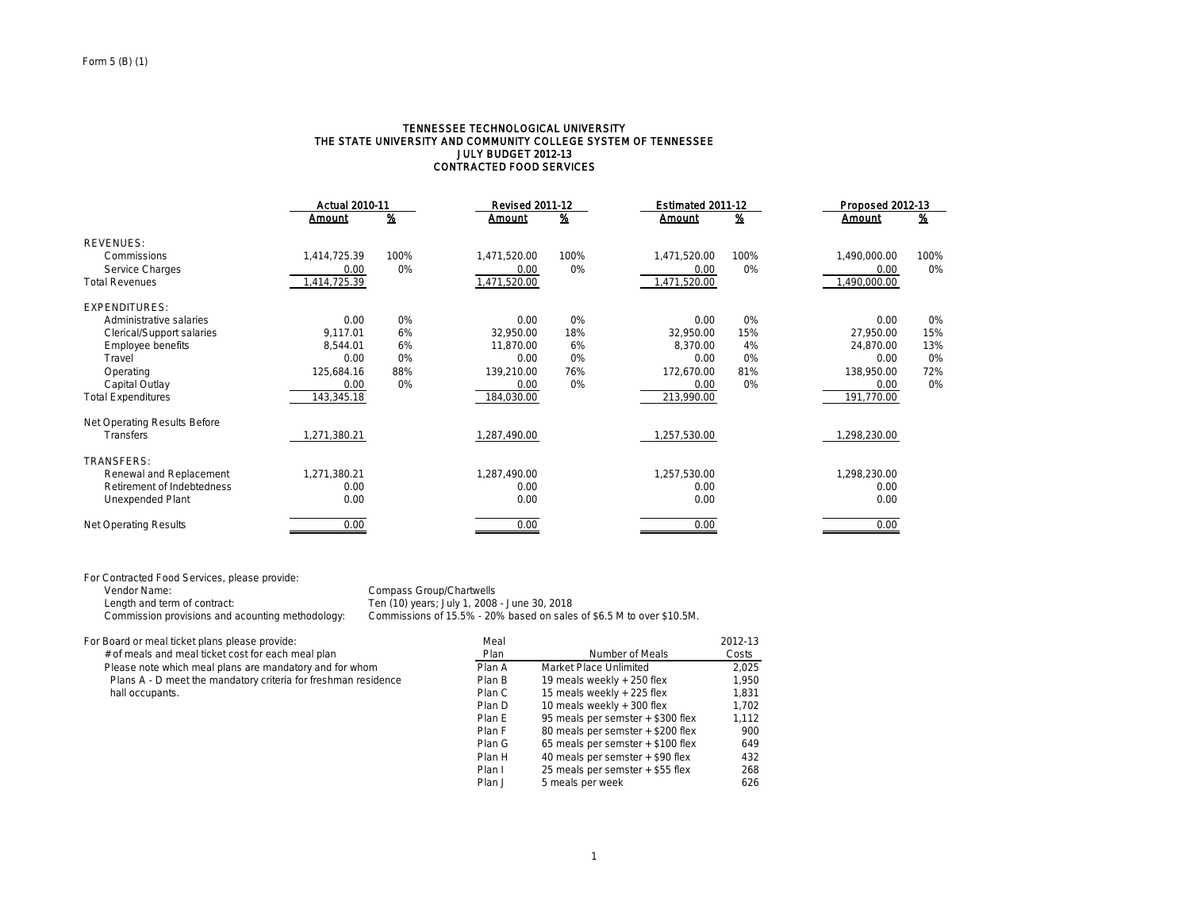#### TENNESSEE TECHNOLOGICAL UNIVERSITY THE STATE UNIVERSITY AND COMMUNITY COLLEGE SYSTEM OF TENNESSEE JULY BUDGET 2012-13 CONTRACTED FOOD SERVICES

|                              | <b>Actual 2010-11</b> |               | <b>Revised 2011-12</b> |          | Estimated 2011-12 |               | Proposed 2012-13 |          |
|------------------------------|-----------------------|---------------|------------------------|----------|-------------------|---------------|------------------|----------|
|                              | <b>Amount</b>         | $\frac{9}{6}$ | Amount                 | <u>%</u> | Amount            | $\frac{9}{6}$ | Amount           | <u>%</u> |
| <b>REVENUES:</b>             |                       |               |                        |          |                   |               |                  |          |
| Commissions                  | 1,414,725.39          | 100%          | 1,471,520.00           | 100%     | 1,471,520.00      | 100%          | 1,490,000.00     | 100%     |
| Service Charges              | 0.00                  | 0%            | 0.00                   | 0%       | 0.00              | 0%            | 0.00             | 0%       |
| <b>Total Revenues</b>        | 1,414,725.39          |               | 1,471,520.00           |          | 1,471,520.00      |               | 1,490,000.00     |          |
| <b>EXPENDITURES:</b>         |                       |               |                        |          |                   |               |                  |          |
| Administrative salaries      | 0.00                  | 0%            | 0.00                   | 0%       | 0.00              | 0%            | 0.00             | 0%       |
| Clerical/Support salaries    | 9,117.01              | 6%            | 32,950.00              | 18%      | 32,950.00         | 15%           | 27,950.00        | 15%      |
| Employee benefits            | 8.544.01              | 6%            | 11,870.00              | 6%       | 8.370.00          | 4%            | 24.870.00        | 13%      |
| Travel                       | 0.00                  | 0%            | 0.00                   | 0%       | 0.00              | 0%            | 0.00             | 0%       |
| Operating                    | 125,684.16            | 88%           | 139,210.00             | 76%      | 172,670.00        | 81%           | 138,950.00       | 72%      |
| Capital Outlay               | 0.00                  | 0%            | 0.00                   | 0%       | 0.00              | 0%            | 0.00             | 0%       |
| <b>Total Expenditures</b>    | 143,345.18            |               | 184,030.00             |          | 213,990.00        |               | 191,770.00       |          |
| Net Operating Results Before |                       |               |                        |          |                   |               |                  |          |
| <b>Transfers</b>             | 1,271,380.21          |               | 1,287,490.00           |          | 1,257,530.00      |               | 1,298,230.00     |          |
| <b>TRANSFERS:</b>            |                       |               |                        |          |                   |               |                  |          |
| Renewal and Replacement      | 1,271,380.21          |               | 1,287,490.00           |          | 1,257,530.00      |               | 1,298,230.00     |          |
| Retirement of Indebtedness   | 0.00                  |               | 0.00                   |          | 0.00              |               | 0.00             |          |
| Unexpended Plant             | 0.00                  |               | 0.00                   |          | 0.00              |               | 0.00             |          |
| <b>Net Operating Results</b> | 0.00                  |               | 0.00                   |          | 0.00              |               | 0.00             |          |

For Contracted Food Services, please provide:

Vendor Name:<br>
Length and term of contract:<br>
Length and term of contract:<br>  $\frac{1}{2}$  Ten (10) years; July 1, 2008

Length and term of contract: Ten (10) years; July 1, 2008 - June 30, 2018<br>Commission provisions and acounting methodology: Commissions of 15.5% - 20% based on sales Commissions of 15.5% - 20% based on sales of \$6.5 M to over \$10.5M.

For Board or meal ticket plans please provide: Meal 2012-13 Please note which meal plans are mandatory and for whom

| Board or meal ticket plans please provide:                     | mear   |                                   | 2012-13 |
|----------------------------------------------------------------|--------|-----------------------------------|---------|
| # of meals and meal ticket cost for each meal plan             | Plan   | Number of Meals                   | Costs   |
| Please note which meal plans are mandatory and for whom        | Plan A | Market Place Unlimited            | 2.025   |
| Plans A - D meet the mandatory criteria for freshman residence | Plan B | 19 meals weekly + 250 flex        | 1.950   |
| hall occupants.                                                | Plan C | 15 meals weekly + 225 flex        | 1.831   |
|                                                                | Plan D | 10 meals weekly + 300 flex        | 1.702   |
|                                                                | Plan E | 95 meals per semster + \$300 flex | 1.112   |
|                                                                | Plan F | 80 meals per semster + \$200 flex | 900     |
|                                                                | Plan G | 65 meals per semster + \$100 flex | 649     |
|                                                                | Plan H | 40 meals per semster + \$90 flex  | 432     |
|                                                                | Plan I | 25 meals per semster + \$55 flex  | 268     |
|                                                                | Plan J | 5 meals per week                  | 626     |
|                                                                |        |                                   |         |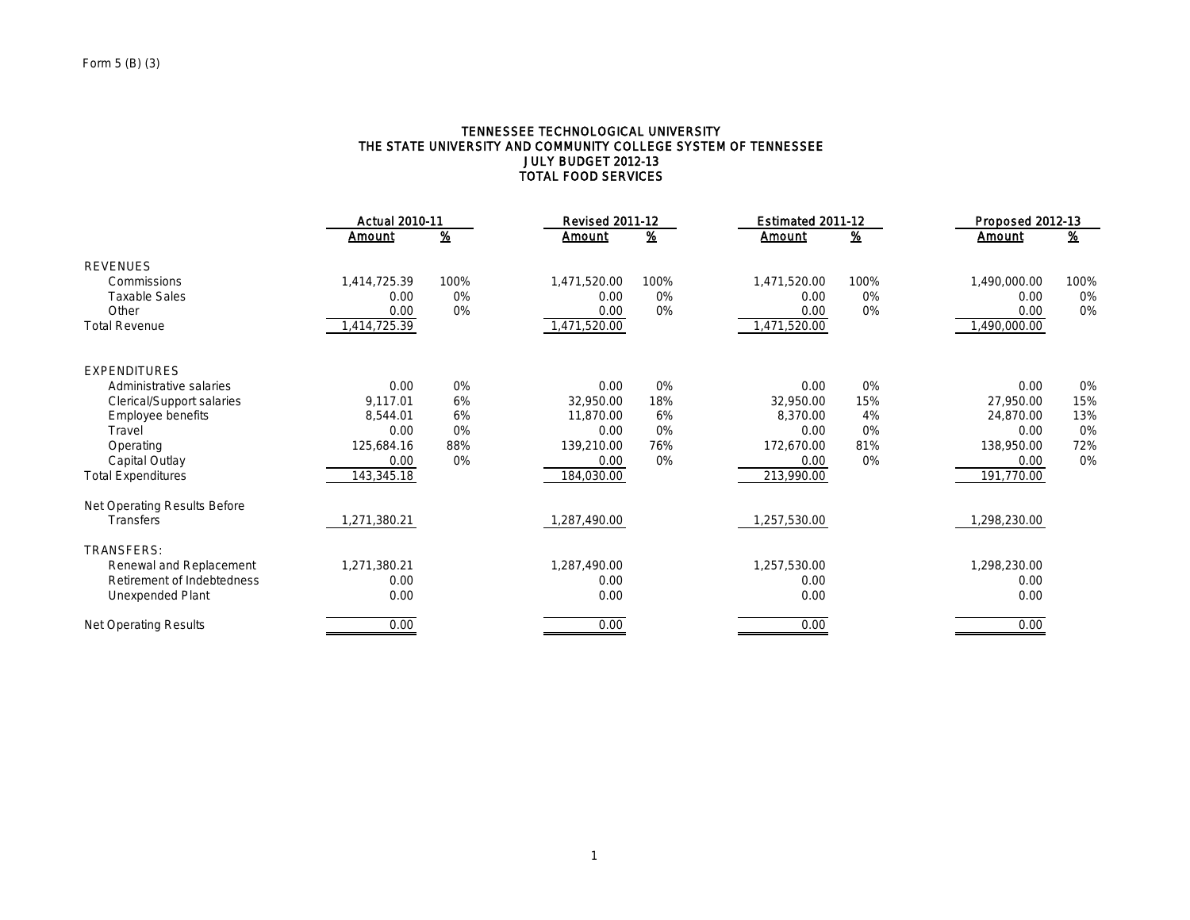## TENNESSEE TECHNOLOGICAL UNIVERSITY THE STATE UNIVERSITY AND COMMUNITY COLLEGE SYSTEM OF TENNESSEE JULY BUDGET 2012-13 TOTAL FOOD SERVICES

|                              | <b>Actual 2010-11</b> |                         | <b>Revised 2011-12</b> |                         | Estimated 2011-12 |          | Proposed 2012-13 |                           |
|------------------------------|-----------------------|-------------------------|------------------------|-------------------------|-------------------|----------|------------------|---------------------------|
|                              | Amount                | $\overline{\mathbf{z}}$ | Amount                 | $\overline{\mathbf{z}}$ | Amount            | <u>%</u> | Amount           | $\underline{\mathcal{X}}$ |
| <b>REVENUES</b>              |                       |                         |                        |                         |                   |          |                  |                           |
| Commissions                  | 1,414,725.39          | 100%                    | 1,471,520.00           | 100%                    | 1,471,520.00      | 100%     | 1,490,000.00     | 100%                      |
| <b>Taxable Sales</b>         | 0.00                  | 0%                      | 0.00                   | 0%                      | 0.00              | 0%       | 0.00             | 0%                        |
| Other                        | 0.00                  | 0%                      | 0.00                   | 0%                      | 0.00              | 0%       | 0.00             | 0%                        |
| <b>Total Revenue</b>         | 1,414,725.39          |                         | 1,471,520.00           |                         | 1,471,520.00      |          | 1,490,000.00     |                           |
| <b>EXPENDITURES</b>          |                       |                         |                        |                         |                   |          |                  |                           |
| Administrative salaries      | 0.00                  | 0%                      | 0.00                   | 0%                      | 0.00              | 0%       | 0.00             | 0%                        |
| Clerical/Support salaries    | 9.117.01              | 6%                      | 32,950.00              | 18%                     | 32,950.00         | 15%      | 27.950.00        | 15%                       |
| Employee benefits            | 8.544.01              | 6%                      | 11,870.00              | 6%                      | 8,370.00          | 4%       | 24.870.00        | 13%                       |
| Travel                       | 0.00                  | 0%                      | 0.00                   | 0%                      | 0.00              | 0%       | 0.00             | 0%                        |
| Operating                    | 125,684.16            | 88%                     | 139,210.00             | 76%                     | 172.670.00        | 81%      | 138,950.00       | 72%                       |
| Capital Outlay               | 0.00                  | 0%                      | 0.00                   | 0%                      | 0.00              | 0%       | 0.00             | 0%                        |
| <b>Total Expenditures</b>    | 143,345.18            |                         | 184,030.00             |                         | 213,990.00        |          | 191,770.00       |                           |
| Net Operating Results Before |                       |                         |                        |                         |                   |          |                  |                           |
| <b>Transfers</b>             | ,271,380.21           |                         | 1,287,490.00           |                         | ,257,530.00       |          | ,298,230.00      |                           |
| <b>TRANSFERS:</b>            |                       |                         |                        |                         |                   |          |                  |                           |
| Renewal and Replacement      | 1,271,380.21          |                         | 1,287,490.00           |                         | 1,257,530.00      |          | 1,298,230.00     |                           |
| Retirement of Indebtedness   | 0.00                  |                         | 0.00                   |                         | 0.00              |          | 0.00             |                           |
| Unexpended Plant             | 0.00                  |                         | 0.00                   |                         | 0.00              |          | 0.00             |                           |
| Net Operating Results        | 0.00                  |                         | 0.00                   |                         | 0.00              |          | 0.00             |                           |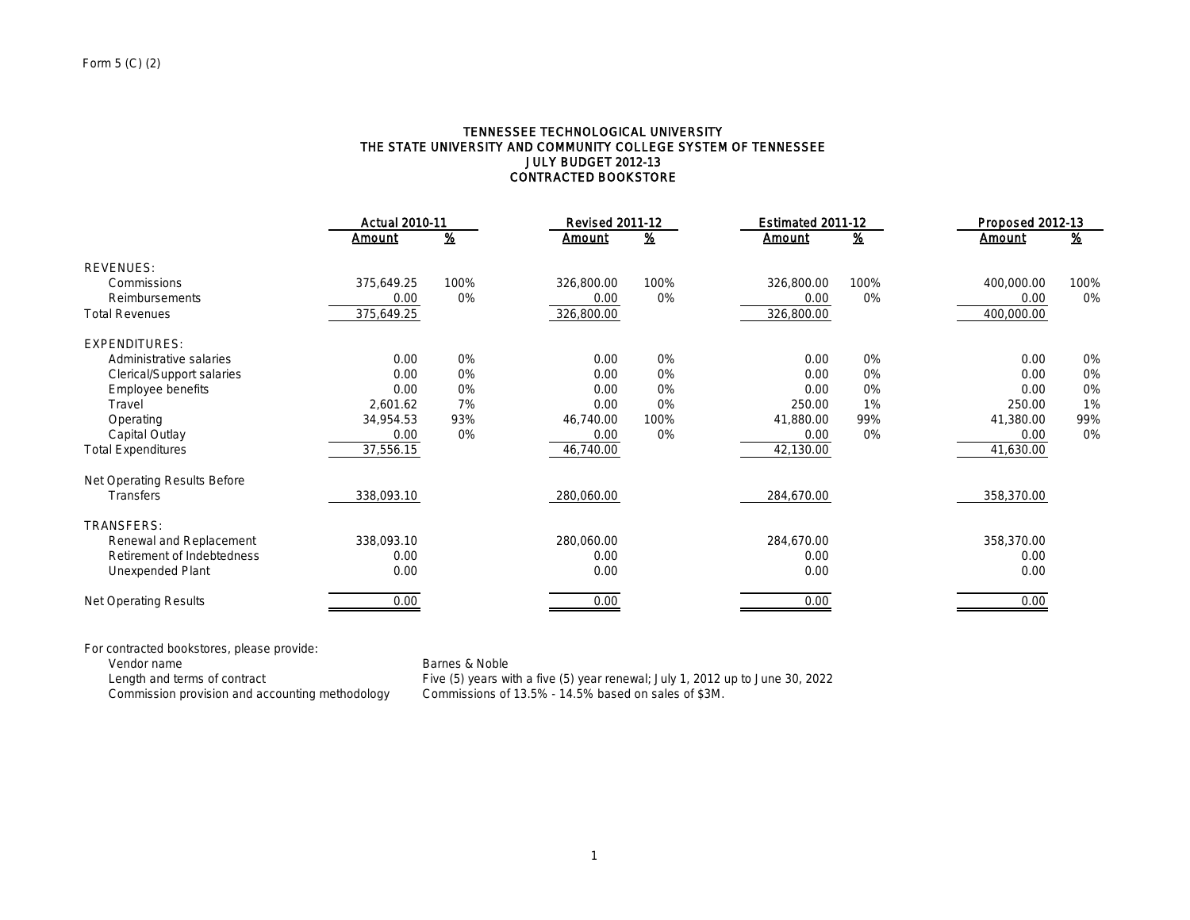### TENNESSEE TECHNOLOGICAL UNIVERSITY THE STATE UNIVERSITY AND COMMUNITY COLLEGE SYSTEM OF TENNESSEE JULY BUDGET 2012-13 CONTRACTED BOOKSTORE

|                              | <b>Actual 2010-11</b> |                          | <b>Revised 2011-12</b> |          | Estimated 2011-12 |                           | Proposed 2012-13 |                           |
|------------------------------|-----------------------|--------------------------|------------------------|----------|-------------------|---------------------------|------------------|---------------------------|
|                              | <b>Amount</b>         | $\overline{\mathscr{L}}$ | <u>Amount</u>          | <u>%</u> | <b>Amount</b>     | $\underline{\mathcal{H}}$ | <b>Amount</b>    | $\underline{\mathcal{X}}$ |
| <b>REVENUES:</b>             |                       |                          |                        |          |                   |                           |                  |                           |
| Commissions                  | 375,649.25            | 100%                     | 326,800.00             | 100%     | 326,800.00        | 100%                      | 400,000.00       | 100%                      |
| Reimbursements               | 0.00                  | 0%                       | 0.00                   | 0%       | 0.00              | 0%                        | 0.00             | 0%                        |
| <b>Total Revenues</b>        | 375,649.25            |                          | 326,800.00             |          | 326,800.00        |                           | 400,000.00       |                           |
| <b>EXPENDITURES:</b>         |                       |                          |                        |          |                   |                           |                  |                           |
| Administrative salaries      | 0.00                  | 0%                       | 0.00                   | 0%       | 0.00              | 0%                        | 0.00             | 0%                        |
| Clerical/Support salaries    | 0.00                  | 0%                       | 0.00                   | 0%       | 0.00              | 0%                        | 0.00             | 0%                        |
| Employee benefits            | 0.00                  | 0%                       | 0.00                   | 0%       | 0.00              | 0%                        | 0.00             | 0%                        |
| Travel                       | 2,601.62              | 7%                       | 0.00                   | 0%       | 250.00            | 1%                        | 250.00           | 1%                        |
| Operating                    | 34,954.53             | 93%                      | 46,740.00              | 100%     | 41,880.00         | 99%                       | 41,380.00        | 99%                       |
| Capital Outlay               | 0.00                  | 0%                       | 0.00                   | 0%       | 0.00              | 0%                        | 0.00             | 0%                        |
| <b>Total Expenditures</b>    | 37,556.15             |                          | 46,740.00              |          | 42,130.00         |                           | 41,630.00        |                           |
| Net Operating Results Before |                       |                          |                        |          |                   |                           |                  |                           |
| <b>Transfers</b>             | 338,093.10            |                          | 280,060.00             |          | 284,670.00        |                           | 358,370.00       |                           |
| TRANSFERS:                   |                       |                          |                        |          |                   |                           |                  |                           |
| Renewal and Replacement      | 338,093.10            |                          | 280,060.00             |          | 284,670.00        |                           | 358,370.00       |                           |
| Retirement of Indebtedness   | 0.00                  |                          | 0.00                   |          | 0.00              |                           | 0.00             |                           |
| Unexpended Plant             | 0.00                  |                          | 0.00                   |          | 0.00              |                           | 0.00             |                           |
| <b>Net Operating Results</b> | 0.00                  |                          | 0.00                   |          | 0.00              |                           | 0.00             |                           |

For contracted bookstores, please provide:

Vendor name Barnes & Noble<br>
Length and terms of contract Five (5) years wi<br>
Commission provision and accounting methodology Commissions of

Length and terms of contract Five (5) years with a five (5) year renewal; July 1, 2012 up to June 30, 2022 Commission provision and accounting methodology Commissions of 13.5% - 14.5% based on sales of \$3M.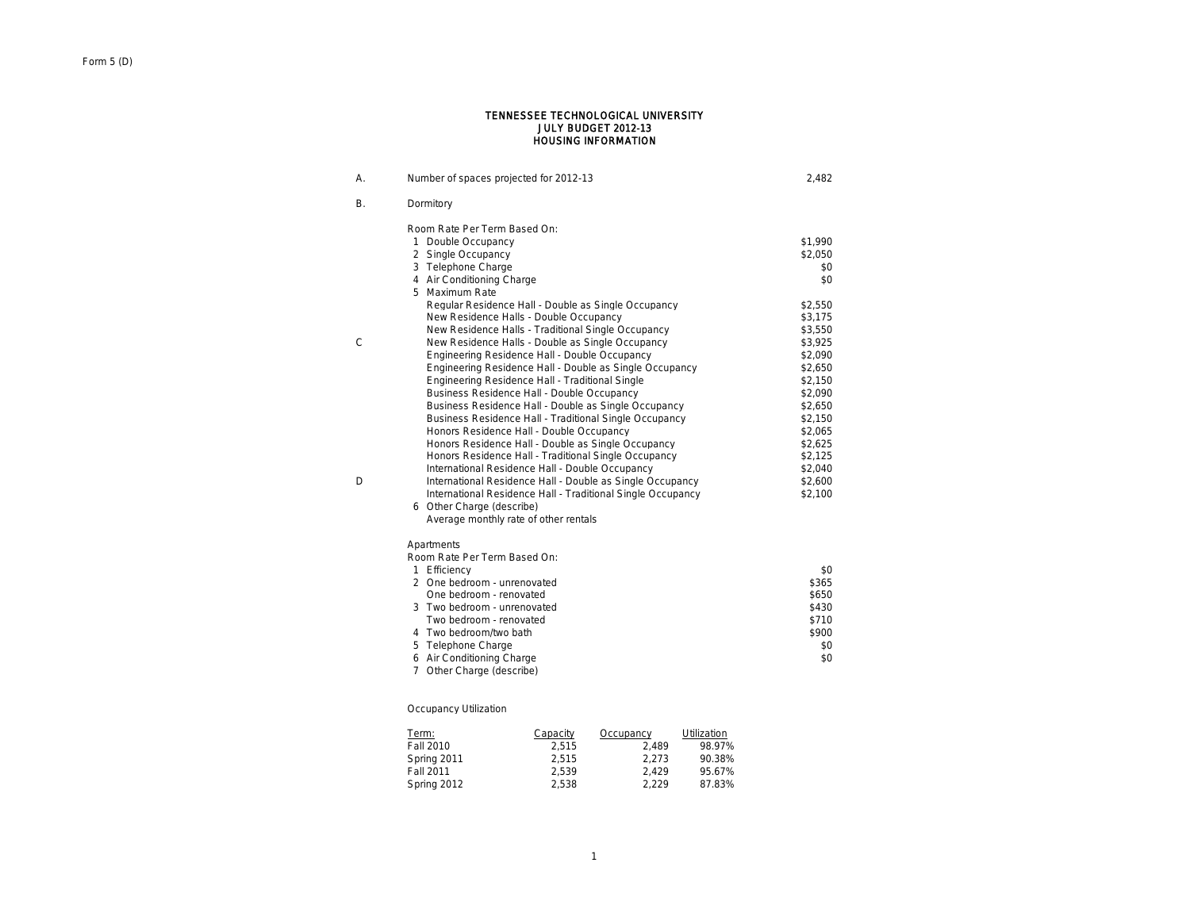#### HOUSING INFORMATION JULY BUDGET 2012-13 TENNESSEE TECHNOLOGICAL UNIVERSITY

| А. | Number of spaces projected for 2012-13                      | 2,482   |
|----|-------------------------------------------------------------|---------|
| В. | Dormitory                                                   |         |
|    | Room Rate Per Term Based On:                                |         |
|    | 1 Double Occupancy                                          | \$1,990 |
|    | 2 Single Occupancy                                          | \$2,050 |
|    | 3 Telephone Charge                                          | \$0     |
|    | 4 Air Conditioning Charge                                   | \$0     |
|    | 5 Maximum Rate                                              |         |
|    | Regular Residence Hall - Double as Single Occupancy         | \$2.550 |
|    | New Residence Halls - Double Occupancy                      | \$3,175 |
|    | New Residence Halls - Traditional Single Occupancy          | \$3,550 |
| C  | New Residence Halls - Double as Single Occupancy            | \$3,925 |
|    | Engineering Residence Hall - Double Occupancy               | \$2,090 |
|    | Engineering Residence Hall - Double as Single Occupancy     | \$2,650 |
|    | Engineering Residence Hall - Traditional Single             | \$2,150 |
|    | Business Residence Hall - Double Occupancy                  | \$2,090 |
|    | Business Residence Hall - Double as Single Occupancy        | \$2,650 |
|    | Business Residence Hall - Traditional Single Occupancy      | \$2,150 |
|    | Honors Residence Hall - Double Occupancy                    | \$2,065 |
|    | Honors Residence Hall - Double as Single Occupancy          | \$2,625 |
|    | Honors Residence Hall - Traditional Single Occupancy        | \$2,125 |
|    | International Residence Hall - Double Occupancy             | \$2,040 |
| D  | International Residence Hall - Double as Single Occupancy   | \$2,600 |
|    | International Residence Hall - Traditional Single Occupancy | \$2,100 |
|    | 6 Other Charge (describe)                                   |         |
|    | Average monthly rate of other rentals                       |         |
|    | Apartments                                                  |         |
|    | Room Rate Per Term Based On:                                |         |
|    | 1 Efficiency                                                | \$0     |
|    | 2 One bedroom - unrenovated                                 | \$365   |
|    | One bedroom - renovated                                     | \$650   |
|    | 3 Two bedroom - unrenovated                                 | \$430   |
|    | Two bedroom - renovated                                     | \$710   |
|    | 4 Two bedroom/two bath                                      | \$900   |
|    | 5 Telephone Charge                                          | \$0     |
|    | 6 Air Conditioning Charge                                   | \$0     |
|    | 7 Other Charge (describe)                                   |         |

## Occupancy Utilization

| Term:       | Capacity | Occupancy | Utilization |
|-------------|----------|-----------|-------------|
| Fall 2010   | 2.515    | 2.489     | 98.97%      |
| Spring 2011 | 2.515    | 2.273     | 90.38%      |
| Fall 2011   | 2.539    | 2.429     | 95.67%      |
| Spring 2012 | 2.538    | 2.229     | 87.83%      |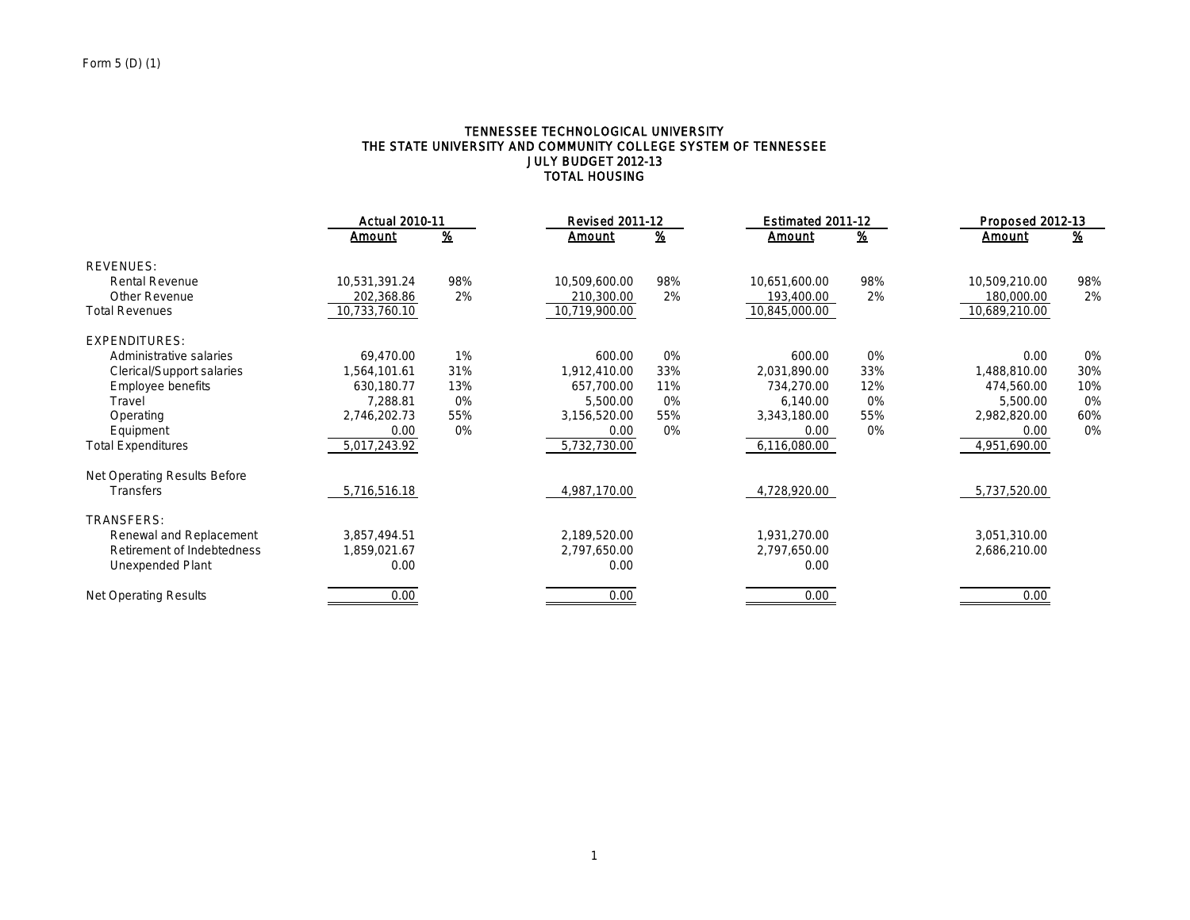## TENNESSEE TECHNOLOGICAL UNIVERSITY THE STATE UNIVERSITY AND COMMUNITY COLLEGE SYSTEM OF TENNESSEE JULY BUDGET 2012-13 TOTAL HOUSING

|                              |               | <b>Actual 2010-11</b>   |               | <b>Revised 2011-12</b>  |               | Estimated 2011-12         |               | Proposed 2012-13 |  |
|------------------------------|---------------|-------------------------|---------------|-------------------------|---------------|---------------------------|---------------|------------------|--|
|                              | Amount        | $\overline{\mathbf{8}}$ | <u>Amount</u> | $\overline{\mathbf{z}}$ | <u>Amount</u> | $\underline{\mathbf{\%}}$ | Amount        | <u>%</u>         |  |
| <b>REVENUES:</b>             |               |                         |               |                         |               |                           |               |                  |  |
| <b>Rental Revenue</b>        | 10,531,391.24 | 98%                     | 10,509,600.00 | 98%                     | 10,651,600.00 | 98%                       | 10,509,210.00 | 98%              |  |
| <b>Other Revenue</b>         | 202,368.86    | 2%                      | 210,300.00    | 2%                      | 193,400.00    | 2%                        | 180,000.00    | 2%               |  |
| <b>Total Revenues</b>        | 10,733,760.10 |                         | 10,719,900.00 |                         | 10,845,000.00 |                           | 10,689,210.00 |                  |  |
| <b>EXPENDITURES:</b>         |               |                         |               |                         |               |                           |               |                  |  |
| Administrative salaries      | 69,470.00     | 1%                      | 600.00        | 0%                      | 600.00        | 0%                        | 0.00          | 0%               |  |
| Clerical/Support salaries    | 1,564,101.61  | 31%                     | 1,912,410.00  | 33%                     | 2,031,890.00  | 33%                       | 1,488,810.00  | 30%              |  |
| <b>Employee benefits</b>     | 630,180.77    | 13%                     | 657,700.00    | 11%                     | 734,270.00    | 12%                       | 474,560.00    | 10%              |  |
| Travel                       | 7,288.81      | 0%                      | 5,500.00      | 0%                      | 6,140.00      | 0%                        | 5,500.00      | 0%               |  |
| Operating                    | 2,746,202.73  | 55%                     | 3,156,520.00  | 55%                     | 3,343,180.00  | 55%                       | 2,982,820.00  | 60%              |  |
| Equipment                    | 0.00          | 0%                      | 0.00          | 0%                      | 0.00          | 0%                        | 0.00          | 0%               |  |
| <b>Total Expenditures</b>    | 5,017,243.92  |                         | 5,732,730.00  |                         | 6,116,080.00  |                           | 4,951,690.00  |                  |  |
| Net Operating Results Before |               |                         |               |                         |               |                           |               |                  |  |
| <b>Transfers</b>             | 5,716,516.18  |                         | 4,987,170.00  |                         | 4,728,920.00  |                           | 5,737,520.00  |                  |  |
| TRANSFERS:                   |               |                         |               |                         |               |                           |               |                  |  |
| Renewal and Replacement      | 3,857,494.51  |                         | 2,189,520.00  |                         | 1,931,270.00  |                           | 3,051,310.00  |                  |  |
| Retirement of Indebtedness   | 1,859,021.67  |                         | 2,797,650.00  |                         | 2,797,650.00  |                           | 2,686,210.00  |                  |  |
| Unexpended Plant             | 0.00          |                         | 0.00          |                         | 0.00          |                           |               |                  |  |
| <b>Net Operating Results</b> | 0.00          |                         | 0.00          |                         | 0.00          |                           | 0.00          |                  |  |
|                              |               |                         |               |                         |               |                           |               |                  |  |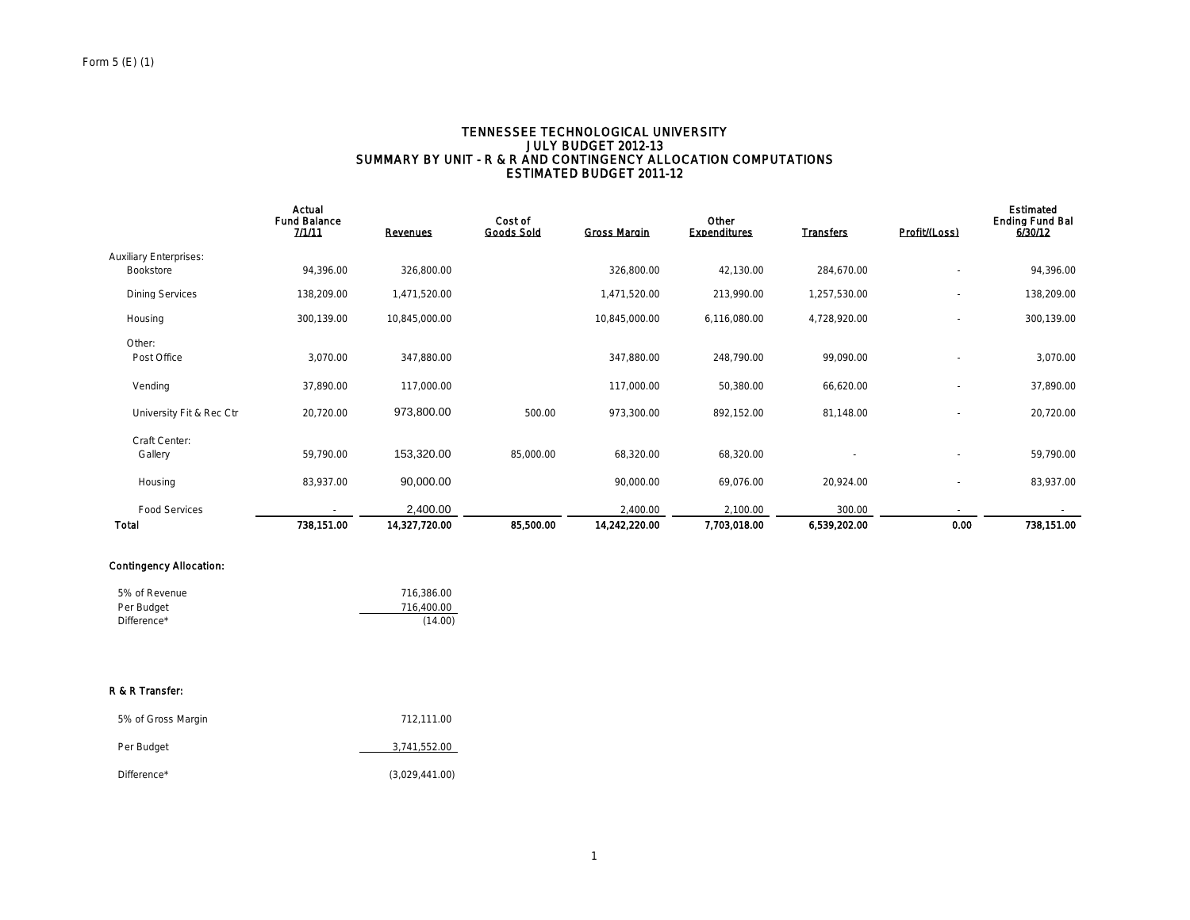#### TENNESSEE TECHNOLOGICAL UNIVERSITY JULY BUDGET 2012-13 SUMMARY BY UNIT - R & R AND CONTINGENCY ALLOCATION COMPUTATIONS ESTIMATED BUDGET 2011-12

|                               | Actual<br><b>Fund Balance</b><br>7/1/11 | <b>Revenues</b> | Cost of<br><b>Goods Sold</b> | <b>Gross Margin</b> | Other<br><b>Expenditures</b> | <b>Transfers</b> | Profit/(Loss)            | Estimated<br><b>Ending Fund Bal</b><br>6/30/12 |
|-------------------------------|-----------------------------------------|-----------------|------------------------------|---------------------|------------------------------|------------------|--------------------------|------------------------------------------------|
| <b>Auxiliary Enterprises:</b> |                                         |                 |                              |                     |                              |                  |                          |                                                |
| Bookstore                     | 94,396.00                               | 326,800.00      |                              | 326,800.00          | 42,130.00                    | 284,670.00       |                          | 94,396.00                                      |
| <b>Dining Services</b>        | 138,209.00                              | 1,471,520.00    |                              | 1,471,520.00        | 213,990.00                   | 1,257,530.00     | $\sim$                   | 138,209.00                                     |
| Housing                       | 300,139.00                              | 10,845,000.00   |                              | 10,845,000.00       | 6,116,080.00                 | 4,728,920.00     | $\tilde{\phantom{a}}$    | 300,139.00                                     |
| Other:                        |                                         |                 |                              |                     |                              |                  |                          |                                                |
| Post Office                   | 3,070.00                                | 347,880.00      |                              | 347,880.00          | 248,790.00                   | 99,090.00        |                          | 3,070.00                                       |
| Vending                       | 37,890.00                               | 117,000.00      |                              | 117,000.00          | 50,380.00                    | 66,620.00        | $\overline{\phantom{a}}$ | 37,890.00                                      |
| University Fit & Rec Ctr      | 20,720.00                               | 973,800.00      | 500.00                       | 973,300.00          | 892,152.00                   | 81,148.00        |                          | 20,720.00                                      |
| Craft Center:                 |                                         |                 |                              |                     |                              |                  |                          |                                                |
| Gallery                       | 59,790.00                               | 153,320.00      | 85,000.00                    | 68,320.00           | 68,320.00                    |                  |                          | 59,790.00                                      |
| Housing                       | 83,937.00                               | 90,000.00       |                              | 90,000.00           | 69,076.00                    | 20,924.00        |                          | 83,937.00                                      |
| <b>Food Services</b>          |                                         | 2,400.00        |                              | 2,400.00            | 2,100.00                     | 300.00           |                          |                                                |
| <b>Total</b>                  | 738,151.00                              | 14,327,720.00   | 85,500.00                    | 14,242,220.00       | 7,703,018.00                 | 6,539,202.00     | 0.00                     | 738,151.00                                     |

#### Contingency Allocation:

| 5% of Revenue | 716.386.00 |
|---------------|------------|
| Per Budget    | 716.400.00 |
| Difference*   | (14.00)    |

#### R & R Transfer:

| 5% of Gross Margin | 712.111.00     |
|--------------------|----------------|
| Per Budget         | 3,741,552.00   |
| Difference*        | (3,029,441.00) |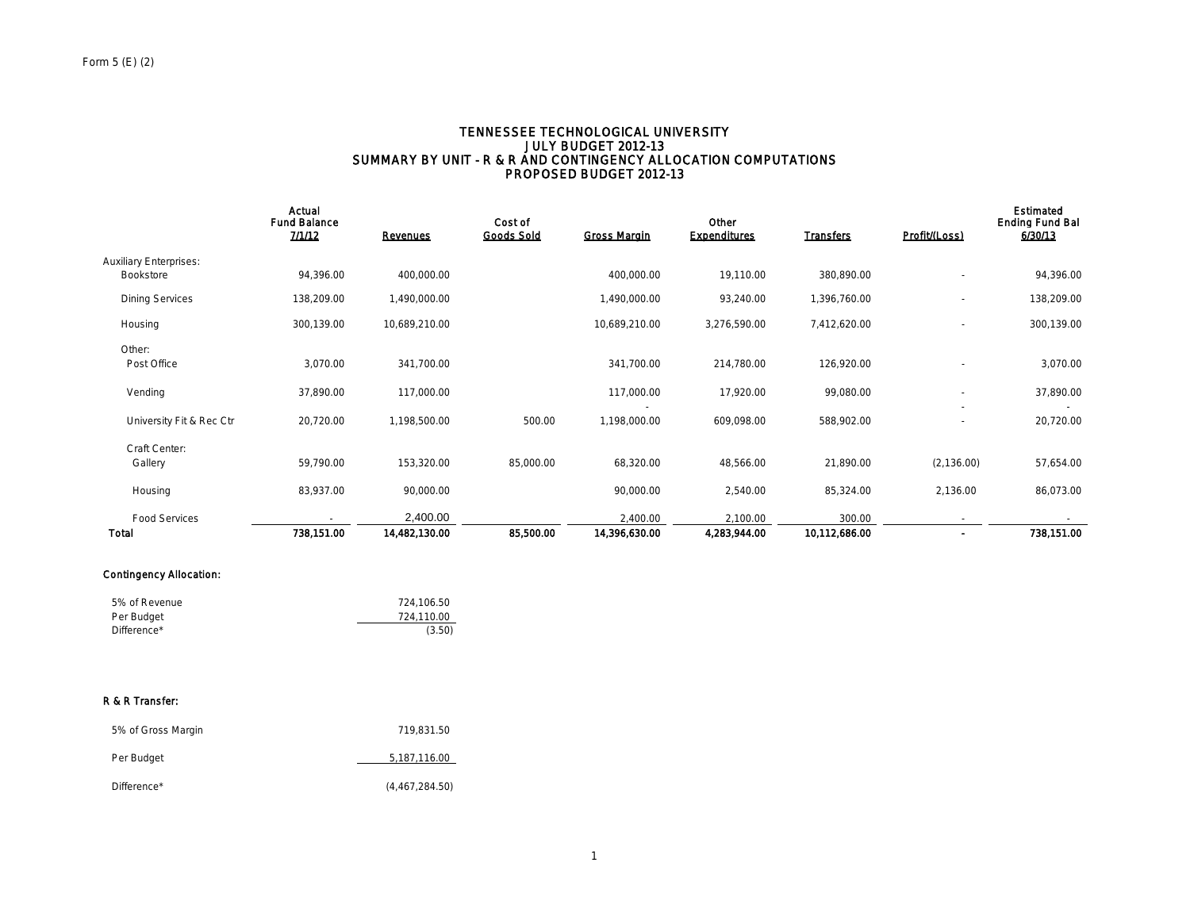#### TENNESSEE TECHNOLOGICAL UNIVERSITY JULY BUDGET 2012-13 SUMMARY BY UNIT - R & R AND CONTINGENCY ALLOCATION COMPUTATIONS PROPOSED BUDGET 2012-13

|                               | Actual<br><b>Fund Balance</b><br>7/1/12 | <b>Revenues</b> | Cost of<br><b>Goods Sold</b> | <b>Gross Margin</b> | Other<br><b>Expenditures</b> | <b>Transfers</b> | Profit/(Loss)            | Estimated<br><b>Ending Fund Bal</b><br>6/30/13 |
|-------------------------------|-----------------------------------------|-----------------|------------------------------|---------------------|------------------------------|------------------|--------------------------|------------------------------------------------|
| <b>Auxiliary Enterprises:</b> |                                         |                 |                              |                     |                              |                  |                          |                                                |
| <b>Bookstore</b>              | 94,396.00                               | 400,000.00      |                              | 400,000.00          | 19,110.00                    | 380,890.00       |                          | 94,396.00                                      |
| <b>Dining Services</b>        | 138,209.00                              | 1,490,000.00    |                              | 1,490,000.00        | 93,240.00                    | 1,396,760.00     | ٠                        | 138,209.00                                     |
| Housing                       | 300,139.00                              | 10,689,210.00   |                              | 10,689,210.00       | 3,276,590.00                 | 7,412,620.00     | $\overline{\phantom{a}}$ | 300,139.00                                     |
| Other:                        |                                         |                 |                              |                     |                              |                  |                          |                                                |
| Post Office                   | 3,070.00                                | 341,700.00      |                              | 341,700.00          | 214,780.00                   | 126,920.00       |                          | 3,070.00                                       |
| Vending                       | 37,890.00                               | 117,000.00      |                              | 117,000.00          | 17,920.00                    | 99,080.00        | $\sim$                   | 37,890.00                                      |
| University Fit & Rec Ctr      | 20,720.00                               | 1,198,500.00    | 500.00                       | 1,198,000.00        | 609,098.00                   | 588,902.00       | ٠                        | 20,720.00                                      |
| Craft Center:                 |                                         |                 |                              |                     |                              |                  |                          |                                                |
| Gallery                       | 59,790.00                               | 153,320.00      | 85,000.00                    | 68,320.00           | 48,566.00                    | 21,890.00        | (2, 136.00)              | 57,654.00                                      |
| Housing                       | 83,937.00                               | 90,000.00       |                              | 90,000.00           | 2,540.00                     | 85,324.00        | 2,136.00                 | 86,073.00                                      |
| <b>Food Services</b>          |                                         | 2,400.00        |                              | 2,400.00            | 2,100.00                     | 300.00           | $\sim$                   |                                                |
| Total                         | 738,151.00                              | 14,482,130.00   | 85,500.00                    | 14,396,630.00       | 4,283,944.00                 | 10,112,686.00    | $\blacksquare$           | 738,151.00                                     |

## Contingency Allocation:

| 5% of Revenue | 724.106.50 |
|---------------|------------|
| Per Budget    | 724.110.00 |
| Difference*   | (3.50)     |

#### R & R Transfer:

| 5% of Gross Margin | 719.831.50     |
|--------------------|----------------|
| Per Budget         | 5,187,116.00   |
| Difference*        | (4,467,284.50) |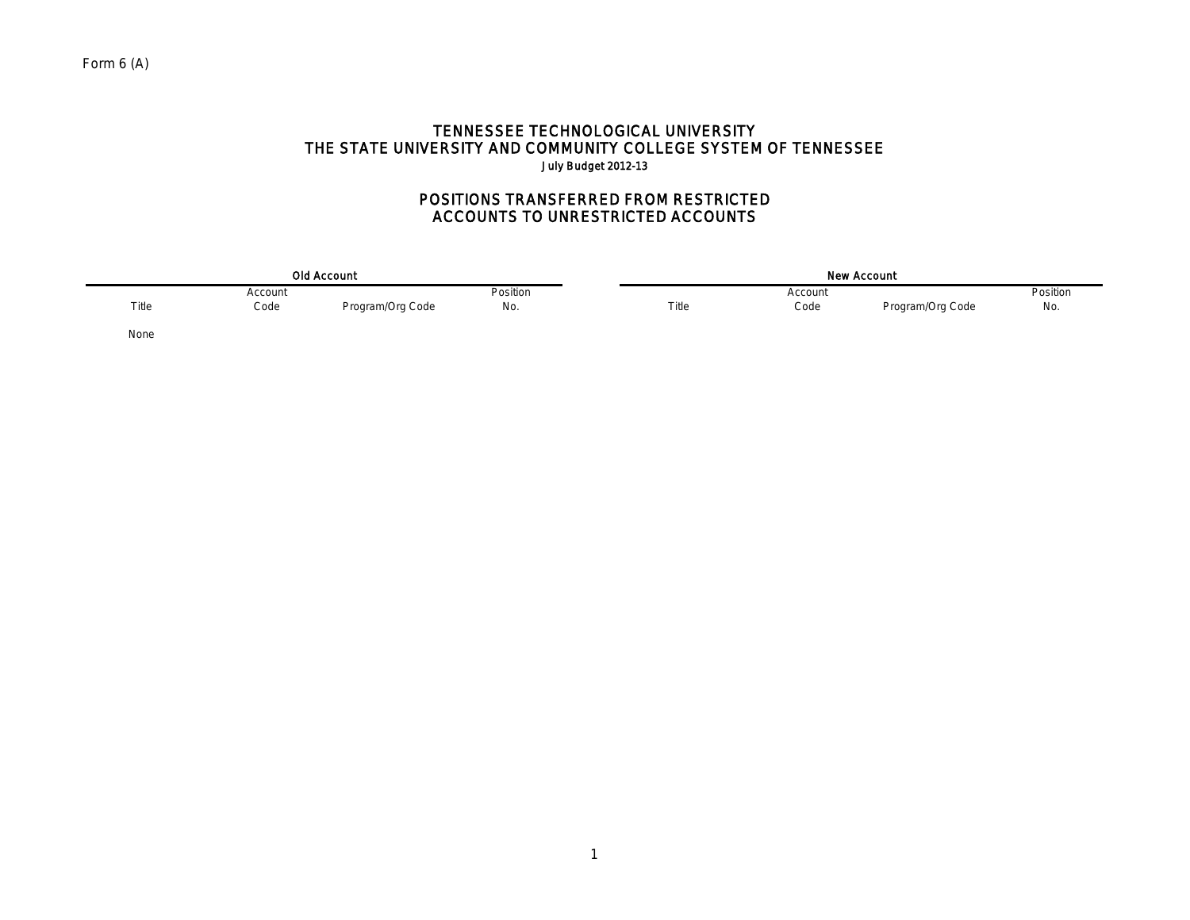## TENNESSEE TECHNOLOGICAL UNIVERSITY THE STATE UNIVERSITY AND COMMUNITY COLLEGE SYSTEM OF TENNESSEE July Budget 2012-13

## POSITIONS TRANSFERRED FROM RESTRICTED ACCOUNTS TO UNRESTRICTED ACCOUNTS

|       |         | Old Account      |          | <b>New Account</b> |         |                  |          |  |  |
|-------|---------|------------------|----------|--------------------|---------|------------------|----------|--|--|
|       | Account |                  | Position |                    | Account |                  | Position |  |  |
| Title | Code    | Program/Org Code | No.      | Title              | Code    | Program/Org Code | No.      |  |  |
| None  |         |                  |          |                    |         |                  |          |  |  |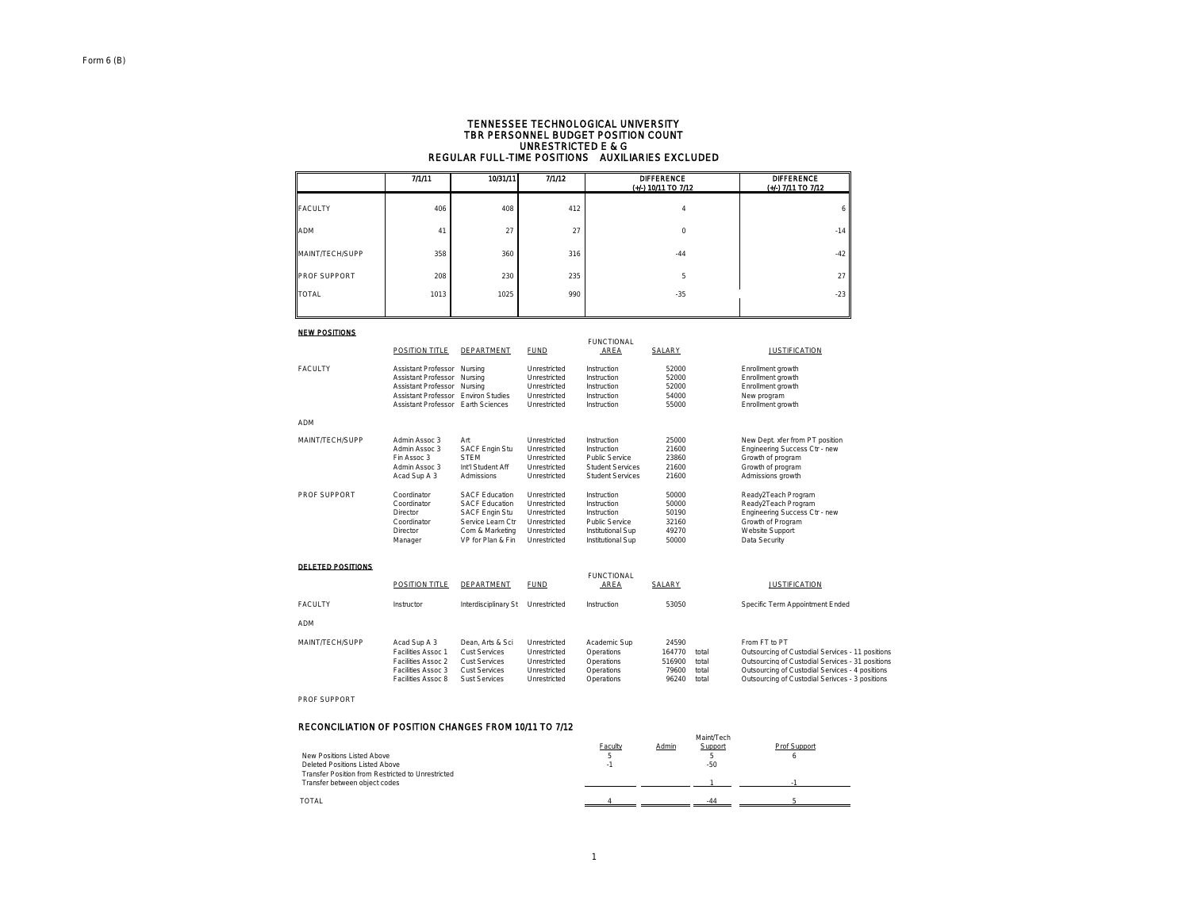# TENNESSEE TECHNOLOGICAL UNIVERSITY TBR PERSONNEL BUDGET POSITION COUNT UNRESTRICTED E & G REGULAR FULL-TIME POSITIONS AUXILIARIES EXCLUDED

|                     | 1/111 | 10/31/11 | 7/1/12 | <b>DIFFERENCE</b><br>(+/-) 10/11 TO 7/12 | <b>DIFFERENCE</b><br>(+/-) 7/11 TO 7/12 |
|---------------------|-------|----------|--------|------------------------------------------|-----------------------------------------|
| <b>FACULTY</b>      | 406   | 408      | 412    | 4                                        |                                         |
| <b>ADM</b>          | 41    | 27       | 27     | $\mathbf 0$                              | $-14$                                   |
| MAINT/TECH/SUPP     | 358   | 360      | 316    | $-44$                                    | $-42$                                   |
| <b>PROF SUPPORT</b> | 208   | 230      | 235    | 5                                        | 27                                      |
| <b>TOTAL</b>        | 1013  | 1025     | 990    | $-35$                                    | $-23$                                   |
|                     |       |          |        |                                          |                                         |

#### NEW POSITIONS

| --------            | <b>POSITION TITLE</b>      | <b>DEPARTMENT</b>      | <b>FUND</b>  | <b>FUNCTIONAL</b><br>AREA | SALARY | <b>JUSTIFICATION</b>            |
|---------------------|----------------------------|------------------------|--------------|---------------------------|--------|---------------------------------|
| <b>FACULTY</b>      | Assistant Professor        | Nursina                | Unrestricted | Instruction               | 52000  | Enrollment growth               |
|                     | <b>Assistant Professor</b> | Nursing                | Unrestricted | Instruction               | 52000  | Enrollment growth               |
|                     | <b>Assistant Professor</b> | Nursing                | Unrestricted | Instruction               | 52000  | Enrollment growth               |
|                     | <b>Assistant Professor</b> | <b>Environ Studies</b> | Unrestricted | Instruction               | 54000  | New program                     |
|                     | <b>Assistant Professor</b> | Earth Sciences         | Unrestricted | Instruction               | 55000  | Enrollment growth               |
| <b>ADM</b>          |                            |                        |              |                           |        |                                 |
| MAINT/TECH/SUPP     | Admin Assoc 3              | Art                    | Unrestricted | Instruction               | 25000  | New Dept. xfer from PT position |
|                     | Admin Assoc 3              | <b>SACF Engin Stu</b>  | Unrestricted | Instruction               | 21600  | Engineering Success Ctr - new   |
|                     | Fin Assoc 3                | <b>STEM</b>            | Unrestricted | <b>Public Service</b>     | 23860  | Growth of program               |
|                     | Admin Assoc 3              | Int'l Student Aff      | Unrestricted | <b>Student Services</b>   | 21600  | Growth of program               |
|                     | Acad Sup A 3               | Admissions             | Unrestricted | <b>Student Services</b>   | 21600  | Admissions growth               |
| <b>PROF SUPPORT</b> | Coordinator                | <b>SACF Education</b>  | Unrestricted | Instruction               | 50000  | Ready2Teach Program             |
|                     | Coordinator                | <b>SACF Education</b>  | Unrestricted | Instruction               | 50000  | Ready2Teach Program             |
|                     | Director                   | <b>SACF Engin Stu</b>  | Unrestricted | Instruction               | 50190  | Engineering Success Ctr - new   |
|                     | Coordinator                | Service Learn Ctr      | Unrestricted | <b>Public Service</b>     | 32160  | Growth of Program               |
|                     | Director                   | Com & Marketing        | Unrestricted | Institutional Sup         | 49270  | Website Support                 |
|                     | Manager                    | VP for Plan & Fin      | Unrestricted | Institutional Sup         | 50000  | Data Security                   |

#### DELETED POSITIONS

|                 | <b>POSITION TITLE</b>                                                                                | DEPARTMENT                                                                                  | <b>FUND</b>                                                                  | <b>FUNCTIONAL</b><br>AREA                                            | SALARY                                      |                                  | <b>JUSTIFICATION</b>                                                                                                                                                                                                        |
|-----------------|------------------------------------------------------------------------------------------------------|---------------------------------------------------------------------------------------------|------------------------------------------------------------------------------|----------------------------------------------------------------------|---------------------------------------------|----------------------------------|-----------------------------------------------------------------------------------------------------------------------------------------------------------------------------------------------------------------------------|
| <b>FACULTY</b>  | Instructor                                                                                           | Interdisciplinary St                                                                        | Unrestricted                                                                 | Instruction                                                          | 53050                                       |                                  | Specific Term Appointment Ended                                                                                                                                                                                             |
| <b>ADM</b>      |                                                                                                      |                                                                                             |                                                                              |                                                                      |                                             |                                  |                                                                                                                                                                                                                             |
| MAINT/TECH/SUPP | Acad Sup A 3<br>Facilities Assoc 1<br>Facilities Assoc 2<br>Facilities Assoc 3<br>Facilities Assoc 8 | Dean, Arts & Sci<br><b>Cust Services</b><br>Cust Services<br>Cust Services<br>Sust Services | Unrestricted<br>Unrestricted<br>Unrestricted<br>Unrestricted<br>Unrestricted | Academic Sup<br>Operations<br>Operations<br>Operations<br>Operations | 24590<br>164770<br>516900<br>79600<br>96240 | total<br>total<br>total<br>total | From FT to PT<br>Outsourcing of Custodial Services - 11 positions<br>Outsourcing of Custodial Services - 31 positions<br>Outsourcing of Custodial Services - 4 positions<br>Outsourcing of Custodial Serivces - 3 positions |

#### PROF SUPPORT

#### RECONCILIATION OF POSITION CHANGES FROM 10/11 TO 7/12

|                                                   |         |       | Maint/Tech |              |
|---------------------------------------------------|---------|-------|------------|--------------|
|                                                   | Faculty | Admin | Support    | Prof Support |
| New Positions Listed Above                        |         |       |            |              |
| Deleted Positions Listed Above                    |         |       | $-50$      |              |
| Transfer Position from Restricted to Unrestricted |         |       |            |              |
| Transfer between object codes                     |         |       |            |              |
|                                                   |         |       |            |              |
| <b>TOTAL</b>                                      |         |       | $-44$      |              |
|                                                   |         |       |            |              |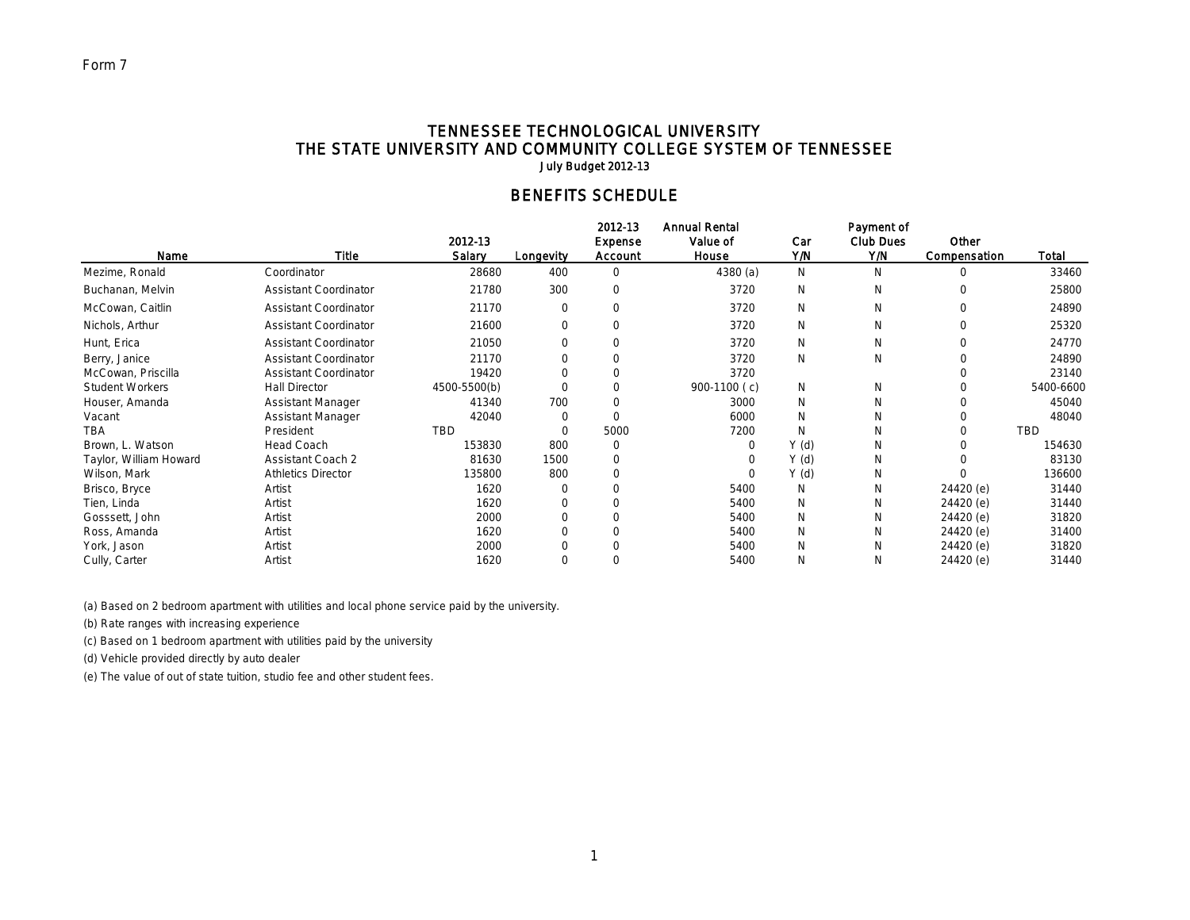## TENNESSEE TECHNOLOGICAL UNIVERSITY THE STATE UNIVERSITY AND COMMUNITY COLLEGE SYSTEM OF TENNESSEE July Budget 2012-13

# BENEFITS SCHEDULE

|                        |                              |                   |           | 2012-13                   | <b>Annual Rental</b> |            | Payment of              |                       |           |
|------------------------|------------------------------|-------------------|-----------|---------------------------|----------------------|------------|-------------------------|-----------------------|-----------|
| Name                   | <b>Title</b>                 | 2012-13<br>Salary | Longevity | <b>Expense</b><br>Account | Value of<br>House    | Car<br>Y/N | <b>Club Dues</b><br>Y/N | Other<br>Compensation | Total     |
| Mezime, Ronald         | Coordinator                  | 28680             | 400       | $\mathbf 0$               | 4380(a)              | N          | N                       | $\Omega$              | 33460     |
| Buchanan, Melvin       | <b>Assistant Coordinator</b> | 21780             | 300       | $\Omega$                  | 3720                 | N          | N                       | $\Omega$              | 25800     |
| McCowan, Caitlin       | <b>Assistant Coordinator</b> | 21170             | $\Omega$  | $\Omega$                  | 3720                 | N          | N                       | $\Omega$              | 24890     |
| Nichols, Arthur        | <b>Assistant Coordinator</b> | 21600             | $\Omega$  | $\Omega$                  | 3720                 | N          | N                       | $\Omega$              | 25320     |
| Hunt, Erica            | <b>Assistant Coordinator</b> | 21050             |           | $\Omega$                  | 3720                 | N          | N                       |                       | 24770     |
| Berry, Janice          | <b>Assistant Coordinator</b> | 21170             |           | $\Omega$                  | 3720                 | N          | N                       |                       | 24890     |
| McCowan, Priscilla     | <b>Assistant Coordinator</b> | 19420             |           | $\Omega$                  | 3720                 |            |                         |                       | 23140     |
| <b>Student Workers</b> | <b>Hall Director</b>         | 4500-5500(b)      |           | $\Omega$                  | 900-1100 (c)         | N          | N                       |                       | 5400-6600 |
| Houser, Amanda         | Assistant Manager            | 41340             | 700       | $\Omega$                  | 3000                 | N          | N                       |                       | 45040     |
| Vacant                 | <b>Assistant Manager</b>     | 42040             |           | $\Omega$                  | 6000                 | N          | N                       |                       | 48040     |
| TBA                    | President                    | TBD               |           | 5000                      | 7200                 | N          | N                       |                       | TBD       |
| Brown, L. Watson       | <b>Head Coach</b>            | 153830            | 800       | 0                         |                      | Y(d)       | N                       |                       | 154630    |
| Taylor, William Howard | <b>Assistant Coach 2</b>     | 81630             | 1500      | $\Omega$                  |                      | Y(d)       | N                       |                       | 83130     |
| Wilson, Mark           | <b>Athletics Director</b>    | 135800            | 800       | $\Omega$                  |                      | Y(d)       | N                       |                       | 136600    |
| Brisco, Bryce          | Artist                       | 1620              |           |                           | 5400                 | N          | N                       | 24420 (e)             | 31440     |
| Tien, Linda            | Artist                       | 1620              |           |                           | 5400                 | N          | N                       | 24420 (e)             | 31440     |
| Gosssett, John         | Artist                       | 2000              |           |                           | 5400                 | N          | N                       | 24420 (e)             | 31820     |
| Ross, Amanda           | Artist                       | 1620              |           |                           | 5400                 | N          | N                       | 24420 (e)             | 31400     |
| York, Jason            | Artist                       | 2000              |           |                           | 5400                 | N          | N                       | 24420 (e)             | 31820     |
| Cully, Carter          | Artist                       | 1620              |           |                           | 5400                 | N          | N                       | 24420 (e)             | 31440     |

(a) Based on 2 bedroom apartment with utilities and local phone service paid by the university.

(b) Rate ranges with increasing experience

(c) Based on 1 bedroom apartment with utilities paid by the university

(d) Vehicle provided directly by auto dealer

(e) The value of out of state tuition, studio fee and other student fees.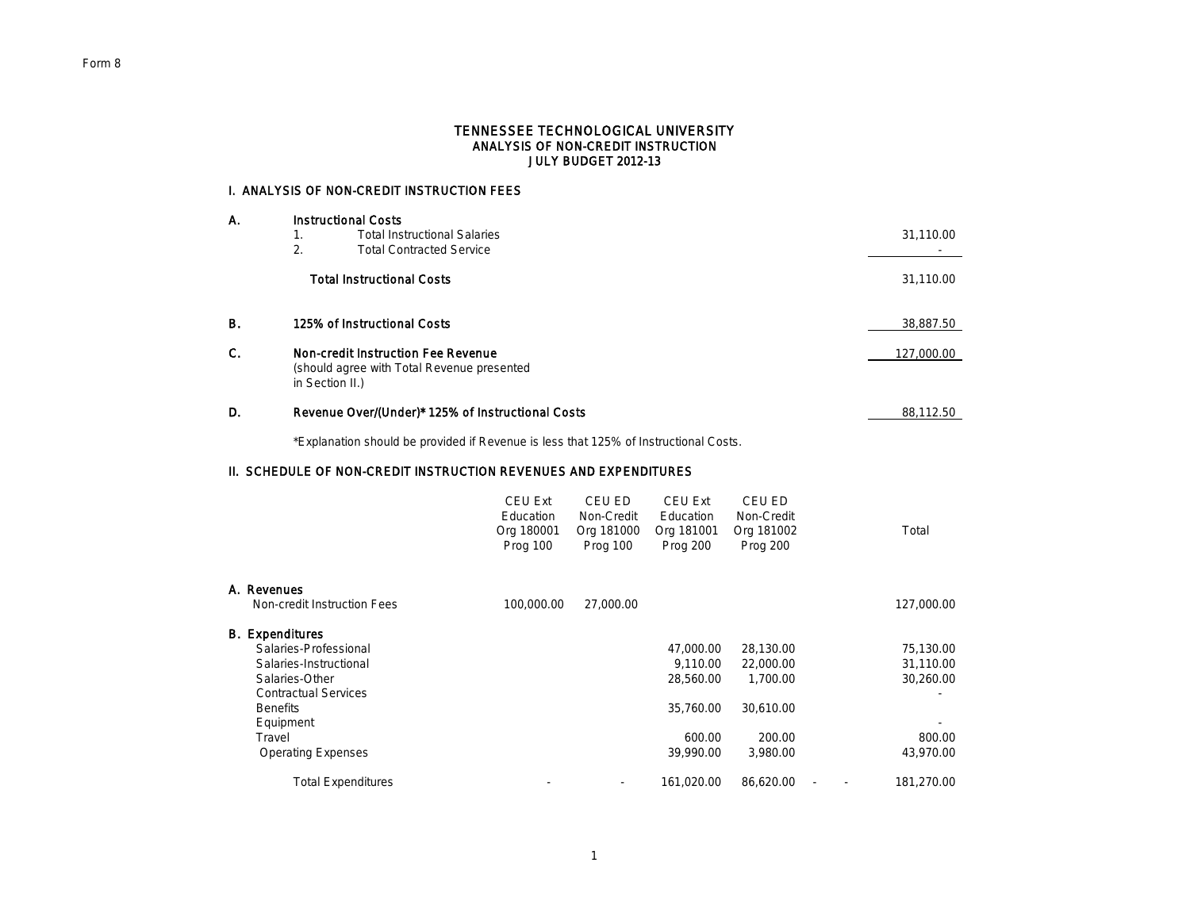#### TENNESSEE TECHNOLOGICAL UNIVERSITY ANALYSIS OF NON-CREDIT INSTRUCTION JULY BUDGET 2012-13

## I. ANALYSIS OF NON-CREDIT INSTRUCTION FEES

| Α.<br>1.  | <b>Instructional Costs</b> |                                                                                                            |            |
|-----------|----------------------------|------------------------------------------------------------------------------------------------------------|------------|
|           |                            | <b>Total Instructional Salaries</b>                                                                        | 31,110.00  |
|           | 2.                         | <b>Total Contracted Service</b>                                                                            |            |
|           |                            | <b>Total Instructional Costs</b>                                                                           | 31,110.00  |
| <b>B.</b> |                            | 125% of Instructional Costs                                                                                | 38,887.50  |
| C.        |                            | <b>Non-credit Instruction Fee Revenue</b><br>(should agree with Total Revenue presented<br>in Section II.) | 127,000.00 |
| D.        |                            | Revenue Over/(Under)* 125% of Instructional Costs                                                          | 88.112.50  |

\*Explanation should be provided if Revenue is less that 125% of Instructional Costs.

## II. SCHEDULE OF NON-CREDIT INSTRUCTION REVENUES AND EXPENDITURES

|                             | <b>CEU Ext</b><br>Education<br>Org 180001<br>Prog 100 | CEU ED<br>Non-Credit<br>Org 181000<br>Prog 100 | <b>CEU Ext</b><br>Education<br>Org 181001<br>Prog 200 | CEU ED<br>Non-Credit<br>Org 181002<br>Prog 200 | Total      |
|-----------------------------|-------------------------------------------------------|------------------------------------------------|-------------------------------------------------------|------------------------------------------------|------------|
| A. Revenues                 |                                                       |                                                |                                                       |                                                |            |
| Non-credit Instruction Fees | 100,000.00                                            | 27,000.00                                      |                                                       |                                                | 127,000.00 |
| <b>B.</b> Expenditures      |                                                       |                                                |                                                       |                                                |            |
| Salaries-Professional       |                                                       |                                                | 47,000.00                                             | 28,130.00                                      | 75,130.00  |
| Salaries-Instructional      |                                                       |                                                | 9,110.00                                              | 22,000.00                                      | 31,110.00  |
| Salaries-Other              |                                                       |                                                | 28,560.00                                             | 1,700.00                                       | 30,260.00  |
| <b>Contractual Services</b> |                                                       |                                                |                                                       |                                                |            |
| <b>Benefits</b>             |                                                       |                                                | 35,760.00                                             | 30,610.00                                      |            |
| Equipment                   |                                                       |                                                |                                                       |                                                |            |
| Travel                      |                                                       |                                                | 600.00                                                | 200.00                                         | 800.00     |
| <b>Operating Expenses</b>   |                                                       |                                                | 39,990.00                                             | 3,980.00                                       | 43,970.00  |
| <b>Total Expenditures</b>   |                                                       |                                                | 161,020.00                                            | 86,620.00                                      | 181,270.00 |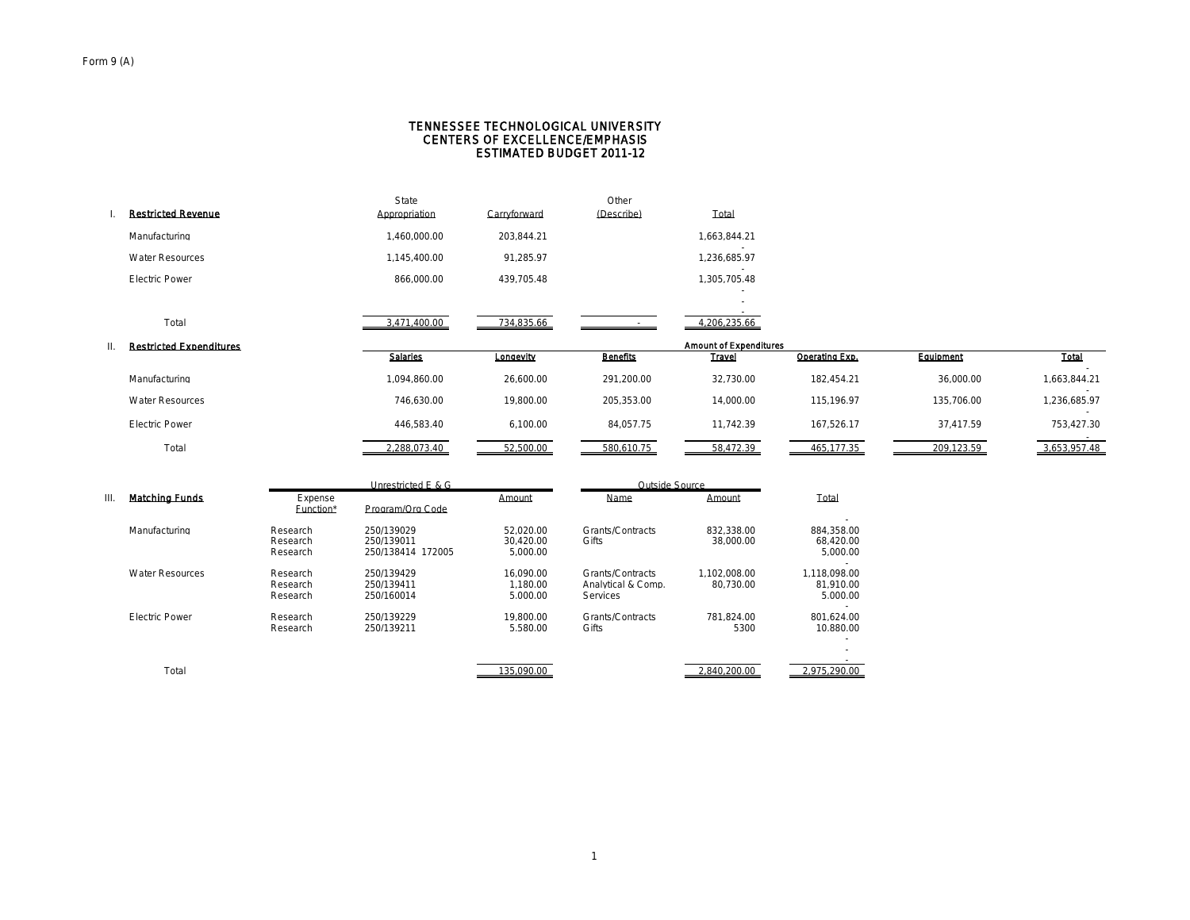#### CENTERS OF EXCELLENCE/EMPHASIS TENNESSEE TECHNOLOGICAL UNIVERSITY ESTIMATED BUDGET 2011-12

| <b>Restricted Revenue</b>      | State<br>Appropriation | Carryforward | Other<br>(Describe) | Total                         |                |            |              |
|--------------------------------|------------------------|--------------|---------------------|-------------------------------|----------------|------------|--------------|
| Manufacturing                  | 1.460.000.00           | 203.844.21   |                     | 1.663.844.21                  |                |            |              |
| <b>Water Resources</b>         | 1.145.400.00           | 91.285.97    |                     | 1.236.685.97                  |                |            |              |
| <b>Electric Power</b>          | 866.000.00             | 439.705.48   |                     | 1.305.705.48                  |                |            |              |
|                                |                        |              |                     |                               |                |            |              |
| Total                          | 3,471,400.00           | 734,835.66   |                     | 4,206,235.66                  |                |            |              |
|                                |                        |              |                     |                               |                |            |              |
|                                |                        |              |                     | <b>Amount of Expenditures</b> |                |            |              |
| <b>Restricted Expenditures</b> | <b>Salaries</b>        | Longevity    | <b>Benefits</b>     | <b>Travel</b>                 | Operating Exp. | Equipment  | <b>Total</b> |
| Manufacturing                  | 1.094.860.00           | 26.600.00    | 291.200.00          | 32.730.00                     | 182.454.21     | 36.000.00  | 1.663.844.21 |
| <b>Water Resources</b>         | 746.630.00             | 19.800.00    | 205.353.00          | 14.000.00                     | 115.196.97     | 135.706.00 | 1.236.685.97 |
| <b>Electric Power</b>          | 446,583.40             | 6,100.00     | 84,057.75           | 11,742.39                     | 167,526.17     | 37,417.59  | 753,427.30   |
| Total                          | 2.288.073.40           | 52.500.00    | 580.610.75          | 58.472.39                     | 465.177.35     | 209.123.59 | 3.653.957.48 |

|    |                        |                                  | $0.11$ councided L or $\sigma$                |                                    | outstac oout co                                    |                           |                                       |
|----|------------------------|----------------------------------|-----------------------------------------------|------------------------------------|----------------------------------------------------|---------------------------|---------------------------------------|
| Ш. | <b>Matching Funds</b>  | Expense<br>Function*             | Program/Org Code                              | Amount                             | <b>Name</b>                                        | Amount                    | Total                                 |
|    | Manufacturing          | Research<br>Research<br>Research | 250/139029<br>250/139011<br>250/138414 172005 | 52.020.00<br>30.420.00<br>5.000.00 | Grants/Contracts<br>Gifts                          | 832.338.00<br>38,000.00   | 884.358.00<br>68.420.00<br>5.000.00   |
|    | <b>Water Resources</b> | Research<br>Research<br>Research | 250/139429<br>250/139411<br>250/160014        | 16.090.00<br>1.180.00<br>5.000.00  | Grants/Contracts<br>Analytical & Comp.<br>Services | 1.102.008.00<br>80.730.00 | 1.118.098.00<br>81.910.00<br>5.000.00 |
|    | <b>Electric Power</b>  | Research<br>Research             | 250/139229<br>250/139211                      | 19.800.00<br>5.580.00              | Grants/Contracts<br>Gifts                          | 781.824.00<br>5300        | 801.624.00<br>10.880.00               |
|    | Total                  |                                  |                                               | 135.090.00                         |                                                    | 2.840.200.00              | 2.975.290.00                          |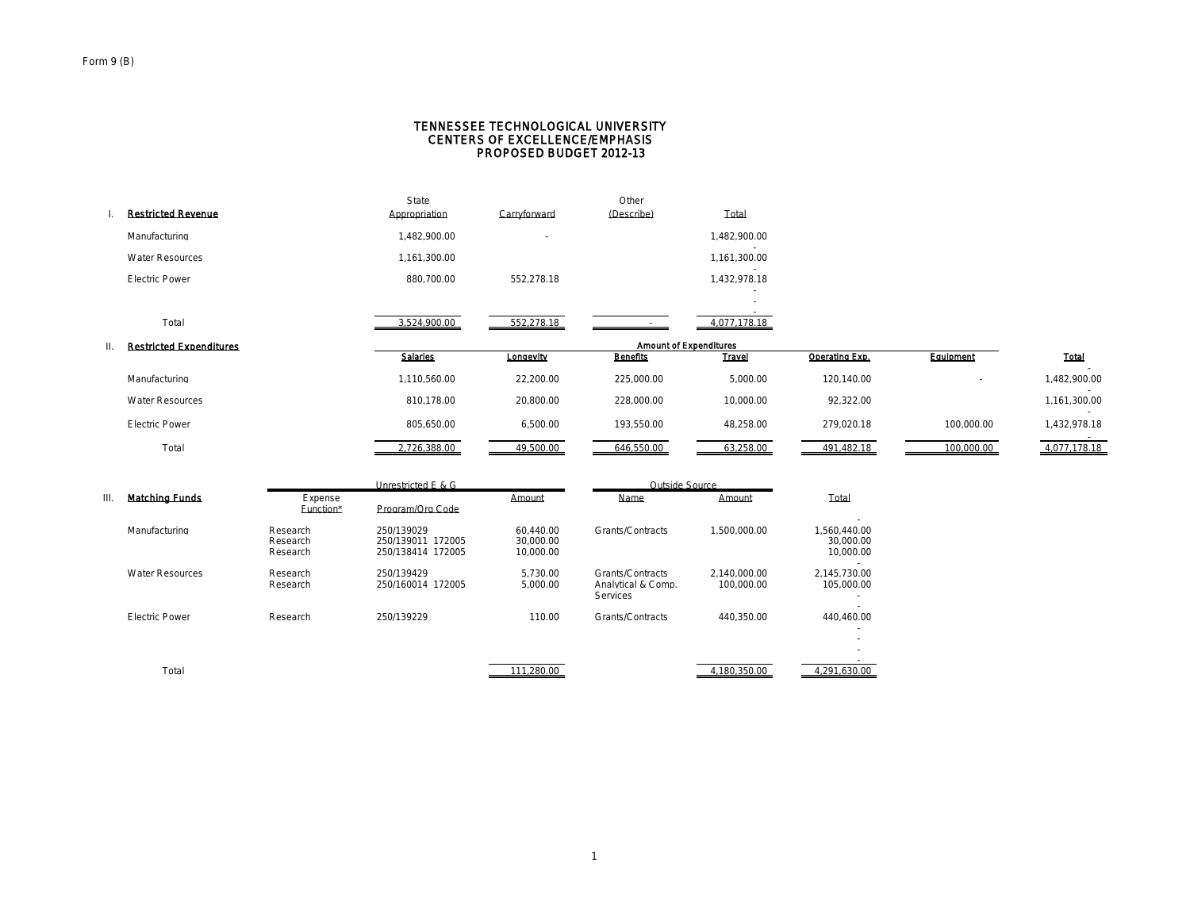#### CENTERS OF EXCELLENCE/EMPHASIS TENNESSEE TECHNOLOGICAL UNIVERSITY PROPOSED BUDGET 2012-13

|                           | State         |                          | Other      |                                          |  |
|---------------------------|---------------|--------------------------|------------|------------------------------------------|--|
| <b>Restricted Revenue</b> | Appropriation | Carryforward             | (Describe) | Total                                    |  |
| Manufacturing             | 1.482.900.00  | $\overline{\phantom{a}}$ |            | 1.482.900.00                             |  |
| <b>Water Resources</b>    | 1.161.300.00  |                          |            | 1.161.300.00<br>$\overline{\phantom{a}}$ |  |
| <b>Electric Power</b>     | 880.700.00    | 552.278.18               |            | 1.432.978.18                             |  |
|                           |               |                          |            | ۰.<br>$\overline{\phantom{a}}$           |  |
| Total                     | 3,524,900.00  | 552,278.18               |            | 4.077.178.18                             |  |

| <b>Restricted Expenditures</b> | <b>Amount of Expenditures</b> |           |                 |               |                |            |              |
|--------------------------------|-------------------------------|-----------|-----------------|---------------|----------------|------------|--------------|
|                                | <b>Salarles</b>               | Longevity | <b>Benefits</b> | <b>Travel</b> | Operating Exp. | Equipment  | <b>Total</b> |
| Manufacturing                  | 1.110.560.00                  | 22.200.00 | 225.000.00      | 5.000.00      | 120.140.00     |            | .482.900.00  |
| <b>Water Resources</b>         | 810.178.00                    | 20,800.00 | 228.000.00      | 10.000.00     | 92.322.00      |            | .161.300.00  |
| <b>Electric Power</b>          | 805.650.00                    | 6.500.00  | 193.550.00      | 48,258.00     | 279.020.18     | 100,000.00 | ,432,978.18  |
| Total                          | 2.726.388.00                  | 49.500.00 | 646.550.00      | 63.258.00     | 491.482.18     | 100.000.00 | 4.077.178.18 |

|      | <b>Matching Funds</b>  | Unrestricted E & G               |                                                      |                                     | Outside Source                                            |                            |                                                                    |  |
|------|------------------------|----------------------------------|------------------------------------------------------|-------------------------------------|-----------------------------------------------------------|----------------------------|--------------------------------------------------------------------|--|
| III. |                        | Expense<br>Function*             | Program/Org Code                                     | Amount                              | Name                                                      | Amount                     | Total                                                              |  |
|      | Manufacturing          | Research<br>Research<br>Research | 250/139029<br>250/139011 172005<br>250/138414 172005 | 60.440.00<br>30.000.00<br>10,000.00 | Grants/Contracts                                          | 1.500.000.00               | .560.440.00<br>30,000,00<br>10,000,00                              |  |
|      | <b>Water Resources</b> | Research<br>Research             | 250/139429<br>250/160014 172005                      | 5.730.00<br>5.000.00                | Grants/Contracts<br>Analytical & Comp.<br><b>Services</b> | 2.140.000.00<br>100.000.00 | 2.145.730.00<br>105.000.00                                         |  |
|      | <b>Electric Power</b>  | Research                         | 250/139229                                           | 110.00                              | Grants/Contracts                                          | 440.350.00                 | 440.460.00<br>$\overline{\phantom{a}}$<br>$\overline{\phantom{a}}$ |  |
|      | Total                  |                                  |                                                      | 111.280.00                          |                                                           | 4.180.350.00               | 4.291.630.00                                                       |  |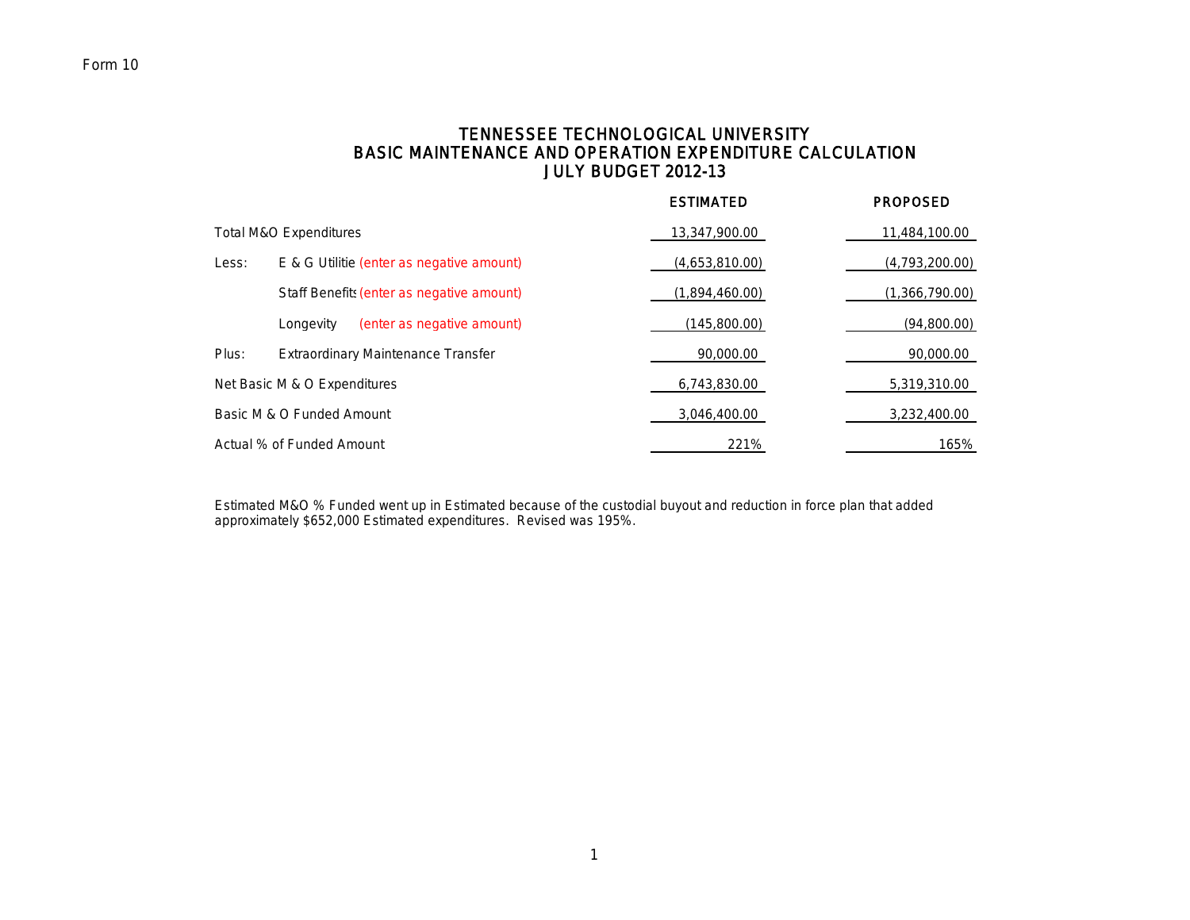# TENNESSEE TECHNOLOGICAL UNIVERSITY BASIC MAINTENANCE AND OPERATION EXPENDITURE CALCULATION JULY BUDGET 2012-13

|                                   |                                           | <b>ESTIMATED</b> | <b>PROPOSED</b> |
|-----------------------------------|-------------------------------------------|------------------|-----------------|
| <b>Total M&amp;O Expenditures</b> |                                           | 13,347,900.00    | 11,484,100.00   |
| Less:                             | E & G Utilitie (enter as negative amount) | (4,653,810.00)   | (4,793,200.00)  |
|                                   | Staff Benefits (enter as negative amount) | (1,894,460.00)   | (1,366,790.00)  |
|                                   | (enter as negative amount)<br>Longevity   | (145,800.00)     | (94,800.00)     |
| Plus:                             | Extraordinary Maintenance Transfer        | 90,000.00        | 90,000.00       |
| Net Basic M & O Expenditures      |                                           | 6,743,830.00     | 5,319,310.00    |
| Basic M & O Funded Amount         |                                           | 3,046,400.00     | 3,232,400.00    |
| Actual % of Funded Amount         |                                           | 221%             | 165%            |

Estimated M&O % Funded went up in Estimated because of the custodial buyout and reduction in force plan that added approximately \$652,000 Estimated expenditures. Revised was 195%.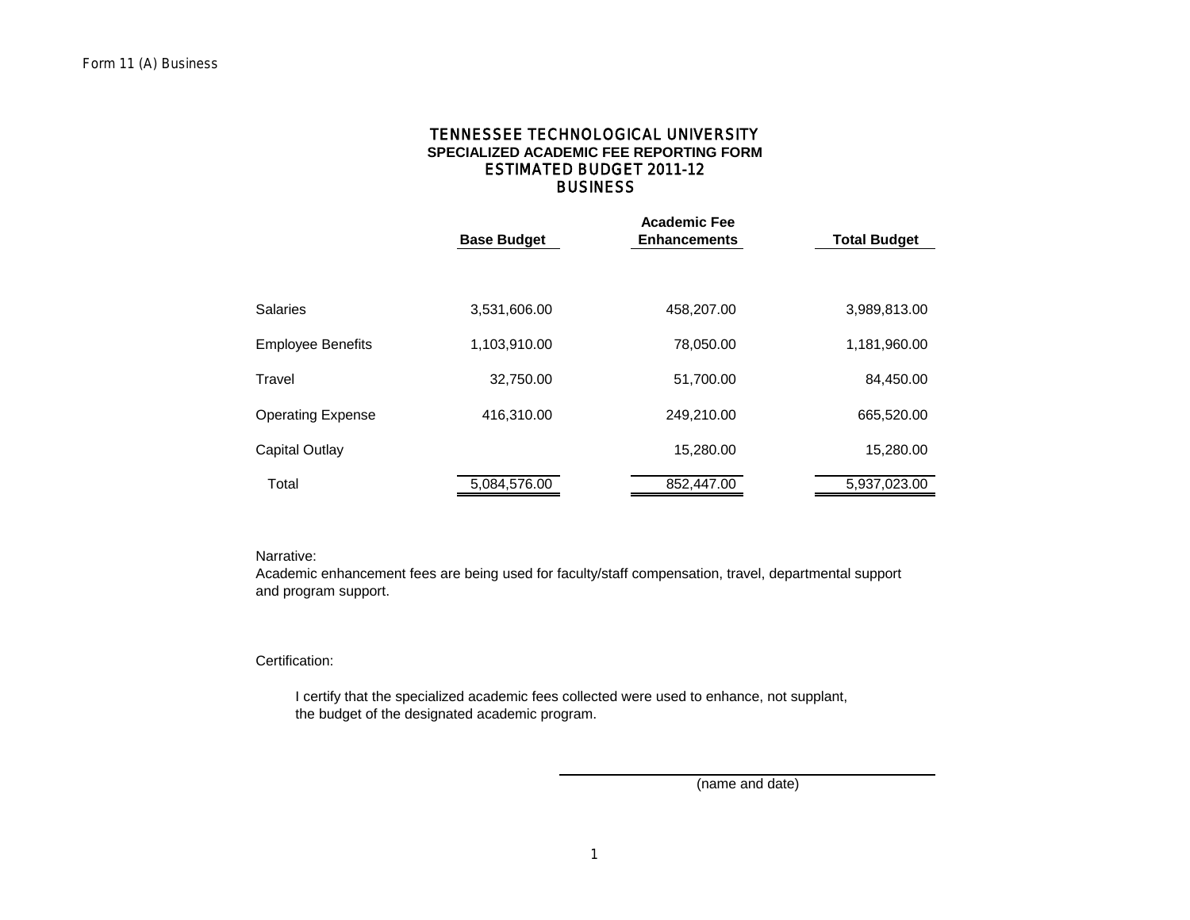## **BUSINESS SPECIALIZED ACADEMIC FEE REPORTING FORM** TENNESSEE TECHNOLOGICAL UNIVERSITY ESTIMATED BUDGET 2011-12

|                          | <b>Base Budget</b> | <b>Academic Fee</b><br><b>Enhancements</b> | <b>Total Budget</b> |
|--------------------------|--------------------|--------------------------------------------|---------------------|
|                          |                    |                                            |                     |
| <b>Salaries</b>          | 3,531,606.00       | 458,207.00                                 | 3,989,813.00        |
| <b>Employee Benefits</b> | 1,103,910.00       | 78,050.00                                  | 1,181,960.00        |
| Travel                   | 32,750.00          | 51,700.00                                  | 84,450.00           |
| <b>Operating Expense</b> | 416,310.00         | 249,210.00                                 | 665,520.00          |
| <b>Capital Outlay</b>    |                    | 15,280.00                                  | 15,280.00           |
| Total                    | 5,084,576.00       | 852,447.00                                 | 5,937,023.00        |

#### Narrative:

Academic enhancement fees are being used for faculty/staff compensation, travel, departmental support and program support.

## Certification:

 I certify that the specialized academic fees collected were used to enhance, not supplant, the budget of the designated academic program.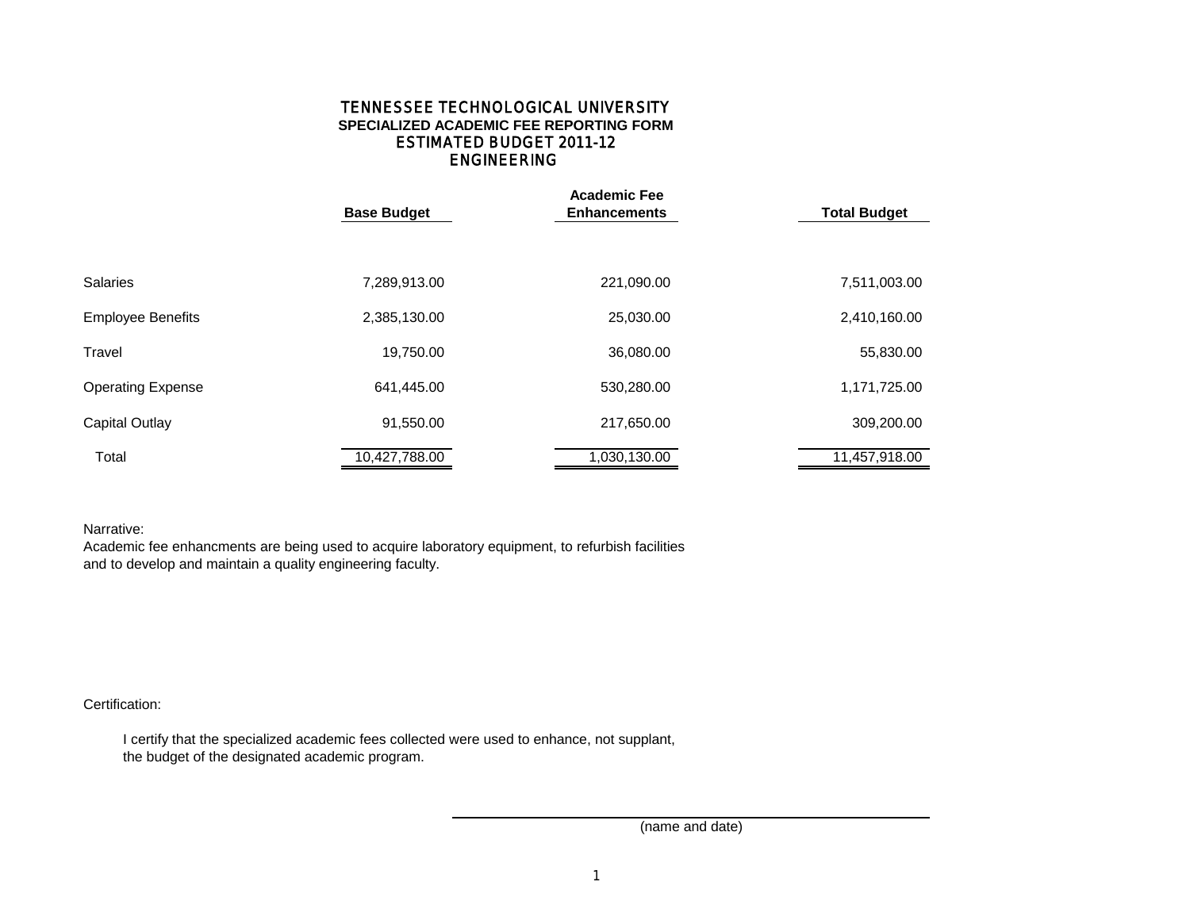## ENGINEERING TENNESSEE TECHNOLOGICAL UNIVERSITY **SPECIALIZED ACADEMIC FEE REPORTING FORM** ESTIMATED BUDGET 2011-12

|                          |                    | <b>Academic Fee</b> |                     |  |  |
|--------------------------|--------------------|---------------------|---------------------|--|--|
|                          | <b>Base Budget</b> | <b>Enhancements</b> | <b>Total Budget</b> |  |  |
|                          |                    |                     |                     |  |  |
| <b>Salaries</b>          | 7,289,913.00       | 221,090.00          | 7,511,003.00        |  |  |
| <b>Employee Benefits</b> | 2,385,130.00       | 25,030.00           | 2,410,160.00        |  |  |
| Travel                   | 19,750.00          | 36,080.00           | 55,830.00           |  |  |
| <b>Operating Expense</b> | 641,445.00         | 530,280.00          | 1,171,725.00        |  |  |
| <b>Capital Outlay</b>    | 91,550.00          | 217,650.00          | 309,200.00          |  |  |
| Total                    | 10,427,788.00      | 1,030,130.00        | 11,457,918.00       |  |  |

Narrative:

Academic fee enhancments are being used to acquire laboratory equipment, to refurbish facilities and to develop and maintain a quality engineering faculty.

Certification:

 I certify that the specialized academic fees collected were used to enhance, not supplant, the budget of the designated academic program.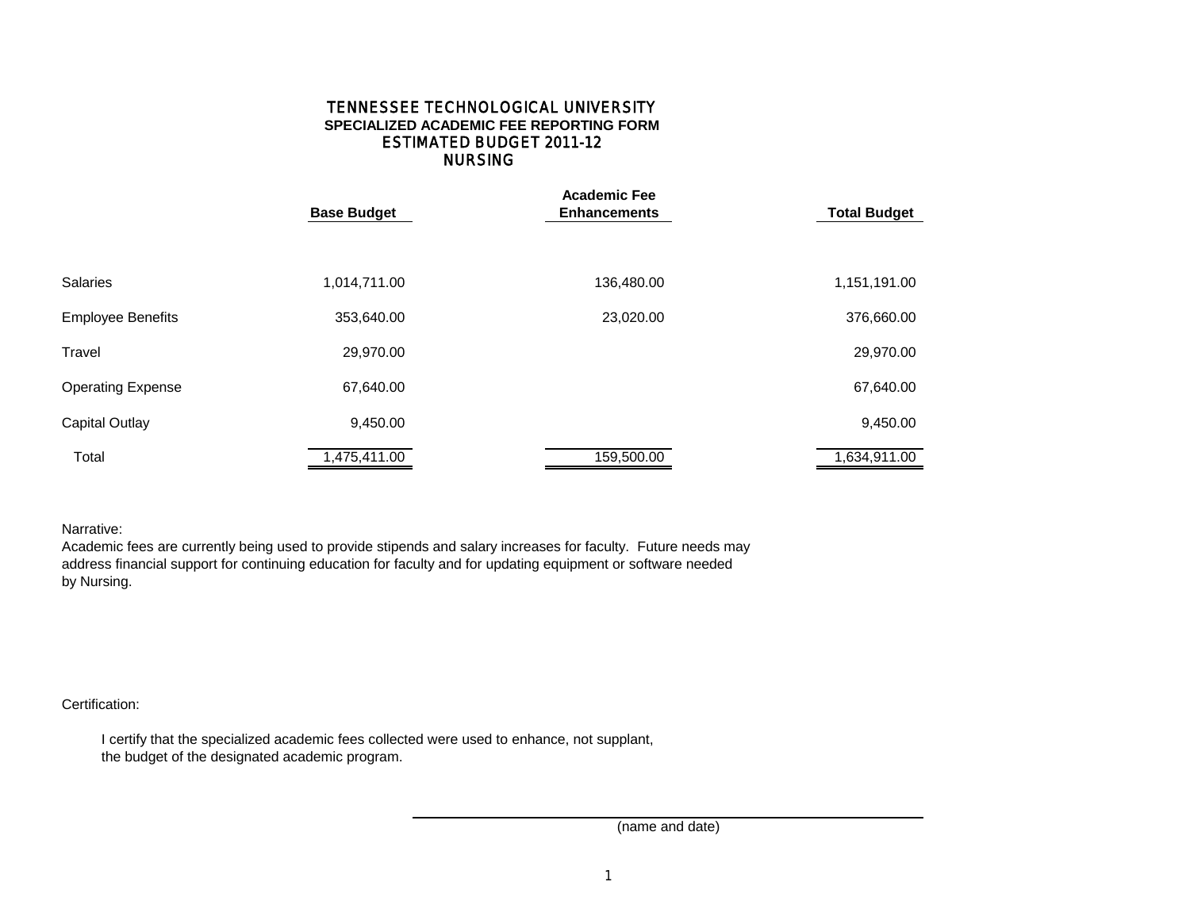## NURSING TENNESSEE TECHNOLOGICAL UNIVERSITY **SPECIALIZED ACADEMIC FEE REPORTING FORM** ESTIMATED BUDGET 2011-12

|                          | <b>Base Budget</b> | <b>Academic Fee</b><br><b>Enhancements</b> | <b>Total Budget</b> |  |  |
|--------------------------|--------------------|--------------------------------------------|---------------------|--|--|
|                          |                    |                                            |                     |  |  |
| <b>Salaries</b>          | 1,014,711.00       | 136,480.00                                 | 1,151,191.00        |  |  |
| <b>Employee Benefits</b> | 353,640.00         | 23,020.00                                  | 376,660.00          |  |  |
| Travel                   | 29,970.00          |                                            | 29,970.00           |  |  |
| <b>Operating Expense</b> | 67,640.00          |                                            | 67,640.00           |  |  |
| <b>Capital Outlay</b>    | 9,450.00           |                                            | 9,450.00            |  |  |
| Total                    | 1,475,411.00       | 159,500.00                                 | 1,634,911.00        |  |  |

Narrative:

Academic fees are currently being used to provide stipends and salary increases for faculty. Future needs may address financial support for continuing education for faculty and for updating equipment or software needed by Nursing.

Certification:

 I certify that the specialized academic fees collected were used to enhance, not supplant, the budget of the designated academic program.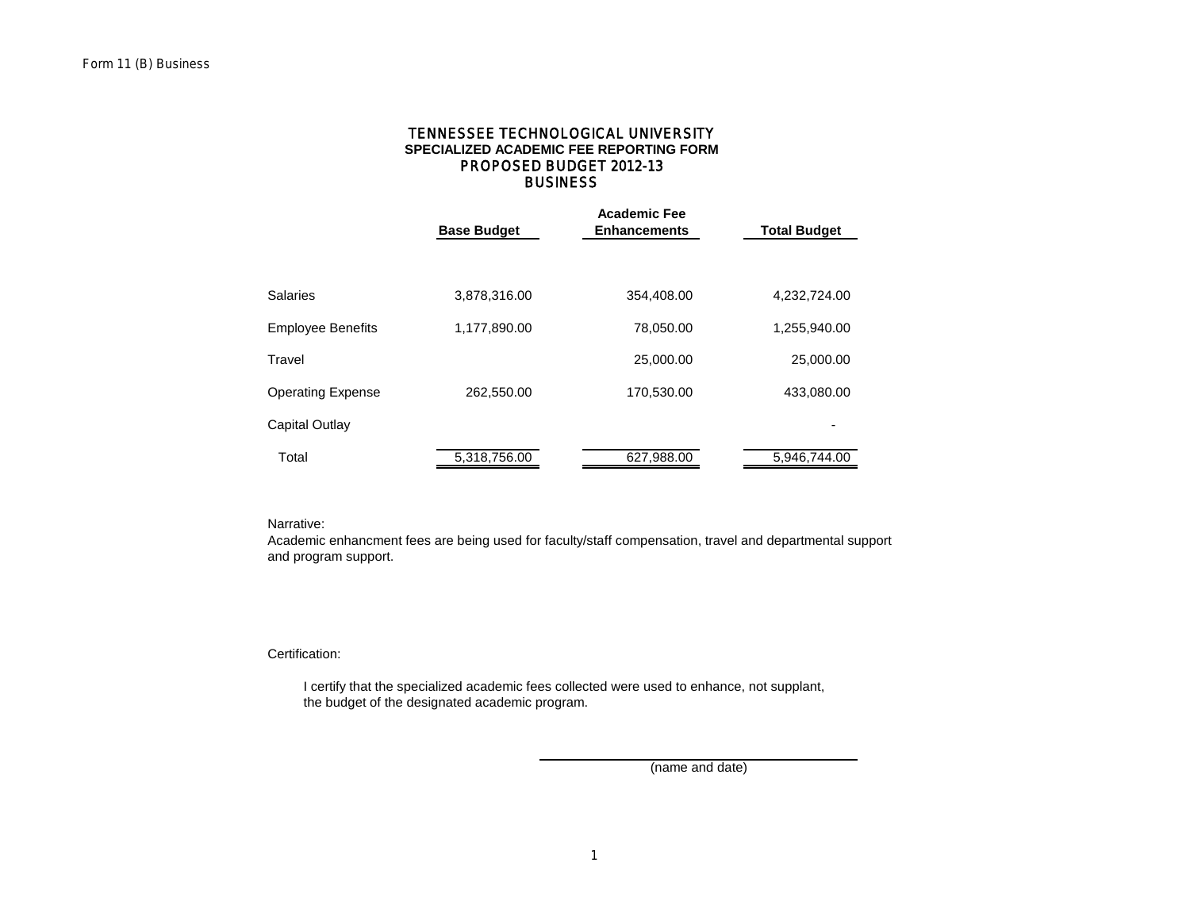## **BUSINESS SPECIALIZED ACADEMIC FEE REPORTING FORM** TENNESSEE TECHNOLOGICAL UNIVERSITY PROPOSED BUDGET 2012-13

|                          | <b>Base Budget</b> | <b>Academic Fee</b><br><b>Enhancements</b> | <b>Total Budget</b> |
|--------------------------|--------------------|--------------------------------------------|---------------------|
|                          |                    |                                            |                     |
| Salaries                 | 3,878,316.00       | 354,408.00                                 | 4,232,724.00        |
| <b>Employee Benefits</b> | 1,177,890.00       | 78,050.00                                  | 1,255,940.00        |
| Travel                   |                    | 25,000.00                                  | 25,000.00           |
| Operating Expense        | 262,550.00         | 170,530.00                                 | 433,080.00          |
| Capital Outlay           |                    |                                            |                     |
| Total                    | 5,318,756.00       | 627,988.00                                 | 5,946,744.00        |

Narrative:

Academic enhancment fees are being used for faculty/staff compensation, travel and departmental support and program support.

Certification:

 I certify that the specialized academic fees collected were used to enhance, not supplant, the budget of the designated academic program.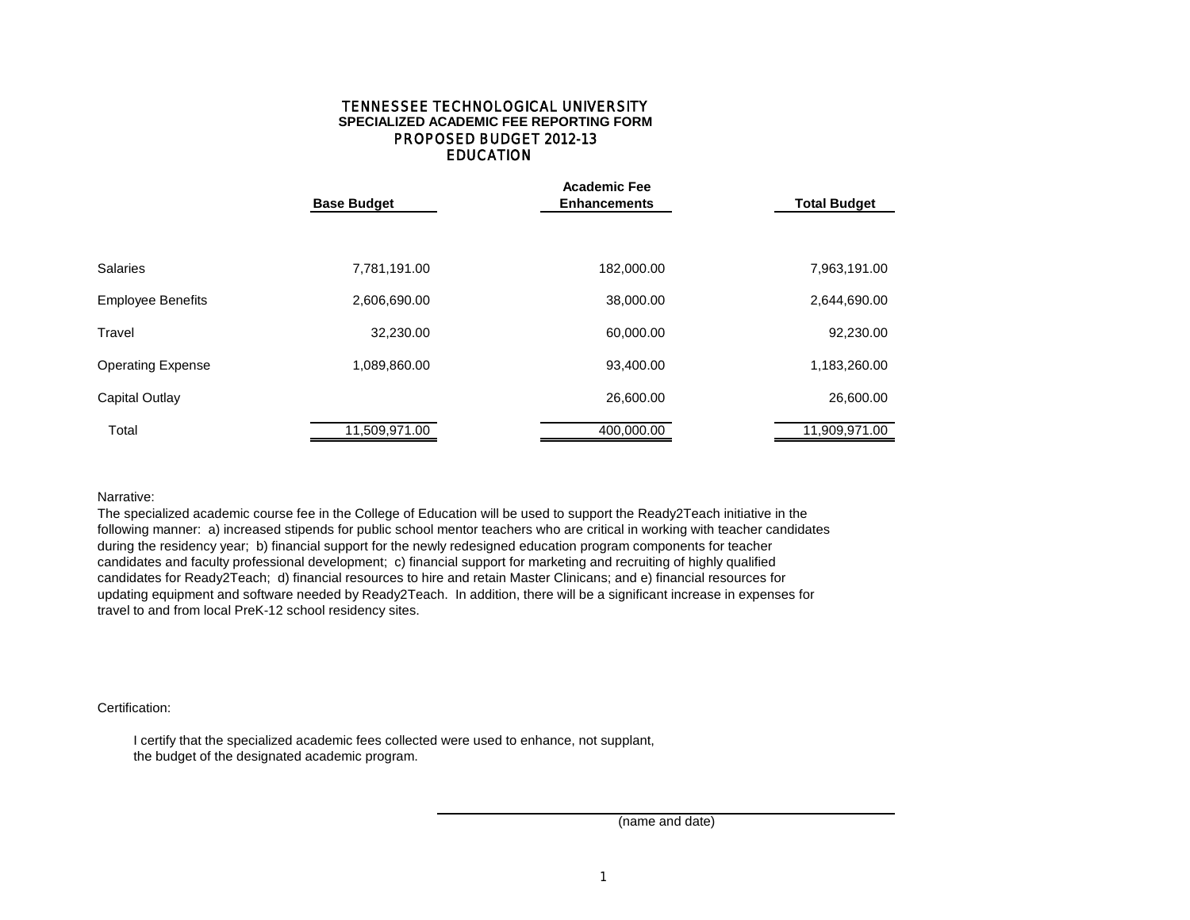## **EDUCATION** TENNESSEE TECHNOLOGICAL UNIVERSITY **SPECIALIZED ACADEMIC FEE REPORTING FORM** PROPOSED BUDGET 2012-13

|                          | <b>Base Budget</b> | <b>Academic Fee</b><br><b>Enhancements</b> | <b>Total Budget</b> |  |  |
|--------------------------|--------------------|--------------------------------------------|---------------------|--|--|
|                          |                    |                                            |                     |  |  |
| <b>Salaries</b>          | 7,781,191.00       | 182,000.00                                 | 7,963,191.00        |  |  |
| <b>Employee Benefits</b> | 2,606,690.00       | 38,000.00                                  | 2,644,690.00        |  |  |
| Travel                   | 32,230.00          | 60,000.00                                  | 92,230.00           |  |  |
| <b>Operating Expense</b> | 1,089,860.00       | 93,400.00                                  | 1,183,260.00        |  |  |
| Capital Outlay           |                    | 26,600.00                                  | 26,600.00           |  |  |
| Total                    | 11,509,971.00      | 400,000.00                                 | 11,909,971.00       |  |  |

Narrative:

The specialized academic course fee in the College of Education will be used to support the Ready2Teach initiative in the following manner: a) increased stipends for public school mentor teachers who are critical in working with teacher candidates during the residency year; b) financial support for the newly redesigned education program components for teacher candidates and faculty professional development; c) financial support for marketing and recruiting of highly qualified candidates for Ready2Teach; d) financial resources to hire and retain Master Clinicans; and e) financial resources for updating equipment and software needed by Ready2Teach. In addition, there will be a significant increase in expenses for travel to and from local PreK-12 school residency sites.

Certification:

 I certify that the specialized academic fees collected were used to enhance, not supplant, the budget of the designated academic program.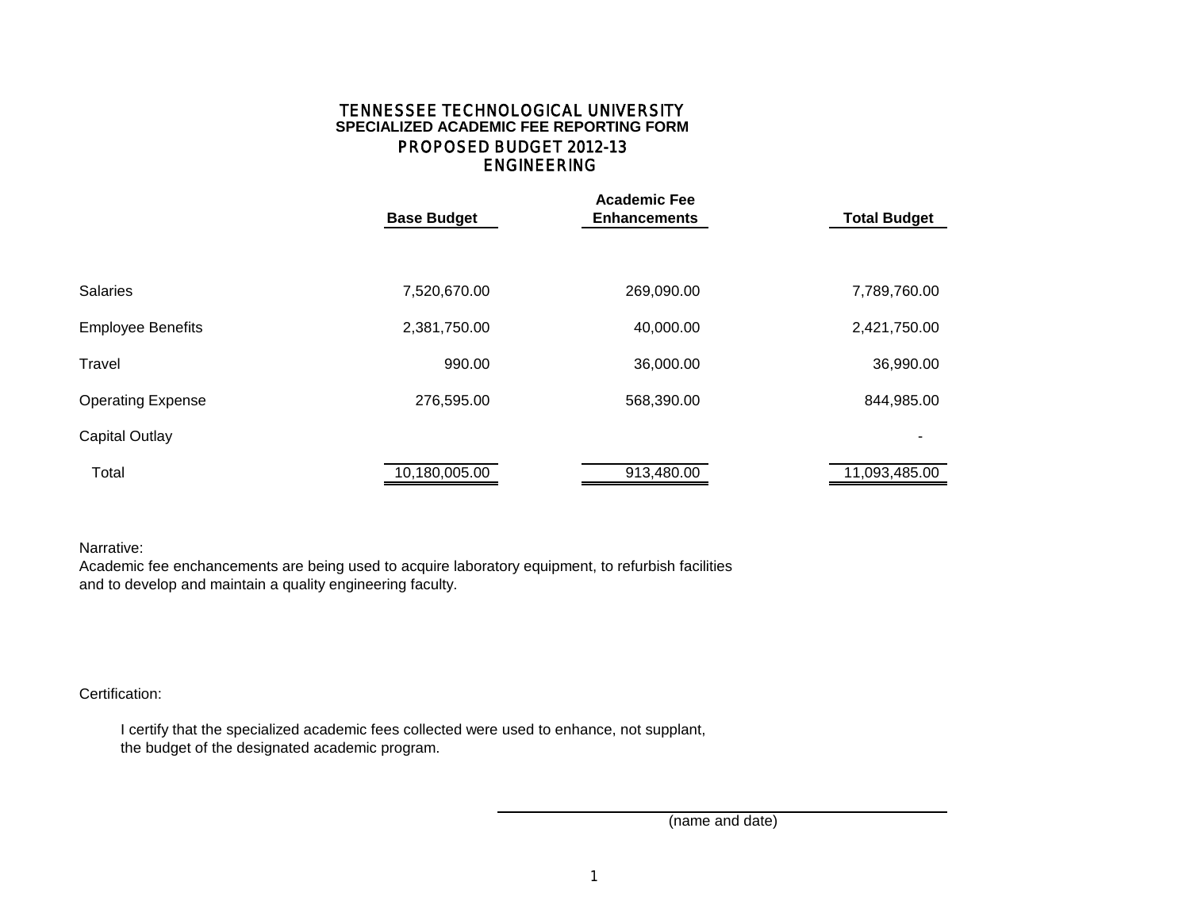# ENGINEERING TENNESSEE TECHNOLOGICAL UNIVERSITY **SPECIALIZED ACADEMIC FEE REPORTING FORM** PROPOSED BUDGET 2012-13

|                          | <b>Base Budget</b> | <b>Academic Fee</b><br><b>Enhancements</b> | <b>Total Budget</b> |  |  |
|--------------------------|--------------------|--------------------------------------------|---------------------|--|--|
|                          |                    |                                            |                     |  |  |
| <b>Salaries</b>          | 7,520,670.00       | 269,090.00                                 | 7,789,760.00        |  |  |
| <b>Employee Benefits</b> | 2,381,750.00       | 40,000.00                                  | 2,421,750.00        |  |  |
| Travel                   | 990.00             | 36,000.00                                  | 36,990.00           |  |  |
| <b>Operating Expense</b> | 276,595.00         | 568,390.00                                 | 844,985.00          |  |  |
| <b>Capital Outlay</b>    |                    |                                            |                     |  |  |
| Total                    | 10,180,005.00      | 913,480.00                                 | 11,093,485.00       |  |  |

# Narrative:

Academic fee enchancements are being used to acquire laboratory equipment, to refurbish facilities and to develop and maintain a quality engineering faculty.

# Certification:

 I certify that the specialized academic fees collected were used to enhance, not supplant, the budget of the designated academic program.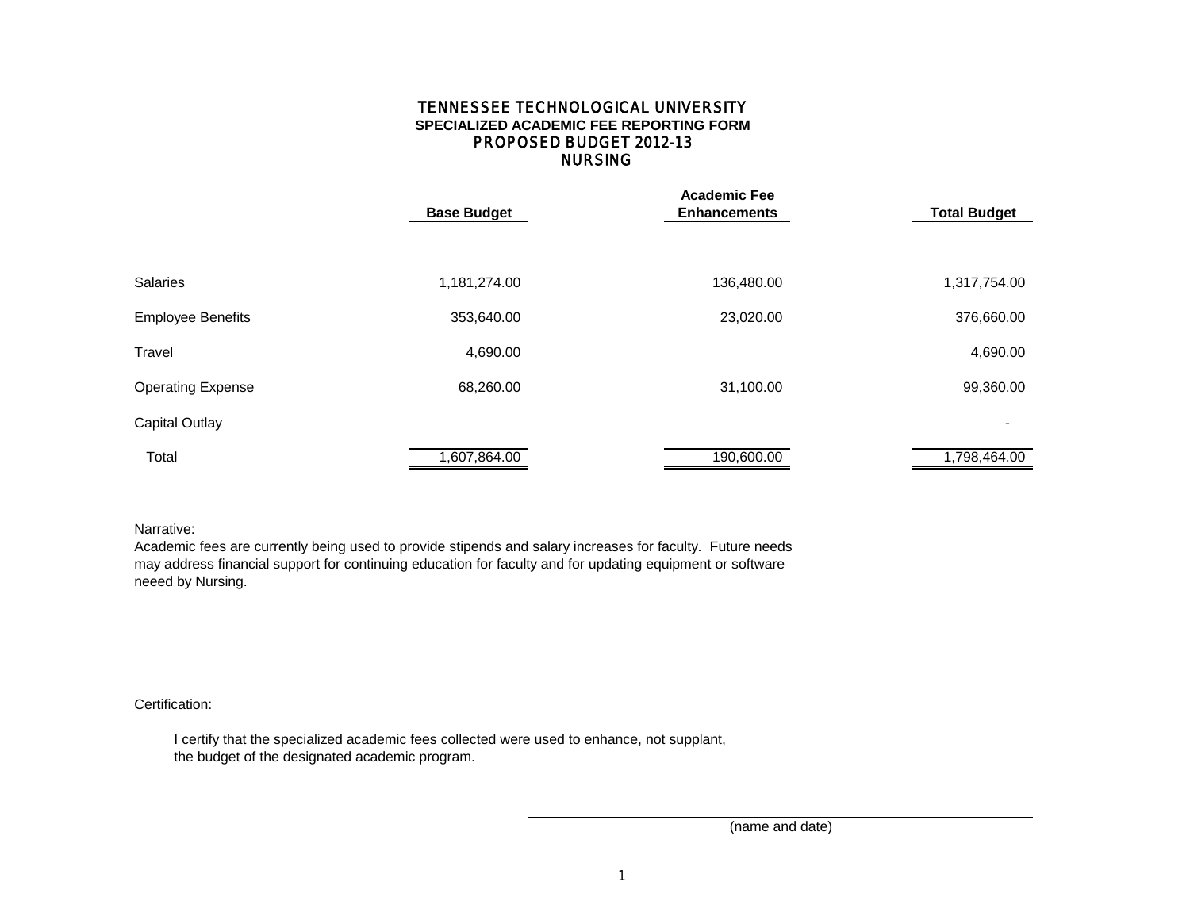## NURSING TENNESSEE TECHNOLOGICAL UNIVERSITY **SPECIALIZED ACADEMIC FEE REPORTING FORM** PROPOSED BUDGET 2012-13

|                          |                    | <b>Academic Fee</b> |                          |  |  |  |
|--------------------------|--------------------|---------------------|--------------------------|--|--|--|
|                          | <b>Base Budget</b> | <b>Enhancements</b> | <b>Total Budget</b>      |  |  |  |
|                          |                    |                     |                          |  |  |  |
|                          |                    |                     |                          |  |  |  |
| <b>Salaries</b>          | 1,181,274.00       | 136,480.00          | 1,317,754.00             |  |  |  |
| <b>Employee Benefits</b> | 353,640.00         | 23,020.00           | 376,660.00               |  |  |  |
|                          |                    |                     |                          |  |  |  |
| Travel                   | 4,690.00           |                     | 4,690.00                 |  |  |  |
| <b>Operating Expense</b> | 68,260.00          | 31,100.00           | 99,360.00                |  |  |  |
| <b>Capital Outlay</b>    |                    |                     | $\overline{\phantom{0}}$ |  |  |  |
| Total                    | 1,607,864.00       | 190,600.00          | 1,798,464.00             |  |  |  |

## Narrative:

Academic fees are currently being used to provide stipends and salary increases for faculty. Future needs may address financial support for continuing education for faculty and for updating equipment or software neeed by Nursing.

## Certification:

 I certify that the specialized academic fees collected were used to enhance, not supplant, the budget of the designated academic program.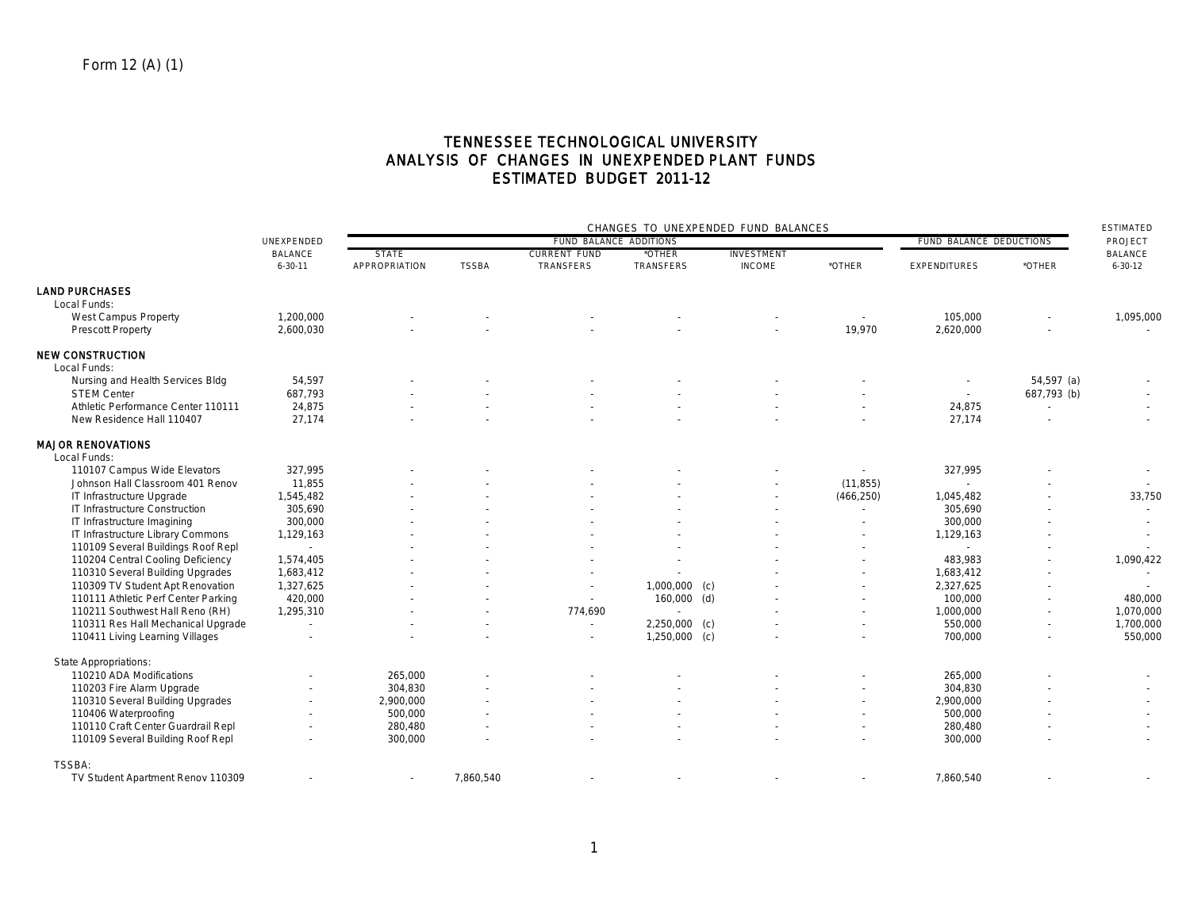# TENNESSEE TECHNOLOGICAL UNIVERSITY ANALYSIS OF CHANGES IN UNEXPENDED PLANT FUNDS ESTIMATED BUDGET 2011-12

|                                     | UNEXPENDED               | CHANGES TO UNEXPENDED FUND BALANCES |              |                          |                         |               |                          | <b>ESTIMATED</b>    |                          |                |
|-------------------------------------|--------------------------|-------------------------------------|--------------|--------------------------|-------------------------|---------------|--------------------------|---------------------|--------------------------|----------------|
|                                     |                          | FUND BALANCE ADDITIONS              |              |                          | FUND BALANCE DEDUCTIONS |               |                          |                     |                          |                |
|                                     | <b>BALANCE</b>           | <b>STATE</b>                        |              | <b>CURRENT FUND</b>      | *OTHER                  | INVESTMENT    |                          |                     |                          | <b>BALANCE</b> |
|                                     | $6 - 30 - 11$            | APPROPRIATION                       | <b>TSSBA</b> | TRANSFERS                | TRANSFERS               | <b>INCOME</b> | *OTHER                   | <b>EXPENDITURES</b> | *OTHER                   | $6 - 30 - 12$  |
| <b>LAND PURCHASES</b>               |                          |                                     |              |                          |                         |               |                          |                     |                          |                |
| Local Funds:                        |                          |                                     |              |                          |                         |               |                          |                     |                          |                |
| <b>West Campus Property</b>         | 1,200,000                |                                     |              |                          |                         |               | $\sim$                   | 105,000             |                          | 1,095,000      |
| <b>Prescott Property</b>            | 2,600,030                |                                     |              |                          |                         |               | 19,970                   | 2,620,000           |                          |                |
| <b>NEW CONSTRUCTION</b>             |                          |                                     |              |                          |                         |               |                          |                     |                          |                |
| Local Funds:                        |                          |                                     |              |                          |                         |               |                          |                     |                          |                |
| Nursing and Health Services Bldg    | 54,597                   |                                     |              |                          |                         |               |                          |                     | $54,597$ (a)             |                |
| <b>STEM Center</b>                  | 687,793                  |                                     |              |                          |                         |               |                          | $\sim$              | 687,793 (b)              |                |
| Athletic Performance Center 110111  | 24,875                   |                                     |              |                          |                         |               |                          | 24,875              | $\overline{a}$           | $\sim$         |
| New Residence Hall 110407           | 27,174                   |                                     |              |                          |                         |               |                          | 27,174              |                          |                |
|                                     |                          |                                     |              |                          |                         |               |                          |                     |                          |                |
| <b>MAJOR RENOVATIONS</b>            |                          |                                     |              |                          |                         |               |                          |                     |                          |                |
| Local Funds:                        |                          |                                     |              |                          |                         |               |                          |                     |                          |                |
| 110107 Campus Wide Elevators        | 327,995                  |                                     |              |                          |                         |               |                          | 327,995             |                          |                |
| Johnson Hall Classroom 401 Renov    | 11,855                   |                                     |              |                          |                         |               | (11, 855)                |                     |                          |                |
| IT Infrastructure Upgrade           | 1,545,482                |                                     |              |                          |                         |               | (466, 250)               | 1,045,482           |                          | 33,750         |
| IT Infrastructure Construction      | 305,690                  |                                     |              |                          |                         |               | $\blacksquare$           | 305,690             |                          | $\sim$         |
| IT Infrastructure Imagining         | 300,000                  |                                     |              |                          |                         |               | $\sim$                   | 300,000             |                          |                |
| IT Infrastructure Library Commons   | 1,129,163                |                                     |              |                          |                         |               |                          | 1,129,163           |                          |                |
| 110109 Several Buildings Roof Repl  | $\sim$                   |                                     |              |                          |                         |               |                          | $\sim$              |                          |                |
| 110204 Central Cooling Deficiency   | 1,574,405                |                                     |              |                          |                         |               |                          | 483,983             |                          | 1,090,422      |
| 110310 Several Building Upgrades    | 1,683,412                |                                     |              |                          |                         |               |                          | 1,683,412           |                          |                |
| 110309 TV Student Apt Renovation    | 1,327,625                |                                     |              | $\overline{\phantom{a}}$ | $1,000,000$ (c)         |               |                          | 2,327,625           |                          |                |
| 110111 Athletic Perf Center Parking | 420,000                  |                                     |              | $\sim$                   | $160,000$ (d)           |               |                          | 100,000             |                          | 480,000        |
| 110211 Southwest Hall Reno (RH)     | 1,295,310                |                                     |              | 774,690                  |                         |               |                          | 1,000,000           | $\overline{\phantom{a}}$ | 1,070,000      |
| 110311 Res Hall Mechanical Upgrade  | $\sim$                   |                                     |              | $\overline{a}$           | 2,250,000 (c)           |               | $\sim$                   | 550,000             | $\tilde{\phantom{a}}$    | 1,700,000      |
| 110411 Living Learning Villages     |                          |                                     |              |                          | $1,250,000$ (c)         |               |                          | 700,000             | $\overline{\phantom{a}}$ | 550,000        |
| <b>State Appropriations:</b>        |                          |                                     |              |                          |                         |               |                          |                     |                          |                |
| 110210 ADA Modifications            |                          | 265.000                             |              |                          |                         |               |                          | 265,000             |                          |                |
| 110203 Fire Alarm Upgrade           |                          | 304,830                             |              |                          |                         |               |                          | 304,830             |                          |                |
| 110310 Several Building Upgrades    | $\overline{\phantom{a}}$ | 2,900,000                           |              |                          |                         |               |                          | 2,900,000           |                          |                |
| 110406 Waterproofing                |                          | 500.000                             |              |                          |                         |               |                          | 500,000             |                          |                |
| 110110 Craft Center Guardrail Repl  |                          | 280,480                             |              |                          |                         |               | $\sim$                   | 280,480             |                          |                |
| 110109 Several Building Roof Repl   |                          | 300,000                             |              |                          |                         |               |                          | 300,000             |                          |                |
| <b>TSSBA:</b>                       |                          |                                     |              |                          |                         |               |                          |                     |                          |                |
| TV Student Apartment Renov 110309   |                          |                                     | 7,860,540    |                          |                         |               | $\overline{\phantom{a}}$ | 7,860,540           |                          |                |
|                                     |                          |                                     |              |                          |                         |               |                          |                     |                          |                |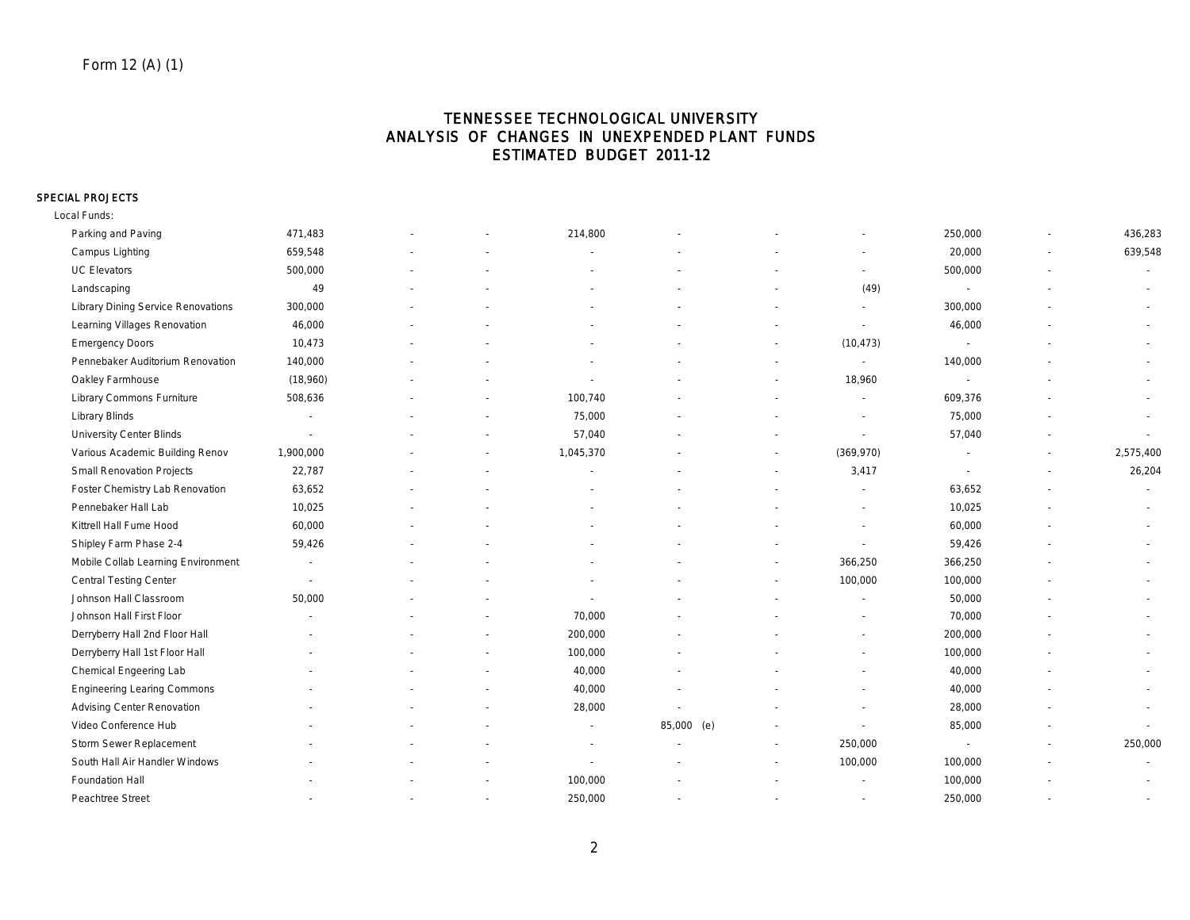## TENNESSEE TECHNOLOGICAL UNIVERSITY ANALYSIS OF CHANGES IN UNEXPENDED PLANT FUNDS ESTIMATED BUDGET 2011-12

#### SPECIAL PROJECTS

Local Funds:

| Parking and Paving                        | 471,483                  |                          | 214,800   |            |                          | 250,000                  |                          | 436,283   |
|-------------------------------------------|--------------------------|--------------------------|-----------|------------|--------------------------|--------------------------|--------------------------|-----------|
| Campus Lighting                           | 659,548                  |                          |           |            |                          | 20,000                   | $\blacksquare$           | 639,548   |
| <b>UC Elevators</b>                       | 500,000                  |                          |           |            |                          | 500,000                  |                          |           |
| Landscaping                               | 49                       |                          |           |            | (49)                     | $\sim$                   |                          |           |
| <b>Library Dining Service Renovations</b> | 300,000                  |                          |           |            |                          | 300,000                  |                          |           |
| Learning Villages Renovation              | 46,000                   |                          |           |            |                          | 46,000                   |                          |           |
| <b>Emergency Doors</b>                    | 10,473                   |                          |           |            | (10, 473)                | $\overline{\phantom{a}}$ |                          |           |
| Pennebaker Auditorium Renovation          | 140,000                  |                          |           |            | $\overline{\phantom{a}}$ | 140,000                  |                          |           |
| Oakley Farmhouse                          | (18,960)                 |                          |           |            | 18,960                   |                          |                          |           |
| Library Commons Furniture                 | 508,636                  |                          | 100,740   |            |                          | 609,376                  |                          |           |
| <b>Library Blinds</b>                     | $\overline{\phantom{a}}$ |                          | 75,000    |            | $\overline{\phantom{a}}$ | 75,000                   |                          |           |
| <b>University Center Blinds</b>           | $\sim$                   |                          | 57,040    |            |                          | 57,040                   |                          |           |
| Various Academic Building Renov           | 1,900,000                |                          | 1,045,370 |            | (369, 970)               |                          | $\overline{\phantom{a}}$ | 2,575,400 |
| <b>Small Renovation Projects</b>          | 22,787                   |                          |           |            | 3,417                    | $\overline{\phantom{a}}$ | $\overline{\phantom{a}}$ | 26,204    |
| Foster Chemistry Lab Renovation           | 63,652                   |                          |           |            |                          | 63,652                   |                          |           |
| Pennebaker Hall Lab                       | 10,025                   |                          |           |            |                          | 10,025                   |                          |           |
| Kittrell Hall Fume Hood                   | 60,000                   |                          |           |            |                          | 60,000                   |                          | $\sim$    |
| Shipley Farm Phase 2-4                    | 59,426                   |                          |           |            |                          | 59,426                   |                          |           |
| Mobile Collab Learning Environment        | $\overline{\phantom{a}}$ |                          |           |            | 366,250                  | 366,250                  |                          | $\sim$    |
| <b>Central Testing Center</b>             | $\overline{\phantom{a}}$ |                          |           |            | 100,000                  | 100,000                  |                          |           |
| Johnson Hall Classroom                    | 50,000                   |                          |           |            |                          | 50,000                   |                          |           |
| Johnson Hall First Floor                  |                          |                          | 70,000    |            |                          | 70,000                   |                          |           |
| Derryberry Hall 2nd Floor Hall            |                          |                          | 200,000   |            |                          | 200,000                  |                          |           |
| Derryberry Hall 1st Floor Hall            |                          |                          | 100,000   |            |                          | 100,000                  |                          |           |
| Chemical Engeering Lab                    |                          |                          | 40,000    |            |                          | 40,000                   |                          |           |
| <b>Engineering Learing Commons</b>        |                          |                          | 40,000    |            |                          | 40,000                   |                          | $\sim$    |
| <b>Advising Center Renovation</b>         |                          |                          | 28,000    |            |                          | 28,000                   |                          |           |
| Video Conference Hub                      |                          |                          | $\sim$    | 85,000 (e) |                          | 85,000                   |                          | $\sim$    |
| Storm Sewer Replacement                   |                          |                          |           |            | 250,000                  | $\overline{\phantom{a}}$ | $\overline{\phantom{a}}$ | 250,000   |
| South Hall Air Handler Windows            |                          |                          |           |            | 100,000                  | 100,000                  |                          |           |
| Foundation Hall                           |                          |                          | 100,000   |            |                          | 100,000                  |                          |           |
| Peachtree Street                          | $\sim$                   | $\overline{\phantom{a}}$ | 250,000   |            | $\sim$                   | 250,000                  |                          | $\sim$    |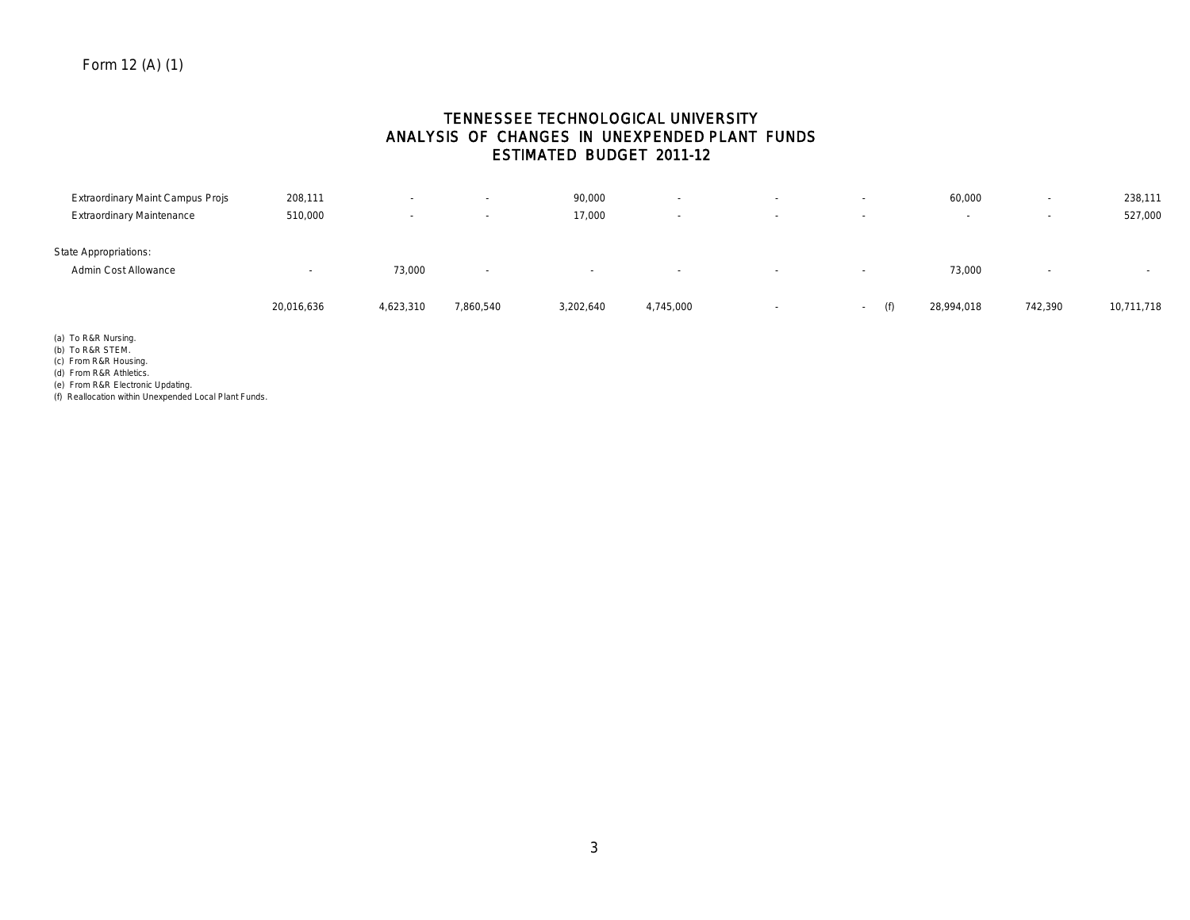## TENNESSEE TECHNOLOGICAL UNIVERSITY ANALYSIS OF CHANGES IN UNEXPENDED PLANT FUNDS ESTIMATED BUDGET 2011-12

| Extraordinary Maint Campus Projs | 208,111                  | $\sim$                   | $\sim$    | 90,000    | $\overline{\phantom{0}}$ | $\sim$                   | $\sim$        | 60,000     | $\sim$  | 238,111    |
|----------------------------------|--------------------------|--------------------------|-----------|-----------|--------------------------|--------------------------|---------------|------------|---------|------------|
| <b>Extraordinary Maintenance</b> | 510,000                  | $\overline{\phantom{a}}$ | $\sim$    | 17,000    | $\overline{\phantom{a}}$ | $\overline{\phantom{a}}$ | $\sim$        |            | $\sim$  | 527,000    |
| <b>State Appropriations:</b>     |                          |                          |           |           |                          |                          |               |            |         |            |
| Admin Cost Allowance             | $\overline{\phantom{a}}$ | 73,000                   | $\sim$    | $\sim$    | $\sim$                   | $\sim$                   | $\sim$        | 73,000     |         |            |
|                                  | 20,016,636               | 4,623,310                | 7,860,540 | 3,202,640 | 4,745,000                | $\overline{\phantom{a}}$ | (f)<br>$\sim$ | 28,994,018 | 742,390 | 10,711,718 |

(a) To R&R Nursing.

(b) To R&R STEM.

(c) From R&R Housing.

(d) From R&R Athletics.

(e) From R&R Electronic Updating.

(f) Reallocation within Unexpended Local Plant Funds.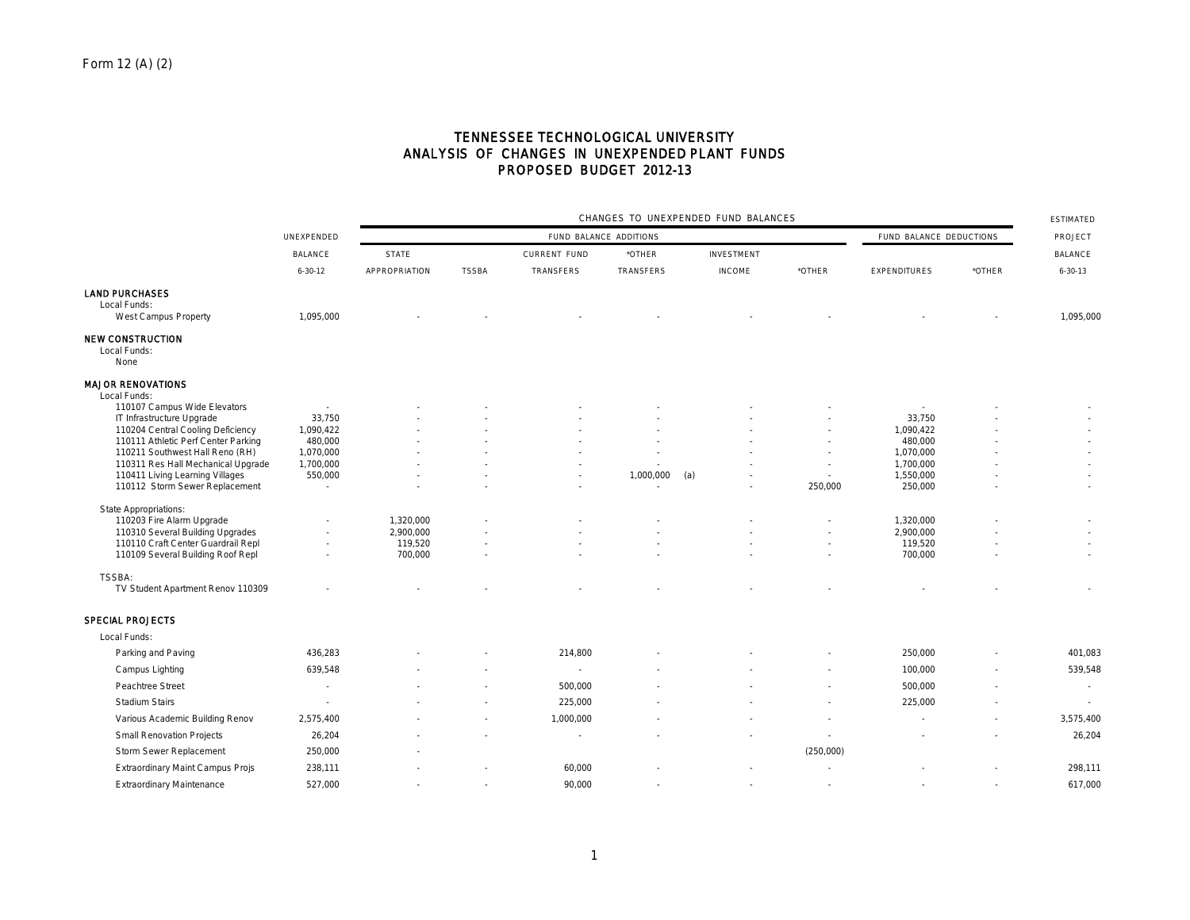## TENNESSEE TECHNOLOGICAL UNIVERSITY ANALYSIS OF CHANGES IN UNEXPENDED PLANT FUNDS PROPOSED BUDGET 2012-13

|                                                                       |                          |               | CHANGES TO UNEXPENDED FUND BALANCES |                        |           |                   |           |                         |                |                |  |
|-----------------------------------------------------------------------|--------------------------|---------------|-------------------------------------|------------------------|-----------|-------------------|-----------|-------------------------|----------------|----------------|--|
|                                                                       | UNEXPENDED               |               |                                     | FUND BALANCE ADDITIONS |           |                   |           | FUND BALANCE DEDUCTIONS |                | PROJECT        |  |
|                                                                       | <b>BALANCE</b>           | <b>STATE</b>  |                                     | <b>CURRENT FUND</b>    | *OTHER    | <b>INVESTMENT</b> |           |                         |                | <b>BALANCE</b> |  |
|                                                                       | $6 - 30 - 12$            | APPROPRIATION | <b>TSSBA</b>                        | TRANSFERS              | TRANSFERS | <b>INCOME</b>     | *OTHER    | <b>EXPENDITURES</b>     | *OTHER         | $6 - 30 - 13$  |  |
| <b>LAND PURCHASES</b>                                                 |                          |               |                                     |                        |           |                   |           |                         |                |                |  |
| Local Funds:                                                          |                          |               |                                     |                        |           |                   |           |                         |                |                |  |
| West Campus Property                                                  | 1,095,000                |               |                                     |                        |           |                   |           |                         |                | 1,095,000      |  |
| <b>NEW CONSTRUCTION</b><br>Local Funds:                               |                          |               |                                     |                        |           |                   |           |                         |                |                |  |
| None                                                                  |                          |               |                                     |                        |           |                   |           |                         |                |                |  |
| <b>MAJOR RENOVATIONS</b><br>Local Funds:                              |                          |               |                                     |                        |           |                   |           |                         |                |                |  |
| 110107 Campus Wide Elevators                                          |                          |               |                                     |                        |           |                   |           |                         |                |                |  |
| IT Infrastructure Upgrade                                             | 33,750                   |               |                                     |                        |           |                   |           | 33,750                  |                |                |  |
| 110204 Central Cooling Deficiency                                     | 1,090,422                |               |                                     |                        |           |                   |           | 1,090,422               |                |                |  |
| 110111 Athletic Perf Center Parking                                   | 480,000                  |               |                                     |                        |           |                   |           | 480,000                 |                |                |  |
| 110211 Southwest Hall Reno (RH)<br>110311 Res Hall Mechanical Upgrade | 1,070,000<br>1,700,000   |               |                                     |                        |           |                   |           | 1,070,000<br>1,700,000  |                |                |  |
| 110411 Living Learning Villages                                       | 550,000                  |               |                                     |                        | 1,000,000 | (a)               |           | 1,550,000               |                |                |  |
| 110112 Storm Sewer Replacement                                        | ×                        |               |                                     |                        |           |                   | 250,000   | 250,000                 |                | $\sim$         |  |
|                                                                       |                          |               |                                     |                        |           |                   |           |                         |                |                |  |
| <b>State Appropriations:</b><br>110203 Fire Alarm Upgrade             |                          | 1,320,000     |                                     |                        |           |                   |           | 1,320,000               |                |                |  |
| 110310 Several Building Upgrades                                      | $\overline{\phantom{a}}$ | 2,900,000     |                                     |                        |           |                   |           | 2,900,000               |                |                |  |
| 110110 Craft Center Guardrail Repl                                    |                          | 119,520       |                                     |                        |           |                   |           | 119,520                 |                |                |  |
| 110109 Several Building Roof Repl                                     |                          | 700,000       |                                     |                        |           |                   |           | 700,000                 |                | $\sim$         |  |
| TSSBA:                                                                |                          |               |                                     |                        |           |                   |           |                         |                |                |  |
| TV Student Apartment Renov 110309                                     |                          |               |                                     |                        |           |                   |           |                         |                |                |  |
| <b>SPECIAL PROJECTS</b>                                               |                          |               |                                     |                        |           |                   |           |                         |                |                |  |
| Local Funds:                                                          |                          |               |                                     |                        |           |                   |           |                         |                |                |  |
| Parking and Paving                                                    | 436,283                  |               |                                     | 214,800                |           |                   |           | 250,000                 |                | 401,083        |  |
| Campus Lighting                                                       | 639,548                  |               |                                     |                        |           |                   |           | 100,000                 |                | 539,548        |  |
| Peachtree Street                                                      | $\sim$                   |               |                                     | 500,000                |           |                   |           | 500,000                 |                | ×.             |  |
| <b>Stadium Stairs</b>                                                 |                          |               |                                     | 225,000                |           |                   |           | 225,000                 |                | $\sim$         |  |
| Various Academic Building Renov                                       | 2,575,400                |               |                                     | 1,000,000              |           |                   |           |                         |                | 3,575,400      |  |
| <b>Small Renovation Projects</b>                                      | 26,204                   |               |                                     |                        |           |                   |           |                         |                | 26,204         |  |
| Storm Sewer Replacement                                               | 250,000                  |               |                                     |                        |           |                   | (250,000) |                         |                |                |  |
| <b>Extraordinary Maint Campus Projs</b>                               | 238,111                  |               |                                     | 60,000                 |           |                   |           |                         |                | 298,111        |  |
| <b>Extraordinary Maintenance</b>                                      | 527,000                  |               | ÷.                                  | 90,000                 |           |                   | $\sim$    |                         | $\overline{a}$ | 617,000        |  |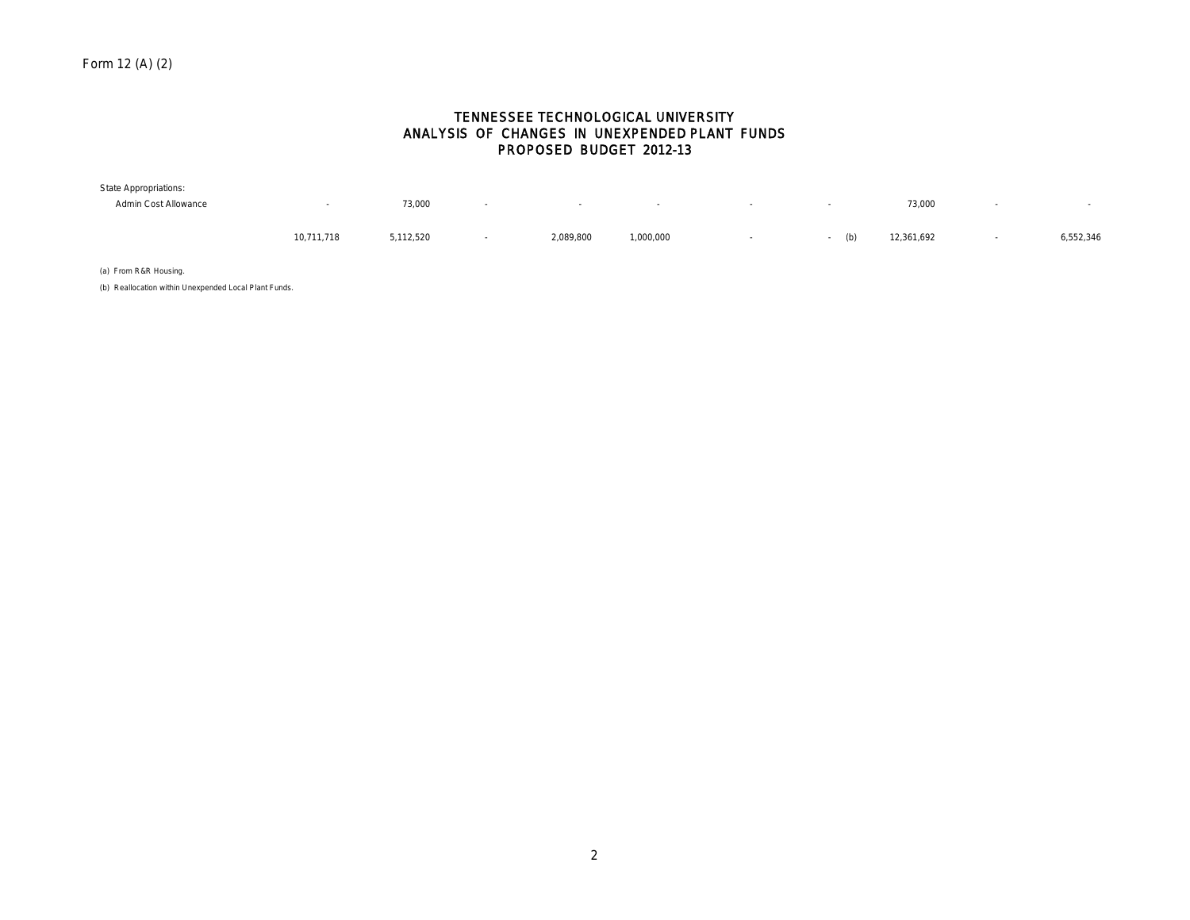## TENNESSEE TECHNOLOGICAL UNIVERSITY ANALYSIS OF CHANGES IN UNEXPENDED PLANT FUNDS PROPOSED BUDGET 2012-13

| <b>State Appropriations:</b> |            |           |           |           |  |            |           |
|------------------------------|------------|-----------|-----------|-----------|--|------------|-----------|
| Admin Cost Allowance         |            | 73,000    |           |           |  | 73,000     |           |
|                              | 10,711,718 | 5,112,520 | 2,089,800 | 000,000,1 |  | 12,361,692 | 6,552,346 |

(a) From R&R Housing.

(b) Reallocation within Unexpended Local Plant Funds.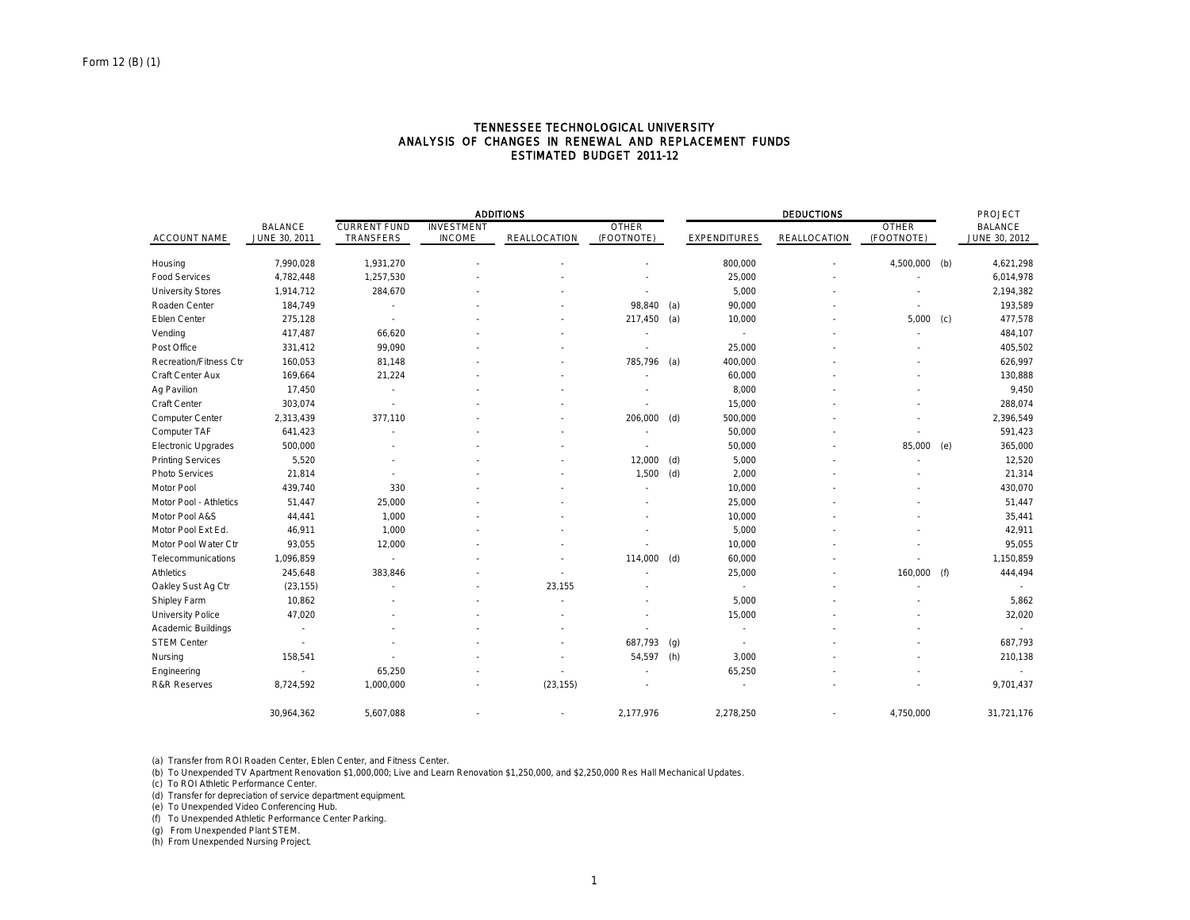|                               |                          |                     |                   | <b>ADDITIONS</b> |               |     |                     | <b>DEDUCTIONS</b> |              |     | PROJECT        |
|-------------------------------|--------------------------|---------------------|-------------------|------------------|---------------|-----|---------------------|-------------------|--------------|-----|----------------|
|                               | <b>BALANCE</b>           | <b>CURRENT FUND</b> | <b>INVESTMENT</b> |                  | <b>OTHER</b>  |     |                     |                   | <b>OTHER</b> |     | <b>BALANCE</b> |
| <b>ACCOUNT NAME</b>           | JUNE 30, 2011            | TRANSFERS           | <b>INCOME</b>     | REALLOCATION     | (FOOTNOTE)    |     | <b>EXPENDITURES</b> | REALLOCATION      | (FOOTNOTE)   |     | JUNE 30, 2012  |
| Housing                       | 7,990,028                | 1,931,270           |                   |                  |               |     | 800,000             |                   | 4,500,000    | (b) | 4,621,298      |
| <b>Food Services</b>          | 4,782,448                | 1,257,530           |                   |                  |               |     | 25,000              |                   |              |     | 6,014,978      |
| <b>University Stores</b>      | 1,914,712                | 284,670             |                   |                  |               |     | 5,000               |                   |              |     | 2,194,382      |
| Roaden Center                 | 184,749                  |                     |                   |                  | 98,840        | (a) | 90,000              |                   |              |     | 193,589        |
| Eblen Center                  | 275,128                  |                     |                   |                  | $217,450$ (a) |     | 10,000              |                   | 5,000        | (c) | 477,578        |
| Vending                       | 417,487                  | 66,620              |                   |                  |               |     |                     |                   |              |     | 484,107        |
| Post Office                   | 331,412                  | 99,090              |                   |                  |               |     | 25,000              |                   |              |     | 405,502        |
| <b>Recreation/Fitness Ctr</b> | 160,053                  | 81,148              |                   |                  | 785,796       | (a) | 400,000             |                   |              |     | 626,997        |
| Craft Center Aux              | 169,664                  | 21,224              |                   |                  |               |     | 60,000              |                   |              |     | 130,888        |
| Ag Pavilion                   | 17,450                   |                     |                   |                  |               |     | 8,000               |                   |              |     | 9,450          |
| Craft Center                  | 303,074                  |                     |                   |                  |               |     | 15,000              |                   |              |     | 288,074        |
| Computer Center               | 2,313,439                | 377,110             |                   |                  | 206,000       | (d) | 500,000             |                   |              |     | 2,396,549      |
| Computer TAF                  | 641,423                  |                     |                   |                  |               |     | 50,000              |                   |              |     | 591,423        |
| <b>Electronic Upgrades</b>    | 500,000                  |                     |                   |                  |               |     | 50,000              |                   | 85,000       | (e) | 365,000        |
| <b>Printing Services</b>      | 5,520                    |                     |                   |                  | 12,000        | (d) | 5,000               |                   |              |     | 12,520         |
| Photo Services                | 21,814                   |                     |                   |                  | 1,500         | (d) | 2,000               |                   |              |     | 21,314         |
| Motor Pool                    | 439,740                  | 330                 |                   |                  |               |     | 10,000              |                   |              |     | 430,070        |
| Motor Pool - Athletics        | 51,447                   | 25,000              |                   |                  |               |     | 25,000              |                   |              |     | 51,447         |
| Motor Pool A&S                | 44,441                   | 1,000               |                   |                  |               |     | 10,000              |                   |              |     | 35,441         |
| Motor Pool Ext Ed.            | 46,911                   | 1,000               |                   |                  |               |     | 5,000               |                   |              |     | 42,911         |
| Motor Pool Water Ctr          | 93,055                   | 12,000              |                   |                  |               |     | 10,000              |                   |              |     | 95,055         |
| Telecommunications            | 1,096,859                | ٠                   |                   |                  | 114,000 (d)   |     | 60,000              |                   |              |     | 1,150,859      |
| <b>Athletics</b>              | 245,648                  | 383,846             |                   |                  |               |     | 25,000              |                   | 160,000      | (f) | 444,494        |
| Oakley Sust Ag Ctr            | (23, 155)                |                     |                   | 23,155           |               |     | ٠                   |                   |              |     |                |
| Shipley Farm                  | 10,862                   |                     |                   |                  |               |     | 5,000               |                   |              |     | 5,862          |
| University Police             | 47,020                   |                     |                   |                  |               |     | 15,000              |                   |              |     | 32,020         |
| Academic Buildings            | $\overline{\phantom{a}}$ |                     |                   |                  |               |     | ٠                   |                   |              |     |                |
| <b>STEM Center</b>            |                          |                     |                   |                  | 687,793       | (g) | $\sim$              |                   |              |     | 687,793        |
| Nursing                       | 158,541                  |                     |                   |                  | 54,597        | (h) | 3,000               |                   |              |     | 210,138        |
| Engineering                   | $\overline{\phantom{a}}$ | 65,250              |                   |                  |               |     | 65,250              |                   |              |     |                |
| <b>R&amp;R Reserves</b>       | 8,724,592                | 1,000,000           |                   | (23, 155)        |               |     |                     |                   |              |     | 9,701,437      |
|                               | 30,964,362               | 5,607,088           |                   |                  | 2,177,976     |     | 2,278,250           |                   | 4,750,000    |     | 31,721,176     |

#### TENNESSEE TECHNOLOGICAL UNIVERSITY ANALYSIS OF CHANGES IN RENEWAL AND REPLACEMENT FUNDS ESTIMATED BUDGET 2011-12

(a) Transfer from ROI Roaden Center, Eblen Center, and Fitness Center.

(b) To Unexpended TV Apartment Renovation \$1,000,000; Live and Learn Renovation \$1,250,000, and \$2,250,000 Res Hall Mechanical Updates.

(c) To ROI Athletic Performance Center.

(d) Transfer for depreciation of service department equipment.

(e) To Unexpended Video Conferencing Hub.

(f) To Unexpended Athletic Performance Center Parking.

(g) From Unexpended Plant STEM.

(h) From Unexpended Nursing Project.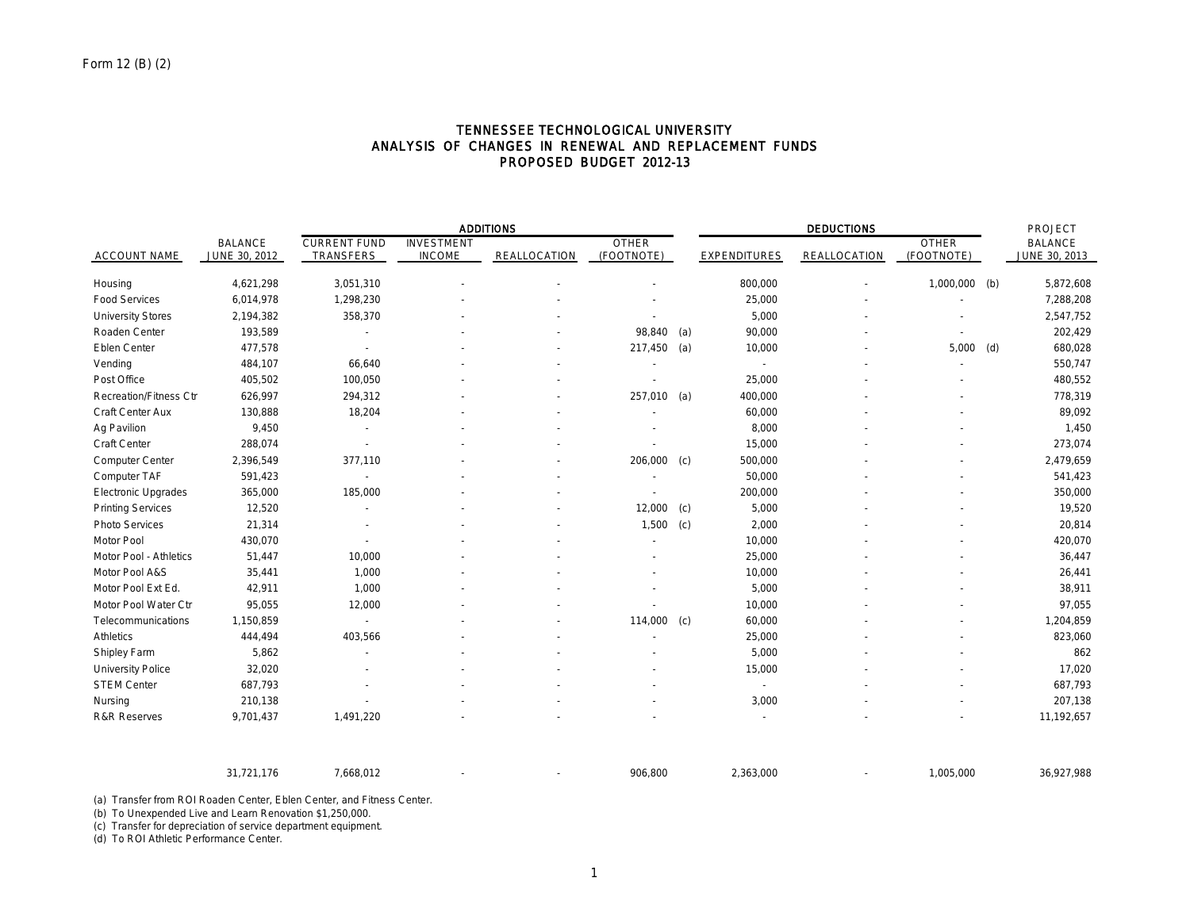|                               |                                 | <b>ADDITIONS</b>                 |                                    |              |                            |     | <b>DEDUCTIONS</b>        |              |                            |     | PROJECT                         |  |
|-------------------------------|---------------------------------|----------------------------------|------------------------------------|--------------|----------------------------|-----|--------------------------|--------------|----------------------------|-----|---------------------------------|--|
| <b>ACCOUNT NAME</b>           | <b>BALANCE</b><br>JUNE 30, 2012 | <b>CURRENT FUND</b><br>TRANSFERS | <b>INVESTMENT</b><br><b>INCOME</b> | REALLOCATION | <b>OTHER</b><br>(FOOTNOTE) |     | <b>EXPENDITURES</b>      | REALLOCATION | <b>OTHER</b><br>(FOOTNOTE) |     | <b>BALANCE</b><br>JUNE 30, 2013 |  |
| Housing                       | 4,621,298                       | 3,051,310                        |                                    |              |                            |     | 800,000                  |              | 1,000,000                  | (b) | 5,872,608                       |  |
| <b>Food Services</b>          | 6,014,978                       | 1,298,230                        |                                    |              |                            |     | 25,000                   |              |                            |     | 7,288,208                       |  |
| <b>University Stores</b>      | 2,194,382                       | 358,370                          |                                    |              |                            |     | 5,000                    |              |                            |     | 2,547,752                       |  |
| Roaden Center                 | 193,589                         |                                  |                                    |              | 98,840                     | (a) | 90,000                   |              |                            |     | 202,429                         |  |
| Eblen Center                  | 477,578                         |                                  |                                    |              | 217,450 (a)                |     | 10,000                   |              | 5,000                      | (d) | 680,028                         |  |
| Vending                       | 484,107                         | 66,640                           |                                    |              |                            |     |                          |              |                            |     | 550,747                         |  |
| Post Office                   | 405,502                         | 100,050                          |                                    |              |                            |     | 25,000                   |              |                            |     | 480,552                         |  |
| <b>Recreation/Fitness Ctr</b> | 626,997                         | 294,312                          |                                    |              | 257,010                    | (a) | 400,000                  |              |                            |     | 778,319                         |  |
| Craft Center Aux              | 130,888                         | 18,204                           |                                    |              |                            |     | 60,000                   |              |                            |     | 89,092                          |  |
| Ag Pavilion                   | 9,450                           | $\sim$                           |                                    |              |                            |     | 8,000                    |              |                            |     | 1,450                           |  |
| Craft Center                  | 288,074                         |                                  |                                    |              |                            |     | 15,000                   |              |                            |     | 273,074                         |  |
| Computer Center               | 2,396,549                       | 377,110                          |                                    |              | 206,000 (c)                |     | 500,000                  |              |                            |     | 2,479,659                       |  |
| Computer TAF                  | 591,423                         |                                  |                                    |              |                            |     | 50,000                   |              |                            |     | 541,423                         |  |
| <b>Electronic Upgrades</b>    | 365,000                         | 185,000                          |                                    |              |                            |     | 200,000                  |              |                            |     | 350,000                         |  |
| <b>Printing Services</b>      | 12,520                          |                                  |                                    |              | 12,000                     | (c) | 5,000                    |              |                            |     | 19,520                          |  |
| Photo Services                | 21,314                          |                                  |                                    |              | 1,500                      | (c) | 2,000                    |              |                            |     | 20,814                          |  |
| Motor Pool                    | 430,070                         |                                  |                                    |              |                            |     | 10,000                   |              |                            |     | 420,070                         |  |
| Motor Pool - Athletics        | 51,447                          | 10,000                           |                                    |              |                            |     | 25,000                   |              |                            |     | 36,447                          |  |
| Motor Pool A&S                | 35,441                          | 1,000                            |                                    |              |                            |     | 10,000                   |              |                            |     | 26,441                          |  |
| Motor Pool Ext Ed.            | 42,911                          | 1,000                            |                                    |              |                            |     | 5,000                    |              |                            |     | 38,911                          |  |
| Motor Pool Water Ctr          | 95,055                          | 12,000                           |                                    |              |                            |     | 10,000                   |              |                            |     | 97,055                          |  |
| Telecommunications            | 1,150,859                       |                                  |                                    |              | 114,000                    | (c) | 60,000                   |              |                            |     | 1,204,859                       |  |
| <b>Athletics</b>              | 444,494                         | 403,566                          |                                    |              |                            |     | 25,000                   |              |                            |     | 823,060                         |  |
| Shipley Farm                  | 5,862                           |                                  |                                    |              |                            |     | 5,000                    |              |                            |     | 862                             |  |
| <b>University Police</b>      | 32,020                          |                                  |                                    |              |                            |     | 15,000                   |              |                            |     | 17,020                          |  |
| <b>STEM Center</b>            | 687,793                         |                                  |                                    |              |                            |     | $\overline{\phantom{a}}$ |              |                            |     | 687,793                         |  |
| Nursing                       | 210,138                         |                                  |                                    |              |                            |     | 3,000                    |              |                            |     | 207,138                         |  |
| <b>R&amp;R Reserves</b>       | 9,701,437                       | 1,491,220                        |                                    |              |                            |     |                          |              |                            |     | 11,192,657                      |  |

## TENNESSEE TECHNOLOGICAL UNIVERSITY ANALYSIS OF CHANGES IN RENEWAL AND REPLACEMENT FUNDS PROPOSED BUDGET 2012-13

(a) Transfer from ROI Roaden Center, Eblen Center, and Fitness Center.

(b) To Unexpended Live and Learn Renovation \$1,250,000.

(c) Transfer for depreciation of service department equipment.

(d) To ROI Athletic Performance Center.

31,721,176 7,668,012 - - 906,800 2,363,000 - 1,005,000 36,927,988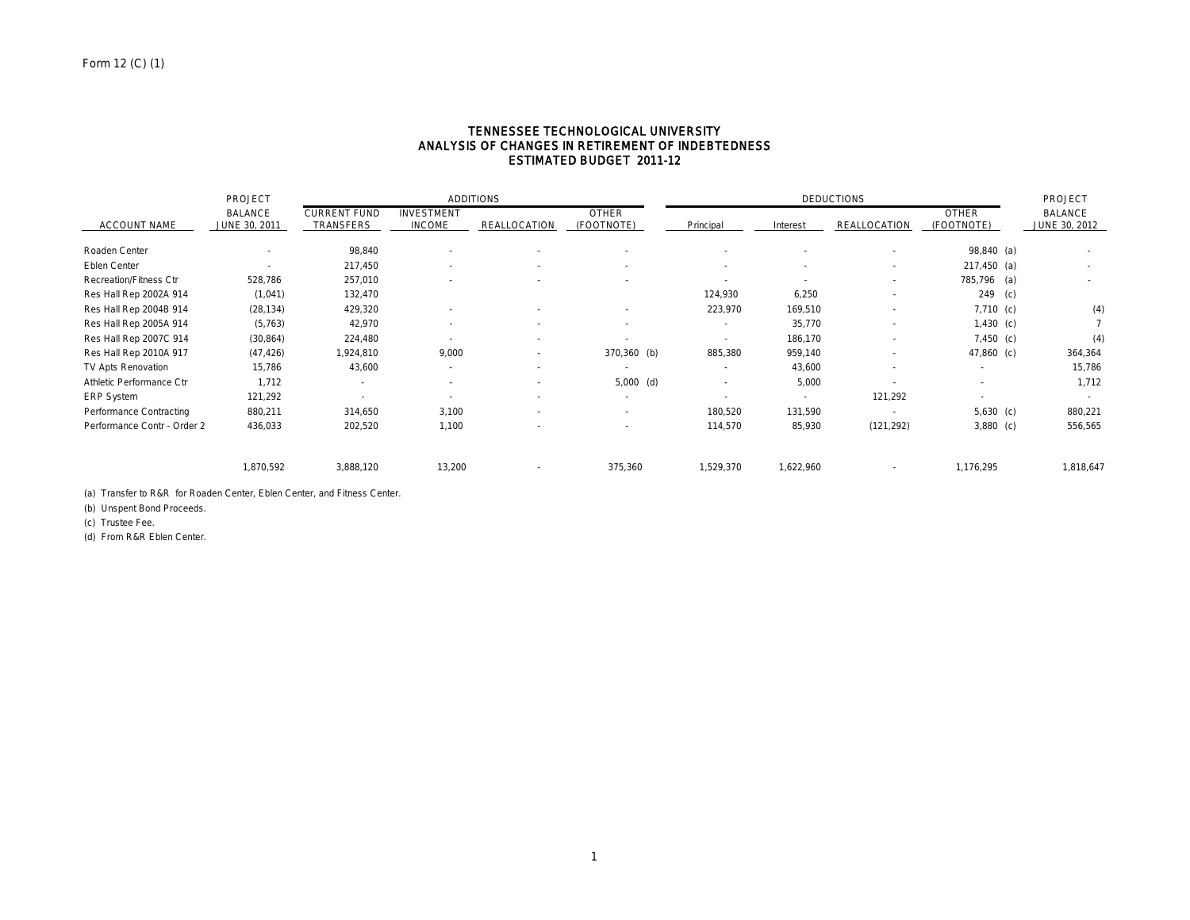## TENNESSEE TECHNOLOGICAL UNIVERSITY ANALYSIS OF CHANGES IN RETIREMENT OF INDEBTEDNESS ESTIMATED BUDGET 2011-12

|                             | PROJECT        |                     |                          | <b>ADDITIONS</b> |              |           |           | <b>DEDUCTIONS</b>        |                | PROJECT        |
|-----------------------------|----------------|---------------------|--------------------------|------------------|--------------|-----------|-----------|--------------------------|----------------|----------------|
|                             | <b>BALANCE</b> | <b>CURRENT FUND</b> | <b>INVESTMENT</b>        |                  | <b>OTHER</b> |           |           |                          | <b>OTHER</b>   | <b>BALANCE</b> |
| <b>ACCOUNT NAME</b>         | JUNE 30, 2011  | TRANSFERS           | <b>INCOME</b>            | REALLOCATION     | (FOOTNOTE)   | Principal | Interest  | REALLOCATION             | (FOOTNOTE)     | JUNE 30, 2012  |
| Roaden Center               |                | 98,840              | $\overline{\phantom{a}}$ |                  |              |           |           |                          | 98,840 (a)     |                |
| Eblen Center                |                | 217,450             | ٠                        | ٠                |              | $\sim$    |           | $\sim$                   | $217,450$ (a)  | $\sim$         |
| Recreation/Fitness Ctr      | 528,786        | 257,010             |                          |                  |              | $\sim$    |           | $\overline{\phantom{a}}$ | 785,796 (a)    | $\sim$         |
| Res Hall Rep 2002A 914      | (1,041)        | 132,470             |                          |                  |              | 124,930   | 6,250     |                          | 249<br>(c)     |                |
| Res Hall Rep 2004B 914      | (28, 134)      | 429,320             |                          |                  |              | 223,970   | 169,510   |                          | $7,710$ (c)    | (4)            |
| Res Hall Rep 2005A 914      | (5,763)        | 42,970              |                          | $\overline{a}$   | $\sim$       |           | 35,770    |                          | $1,430$ (c)    |                |
| Res Hall Rep 2007C 914      | (30, 864)      | 224,480             |                          | $\overline{a}$   |              | $\sim$    | 186,170   | $\overline{\phantom{a}}$ | $7,450$ (c)    | (4)            |
| Res Hall Rep 2010A 917      | (47, 426)      | 1,924,810           | 9,000                    | $\sim$           | 370,360 (b)  | 885,380   | 959,140   | $\sim$                   | 47,860 (c)     | 364,364        |
| TV Apts Renovation          | 15,786         | 43,600              | ٠                        | $\sim$           |              | $\sim$    | 43,600    | $\overline{\phantom{a}}$ |                | 15,786         |
| Athletic Performance Ctr    | 1,712          | $\sim$              | $\sim$                   | $\sim$           | $5,000$ (d)  | $\sim$    | 5,000     |                          | $\overline{a}$ | 1,712          |
| ERP System                  | 121,292        |                     | ٠                        | ٠                |              |           |           | 121,292                  |                |                |
| Performance Contracting     | 880,211        | 314,650             | 3,100                    | ٠                |              | 180,520   | 131,590   |                          | $5,630$ (c)    | 880,221        |
| Performance Contr - Order 2 | 436,033        | 202,520             | 1,100                    |                  |              | 114,570   | 85,930    | (121, 292)               | $3,880$ (c)    | 556,565        |
|                             | 1,870,592      | 3,888,120           | 13,200                   |                  | 375,360      | 1,529,370 | 1,622,960 |                          | 1,176,295      | 1,818,647      |

(a) Transfer to R&R for Roaden Center, Eblen Center, and Fitness Center.

(b) Unspent Bond Proceeds.

(c) Trustee Fee.

(d) From R&R Eblen Center.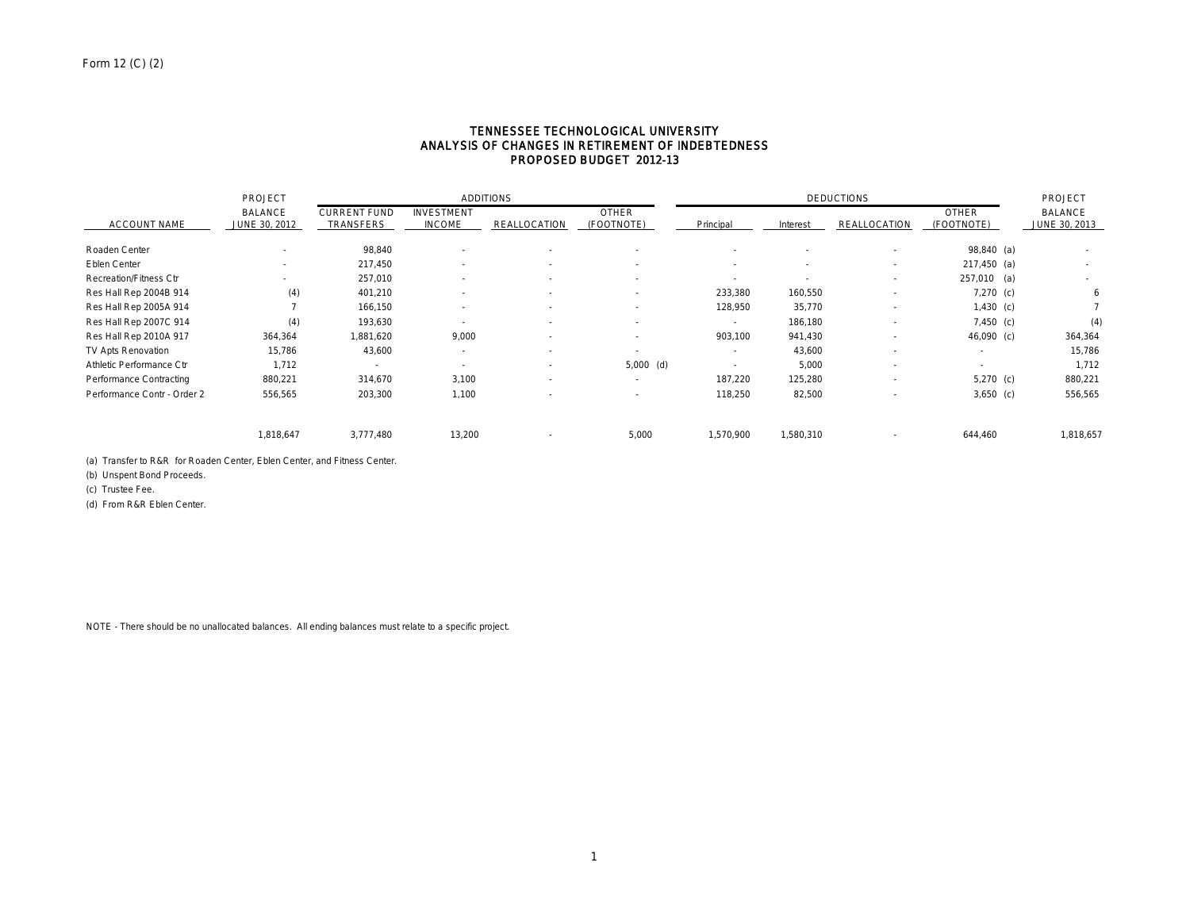#### TENNESSEE TECHNOLOGICAL UNIVERSITY ANALYSIS OF CHANGES IN RETIREMENT OF INDEBTEDNESS PROPOSED BUDGET 2012-13

|                             | PROJECT                         |                                         |                                    | <b>ADDITIONS</b>         |                          |                          |                          | <b>DEDUCTIONS</b>        |                            | PROJECT                         |
|-----------------------------|---------------------------------|-----------------------------------------|------------------------------------|--------------------------|--------------------------|--------------------------|--------------------------|--------------------------|----------------------------|---------------------------------|
| <b>ACCOUNT NAME</b>         | <b>BALANCE</b><br>JUNE 30, 2012 | <b>CURRENT FUND</b><br><b>TRANSFERS</b> | <b>INVESTMENT</b><br><b>INCOME</b> | REALLOCATION             | OTHER<br>(FOOTNOTE)      | Principal                | Interest                 | REALLOCATION             | <b>OTHER</b><br>(FOOTNOTE) | <b>BALANCE</b><br>JUNE 30, 2013 |
| Roaden Center               |                                 | 98,840                                  |                                    |                          |                          |                          |                          |                          | 98,840 (a)                 | $\sim$                          |
| Eblen Center                |                                 | 217,450                                 |                                    |                          |                          |                          |                          | $\overline{\phantom{a}}$ | $217,450$ (a)              | $\sim$                          |
| Recreation/Fitness Ctr      |                                 | 257,010                                 |                                    | $\overline{\phantom{a}}$ | $\overline{\phantom{a}}$ | $\overline{\phantom{a}}$ | $\overline{\phantom{a}}$ | $\overline{a}$           | 257,010 (a)                | $\sim$                          |
| Res Hall Rep 2004B 914      | (4)                             | 401,210                                 |                                    | $\overline{\phantom{a}}$ | $\sim$                   | 233,380                  | 160,550                  | $\sim$                   | $7,270$ (c)                | 6                               |
| Res Hall Rep 2005A 914      |                                 | 166,150                                 |                                    | $\overline{\phantom{a}}$ | $\overline{\phantom{a}}$ | 128,950                  | 35,770                   |                          | $1,430$ (c)                |                                 |
| Res Hall Rep 2007C 914      | (4)                             | 193,630                                 |                                    |                          | $\overline{\phantom{a}}$ | $\overline{\phantom{a}}$ | 186,180                  |                          | $7,450$ (c)                | (4)                             |
| Res Hall Rep 2010A 917      | 364,364                         | 1,881,620                               | 9,000                              | $\overline{\phantom{a}}$ | $\overline{\phantom{a}}$ | 903,100                  | 941,430                  | $\overline{\phantom{a}}$ | 46,090 (c)                 | 364,364                         |
| TV Apts Renovation          | 15,786                          | 43,600                                  | - 1                                | $\overline{\phantom{a}}$ | $\overline{\phantom{a}}$ | ٠                        | 43,600                   | $\sim$                   | $\overline{\phantom{a}}$   | 15,786                          |
| Athletic Performance Ctr    | 1,712                           | ۰.                                      | $\sim$                             | $\overline{\phantom{a}}$ | $5,000$ (d)              | $\overline{\phantom{a}}$ | 5,000                    | $\overline{a}$           | $\overline{\phantom{a}}$   | 1,712                           |
| Performance Contracting     | 880,221                         | 314,670                                 | 3,100                              | $\overline{\phantom{a}}$ | $\sim$                   | 187.220                  | 125,280                  |                          | $5,270$ (c)                | 880,221                         |
| Performance Contr - Order 2 | 556,565                         | 203,300                                 | 1,100                              |                          | $\overline{\phantom{a}}$ | 118,250                  | 82,500                   |                          | $3,650$ (c)                | 556,565                         |
|                             | 1,818,647                       | 3,777,480                               | 13,200                             |                          | 5,000                    | 1,570,900                | 1,580,310                | $\overline{a}$           | 644,460                    | 1,818,657                       |

(a) Transfer to R&R for Roaden Center, Eblen Center, and Fitness Center.

(b) Unspent Bond Proceeds.

(c) Trustee Fee.

(d) From R&R Eblen Center.

NOTE - There should be no unallocated balances. All ending balances must relate to a specific project.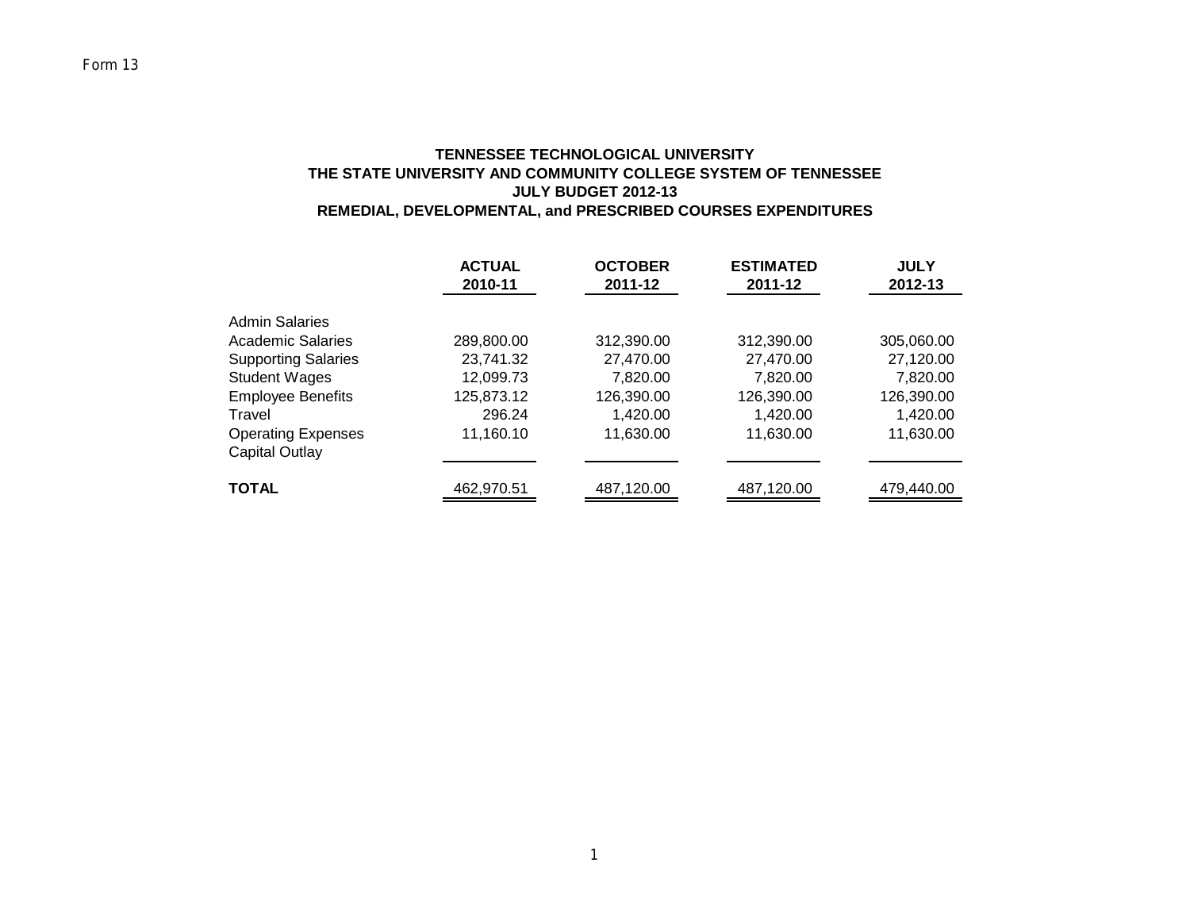# **TENNESSEE TECHNOLOGICAL UNIVERSITY THE STATE UNIVERSITY AND COMMUNITY COLLEGE SYSTEM OF TENNESSEE JULY BUDGET 2012-13 REMEDIAL, DEVELOPMENTAL, and PRESCRIBED COURSES EXPENDITURES**

|                                                  | <b>ACTUAL</b><br>2010-11 | <b>OCTOBER</b><br>2011-12 | <b>ESTIMATED</b><br>2011-12 | <b>JULY</b><br>2012-13 |
|--------------------------------------------------|--------------------------|---------------------------|-----------------------------|------------------------|
| <b>Admin Salaries</b><br>Academic Salaries       | 289,800.00               | 312,390.00                | 312,390.00                  | 305,060.00             |
| <b>Supporting Salaries</b>                       | 23,741.32                | 27,470.00                 | 27,470.00                   | 27,120.00              |
| <b>Student Wages</b><br><b>Employee Benefits</b> | 12,099.73<br>125,873.12  | 7,820.00<br>126,390.00    | 7,820.00<br>126,390.00      | 7,820.00<br>126,390.00 |
| Travel                                           | 296.24                   | 1,420.00                  | 1,420.00                    | 1,420.00               |
| <b>Operating Expenses</b><br>Capital Outlay      | 11,160.10                | 11,630.00                 | 11,630.00                   | 11,630.00              |
| <b>TOTAL</b>                                     | 462,970.51               | 487,120.00                | 487,120.00                  | 479,440.00             |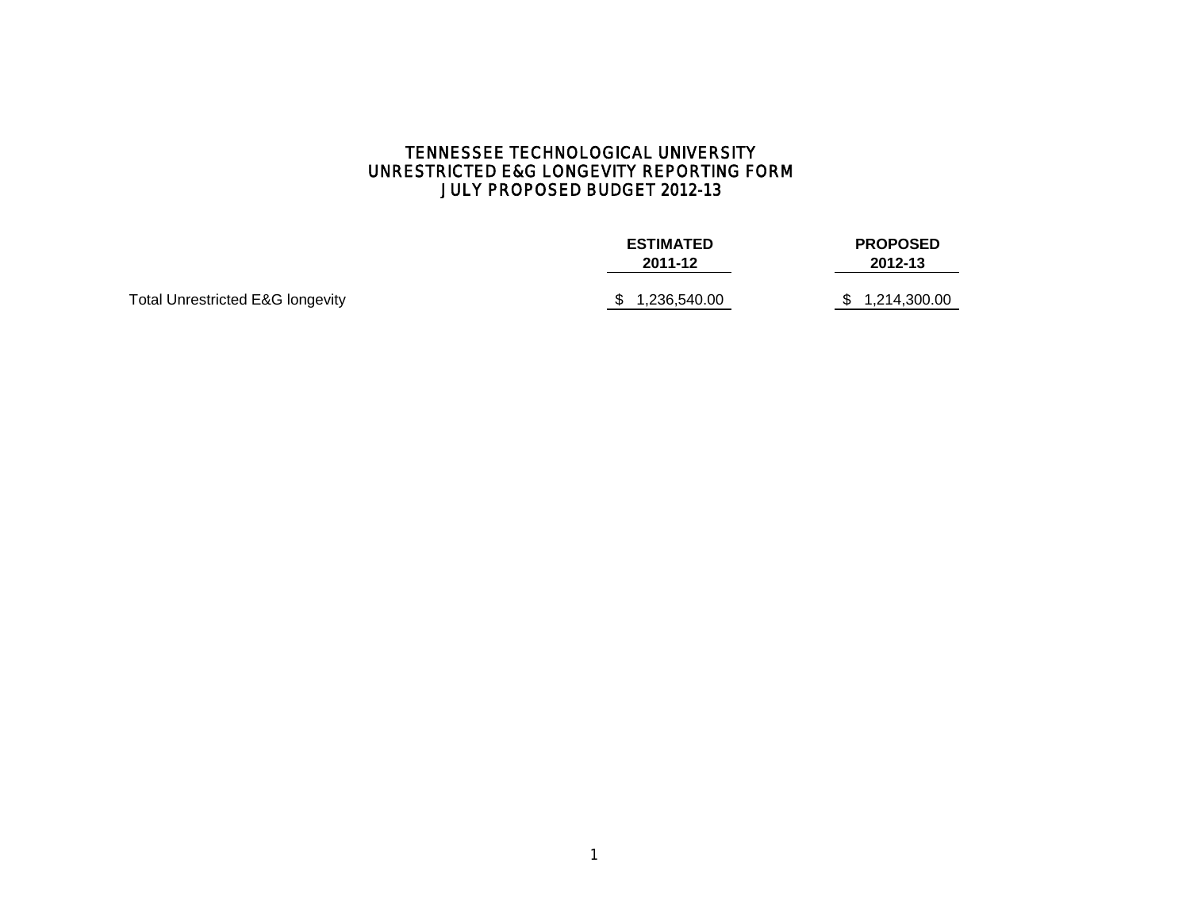# TENNESSEE TECHNOLOGICAL UNIVERSITY UNRESTRICTED E&G LONGEVITY REPORTING FORM JULY PROPOSED BUDGET 2012-13

|                                             | <b>ESTIMATED</b><br>2011-12 | <b>PROPOSED</b><br>2012-13 |
|---------------------------------------------|-----------------------------|----------------------------|
| <b>Total Unrestricted E&amp;G longevity</b> | \$1,236,540.00              | 1,214,300.00<br>\$         |